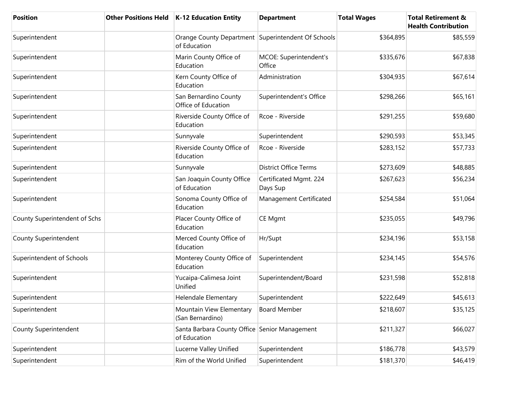| <b>Position</b>               | <b>Other Positions Held</b> | <b>K-12 Education Entity</b>                                       | <b>Department</b>                  | <b>Total Wages</b> | <b>Total Retirement &amp;</b><br><b>Health Contribution</b> |
|-------------------------------|-----------------------------|--------------------------------------------------------------------|------------------------------------|--------------------|-------------------------------------------------------------|
| Superintendent                |                             | Orange County Department Superintendent Of Schools<br>of Education |                                    | \$364,895          | \$85,559                                                    |
| Superintendent                |                             | Marin County Office of<br>Education                                | MCOE: Superintendent's<br>Office   | \$335,676          | \$67,838                                                    |
| Superintendent                |                             | Kern County Office of<br>Education                                 | Administration                     | \$304,935          | \$67,614                                                    |
| Superintendent                |                             | San Bernardino County<br>Office of Education                       | Superintendent's Office            | \$298,266          | \$65,161                                                    |
| Superintendent                |                             | Riverside County Office of<br>Education                            | Rcoe - Riverside                   | \$291,255          | \$59,680                                                    |
| Superintendent                |                             | Sunnyvale                                                          | Superintendent                     | \$290,593          | \$53,345                                                    |
| Superintendent                |                             | Riverside County Office of<br>Education                            | Rcoe - Riverside                   | \$283,152          | \$57,733                                                    |
| Superintendent                |                             | Sunnyvale                                                          | <b>District Office Terms</b>       | \$273,609          | \$48,885                                                    |
| Superintendent                |                             | San Joaquin County Office<br>of Education                          | Certificated Mgmt. 224<br>Days Sup | \$267,623          | \$56,234                                                    |
| Superintendent                |                             | Sonoma County Office of<br>Education                               | Management Certificated            | \$254,584          | \$51,064                                                    |
| County Superintendent of Schs |                             | Placer County Office of<br>Education                               | <b>CE Mgmt</b>                     | \$235,055          | \$49,796                                                    |
| County Superintendent         |                             | Merced County Office of<br>Education                               | Hr/Supt                            | \$234,196          | \$53,158                                                    |
| Superintendent of Schools     |                             | Monterey County Office of<br>Education                             | Superintendent                     | \$234,145          | \$54,576                                                    |
| Superintendent                |                             | Yucaipa-Calimesa Joint<br>Unified                                  | Superintendent/Board               | \$231,598          | \$52,818                                                    |
| Superintendent                |                             | Helendale Elementary                                               | Superintendent                     | \$222,649          | \$45,613                                                    |
| Superintendent                |                             | Mountain View Elementary<br>(San Bernardino)                       | <b>Board Member</b>                | \$218,607          | \$35,125                                                    |
| County Superintendent         |                             | Santa Barbara County Office Senior Management<br>of Education      |                                    | \$211,327          | \$66,027                                                    |
| Superintendent                |                             | Lucerne Valley Unified                                             | Superintendent                     | \$186,778          | \$43,579                                                    |
| Superintendent                |                             | Rim of the World Unified                                           | Superintendent                     | \$181,370          | \$46,419                                                    |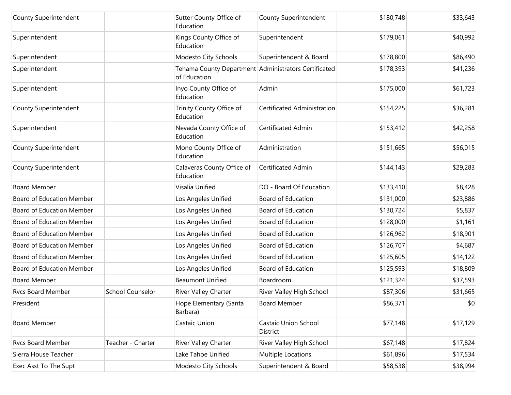| County Superintendent            |                         | Sutter County Office of<br>Education                                 | County Superintendent              | \$180,748 | \$33,643 |
|----------------------------------|-------------------------|----------------------------------------------------------------------|------------------------------------|-----------|----------|
| Superintendent                   |                         | Kings County Office of<br>Education                                  | Superintendent                     | \$179,061 | \$40,992 |
| Superintendent                   |                         | Modesto City Schools                                                 | Superintendent & Board             | \$178,800 | \$86,490 |
| Superintendent                   |                         | Tehama County Department Administrators Certificated<br>of Education |                                    | \$178,393 | \$41,236 |
| Superintendent                   |                         | Inyo County Office of<br>Education                                   | Admin                              | \$175,000 | \$61,723 |
| County Superintendent            |                         | Trinity County Office of<br>Education                                | <b>Certificated Administration</b> | \$154,225 | \$36,281 |
| Superintendent                   |                         | Nevada County Office of<br>Education                                 | Certificated Admin                 | \$153,412 | \$42,258 |
| County Superintendent            |                         | Mono County Office of<br>Education                                   | Administration                     | \$151,665 | \$56,015 |
| County Superintendent            |                         | Calaveras County Office of<br>Education                              | Certificated Admin                 | \$144,143 | \$29,283 |
| <b>Board Member</b>              |                         | Visalia Unified                                                      | DO - Board Of Education            | \$133,410 | \$8,428  |
| <b>Board of Education Member</b> |                         | Los Angeles Unified                                                  | Board of Education                 | \$131,000 | \$23,886 |
| <b>Board of Education Member</b> |                         | Los Angeles Unified                                                  | Board of Education                 | \$130,724 | \$5,837  |
| <b>Board of Education Member</b> |                         | Los Angeles Unified                                                  | Board of Education                 | \$128,000 | \$1,161  |
| <b>Board of Education Member</b> |                         | Los Angeles Unified                                                  | <b>Board of Education</b>          | \$126,962 | \$18,901 |
| <b>Board of Education Member</b> |                         | Los Angeles Unified                                                  | Board of Education                 | \$126,707 | \$4,687  |
| <b>Board of Education Member</b> |                         | Los Angeles Unified                                                  | Board of Education                 | \$125,605 | \$14,122 |
| <b>Board of Education Member</b> |                         | Los Angeles Unified                                                  | Board of Education                 | \$125,593 | \$18,809 |
| <b>Board Member</b>              |                         | <b>Beaumont Unified</b>                                              | Boardroom                          | \$121,324 | \$37,593 |
| <b>Rvcs Board Member</b>         | <b>School Counselor</b> | River Valley Charter                                                 | River Valley High School           | \$87,306  | \$31,665 |
| President                        |                         | Hope Elementary (Santa<br>Barbara)                                   | <b>Board Member</b>                | \$86,371  | \$0      |
| <b>Board Member</b>              |                         | Castaic Union                                                        | Castaic Union School<br>District   | \$77,148  | \$17,129 |
| <b>Rvcs Board Member</b>         | Teacher - Charter       | River Valley Charter                                                 | River Valley High School           | \$67,148  | \$17,824 |
| Sierra House Teacher             |                         | Lake Tahoe Unified                                                   | Multiple Locations                 | \$61,896  | \$17,534 |
| Exec Asst To The Supt            |                         | Modesto City Schools                                                 | Superintendent & Board             | \$58,538  | \$38,994 |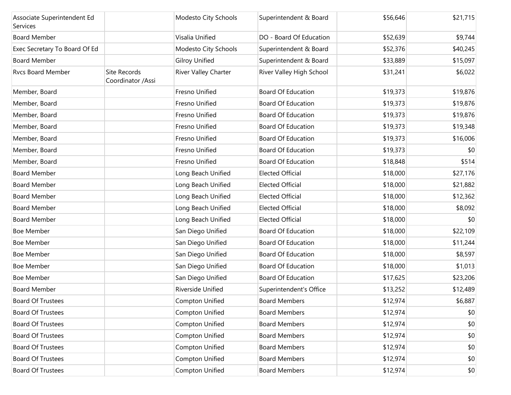| Associate Superintendent Ed<br>Services |                                   | Modesto City Schools  | Superintendent & Board    | \$56,646 | \$21,715 |
|-----------------------------------------|-----------------------------------|-----------------------|---------------------------|----------|----------|
| <b>Board Member</b>                     |                                   | Visalia Unified       | DO - Board Of Education   | \$52,639 | \$9,744  |
| Exec Secretary To Board Of Ed           |                                   | Modesto City Schools  | Superintendent & Board    | \$52,376 | \$40,245 |
| <b>Board Member</b>                     |                                   | <b>Gilroy Unified</b> | Superintendent & Board    | \$33,889 | \$15,097 |
| Rvcs Board Member                       | Site Records<br>Coordinator /Assi | River Valley Charter  | River Valley High School  | \$31,241 | \$6,022  |
| Member, Board                           |                                   | Fresno Unified        | <b>Board Of Education</b> | \$19,373 | \$19,876 |
| Member, Board                           |                                   | Fresno Unified        | <b>Board Of Education</b> | \$19,373 | \$19,876 |
| Member, Board                           |                                   | Fresno Unified        | <b>Board Of Education</b> | \$19,373 | \$19,876 |
| Member, Board                           |                                   | Fresno Unified        | <b>Board Of Education</b> | \$19,373 | \$19,348 |
| Member, Board                           |                                   | Fresno Unified        | <b>Board Of Education</b> | \$19,373 | \$16,006 |
| Member, Board                           |                                   | Fresno Unified        | <b>Board Of Education</b> | \$19,373 | \$0      |
| Member, Board                           |                                   | Fresno Unified        | <b>Board Of Education</b> | \$18,848 | \$514    |
| <b>Board Member</b>                     |                                   | Long Beach Unified    | <b>Elected Official</b>   | \$18,000 | \$27,176 |
| <b>Board Member</b>                     |                                   | Long Beach Unified    | <b>Elected Official</b>   | \$18,000 | \$21,882 |
| <b>Board Member</b>                     |                                   | Long Beach Unified    | <b>Elected Official</b>   | \$18,000 | \$12,362 |
| <b>Board Member</b>                     |                                   | Long Beach Unified    | <b>Elected Official</b>   | \$18,000 | \$8,092  |
| <b>Board Member</b>                     |                                   | Long Beach Unified    | <b>Elected Official</b>   | \$18,000 | \$0      |
| <b>Boe Member</b>                       |                                   | San Diego Unified     | Board Of Education        | \$18,000 | \$22,109 |
| <b>Boe Member</b>                       |                                   | San Diego Unified     | Board Of Education        | \$18,000 | \$11,244 |
| <b>Boe Member</b>                       |                                   | San Diego Unified     | Board Of Education        | \$18,000 | \$8,597  |
| <b>Boe Member</b>                       |                                   | San Diego Unified     | <b>Board Of Education</b> | \$18,000 | \$1,013  |
| <b>Boe Member</b>                       |                                   | San Diego Unified     | <b>Board Of Education</b> | \$17,625 | \$23,206 |
| <b>Board Member</b>                     |                                   | Riverside Unified     | Superintendent's Office   | \$13,252 | \$12,489 |
| <b>Board Of Trustees</b>                |                                   | Compton Unified       | <b>Board Members</b>      | \$12,974 | \$6,887  |
| <b>Board Of Trustees</b>                |                                   | Compton Unified       | <b>Board Members</b>      | \$12,974 | \$0      |
| <b>Board Of Trustees</b>                |                                   | Compton Unified       | <b>Board Members</b>      | \$12,974 | \$0      |
| <b>Board Of Trustees</b>                |                                   | Compton Unified       | <b>Board Members</b>      | \$12,974 | \$0      |
| <b>Board Of Trustees</b>                |                                   | Compton Unified       | <b>Board Members</b>      | \$12,974 | \$0      |
| <b>Board Of Trustees</b>                |                                   | Compton Unified       | <b>Board Members</b>      | \$12,974 | \$0      |
| Board Of Trustees                       |                                   | Compton Unified       | <b>Board Members</b>      | \$12,974 | \$0      |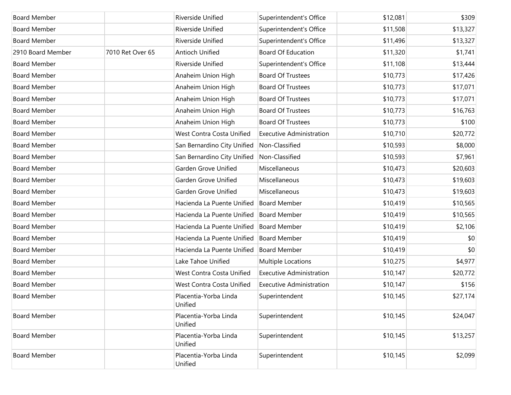| <b>Board Member</b> |                  | Riverside Unified                | Superintendent's Office         | \$12,081 | \$309    |
|---------------------|------------------|----------------------------------|---------------------------------|----------|----------|
| <b>Board Member</b> |                  | Riverside Unified                | Superintendent's Office         | \$11,508 | \$13,327 |
| <b>Board Member</b> |                  | Riverside Unified                | Superintendent's Office         | \$11,496 | \$13,327 |
| 2910 Board Member   | 7010 Ret Over 65 | Antioch Unified                  | <b>Board Of Education</b>       | \$11,320 | \$1,741  |
| <b>Board Member</b> |                  | Riverside Unified                | Superintendent's Office         | \$11,108 | \$13,444 |
| <b>Board Member</b> |                  | Anaheim Union High               | <b>Board Of Trustees</b>        | \$10,773 | \$17,426 |
| <b>Board Member</b> |                  | Anaheim Union High               | <b>Board Of Trustees</b>        | \$10,773 | \$17,071 |
| <b>Board Member</b> |                  | Anaheim Union High               | <b>Board Of Trustees</b>        | \$10,773 | \$17,071 |
| <b>Board Member</b> |                  | Anaheim Union High               | <b>Board Of Trustees</b>        | \$10,773 | \$16,763 |
| <b>Board Member</b> |                  | Anaheim Union High               | <b>Board Of Trustees</b>        | \$10,773 | \$100    |
| <b>Board Member</b> |                  | West Contra Costa Unified        | <b>Executive Administration</b> | \$10,710 | \$20,772 |
| <b>Board Member</b> |                  | San Bernardino City Unified      | Non-Classified                  | \$10,593 | \$8,000  |
| <b>Board Member</b> |                  | San Bernardino City Unified      | Non-Classified                  | \$10,593 | \$7,961  |
| <b>Board Member</b> |                  | Garden Grove Unified             | Miscellaneous                   | \$10,473 | \$20,603 |
| <b>Board Member</b> |                  | Garden Grove Unified             | Miscellaneous                   | \$10,473 | \$19,603 |
| <b>Board Member</b> |                  | Garden Grove Unified             | Miscellaneous                   | \$10,473 | \$19,603 |
| <b>Board Member</b> |                  | Hacienda La Puente Unified       | <b>Board Member</b>             | \$10,419 | \$10,565 |
| <b>Board Member</b> |                  | Hacienda La Puente Unified       | <b>Board Member</b>             | \$10,419 | \$10,565 |
| <b>Board Member</b> |                  | Hacienda La Puente Unified       | <b>Board Member</b>             | \$10,419 | \$2,106  |
| <b>Board Member</b> |                  | Hacienda La Puente Unified       | <b>Board Member</b>             | \$10,419 | \$0      |
| <b>Board Member</b> |                  | Hacienda La Puente Unified       | <b>Board Member</b>             | \$10,419 | \$0      |
| <b>Board Member</b> |                  | Lake Tahoe Unified               | Multiple Locations              | \$10,275 | \$4,977  |
| <b>Board Member</b> |                  | West Contra Costa Unified        | <b>Executive Administration</b> | \$10,147 | \$20,772 |
| <b>Board Member</b> |                  | West Contra Costa Unified        | <b>Executive Administration</b> | \$10,147 | \$156    |
| <b>Board Member</b> |                  | Placentia-Yorba Linda<br>Unified | Superintendent                  | \$10,145 | \$27,174 |
| <b>Board Member</b> |                  | Placentia-Yorba Linda<br>Unified | Superintendent                  | \$10,145 | \$24,047 |
| <b>Board Member</b> |                  | Placentia-Yorba Linda<br>Unified | Superintendent                  | \$10,145 | \$13,257 |
| <b>Board Member</b> |                  | Placentia-Yorba Linda<br>Unified | Superintendent                  | \$10,145 | \$2,099  |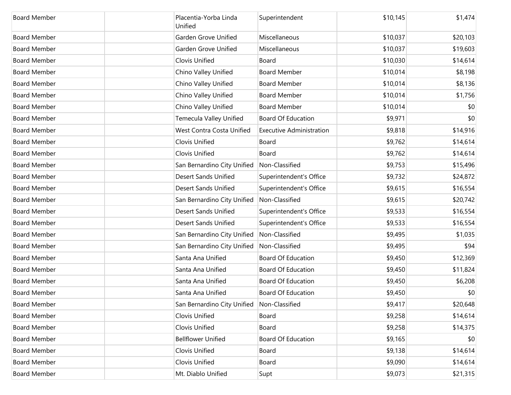| <b>Board Member</b> | Placentia-Yorba Linda<br>Unified           | Superintendent                  | \$10,145 | \$1,474  |
|---------------------|--------------------------------------------|---------------------------------|----------|----------|
| <b>Board Member</b> | Garden Grove Unified                       | Miscellaneous                   | \$10,037 | \$20,103 |
| <b>Board Member</b> | Garden Grove Unified                       | Miscellaneous                   | \$10,037 | \$19,603 |
| <b>Board Member</b> | Clovis Unified                             | Board                           | \$10,030 | \$14,614 |
| <b>Board Member</b> | Chino Valley Unified                       | <b>Board Member</b>             | \$10,014 | \$8,198  |
| <b>Board Member</b> | Chino Valley Unified                       | <b>Board Member</b>             | \$10,014 | \$8,136  |
| <b>Board Member</b> | Chino Valley Unified                       | <b>Board Member</b>             | \$10,014 | \$1,756  |
| <b>Board Member</b> | Chino Valley Unified                       | <b>Board Member</b>             | \$10,014 | \$0      |
| <b>Board Member</b> | Temecula Valley Unified                    | <b>Board Of Education</b>       | \$9,971  | \$0      |
| <b>Board Member</b> | West Contra Costa Unified                  | <b>Executive Administration</b> | \$9,818  | \$14,916 |
| <b>Board Member</b> | Clovis Unified                             | Board                           | \$9,762  | \$14,614 |
| <b>Board Member</b> | Clovis Unified                             | Board                           | \$9,762  | \$14,614 |
| <b>Board Member</b> | San Bernardino City Unified                | Non-Classified                  | \$9,753  | \$15,496 |
| <b>Board Member</b> | <b>Desert Sands Unified</b>                | Superintendent's Office         | \$9,732  | \$24,872 |
| <b>Board Member</b> | <b>Desert Sands Unified</b>                | Superintendent's Office         | \$9,615  | \$16,554 |
| <b>Board Member</b> | San Bernardino City Unified                | Non-Classified                  | \$9,615  | \$20,742 |
| <b>Board Member</b> | <b>Desert Sands Unified</b>                | Superintendent's Office         | \$9,533  | \$16,554 |
| <b>Board Member</b> | <b>Desert Sands Unified</b>                | Superintendent's Office         | \$9,533  | \$16,554 |
| <b>Board Member</b> | San Bernardino City Unified                | Non-Classified                  | \$9,495  | \$1,035  |
| <b>Board Member</b> | San Bernardino City Unified                | Non-Classified                  | \$9,495  | \$94     |
| <b>Board Member</b> | Santa Ana Unified                          | <b>Board Of Education</b>       | \$9,450  | \$12,369 |
| <b>Board Member</b> | Santa Ana Unified                          | <b>Board Of Education</b>       | \$9,450  | \$11,824 |
| <b>Board Member</b> | Santa Ana Unified                          | <b>Board Of Education</b>       | \$9,450  | \$6,208  |
| <b>Board Member</b> | Santa Ana Unified                          | <b>Board Of Education</b>       | \$9,450  | \$0      |
| <b>Board Member</b> | San Bernardino City Unified Non-Classified |                                 | \$9,417  | \$20,648 |
| <b>Board Member</b> | Clovis Unified                             | Board                           | \$9,258  | \$14,614 |
| <b>Board Member</b> | Clovis Unified                             | Board                           | \$9,258  | \$14,375 |
| <b>Board Member</b> | <b>Bellflower Unified</b>                  | <b>Board Of Education</b>       | \$9,165  | \$0      |
| <b>Board Member</b> | Clovis Unified                             | Board                           | \$9,138  | \$14,614 |
| <b>Board Member</b> | Clovis Unified                             | Board                           | \$9,090  | \$14,614 |
| <b>Board Member</b> | Mt. Diablo Unified                         | Supt                            | \$9,073  | \$21,315 |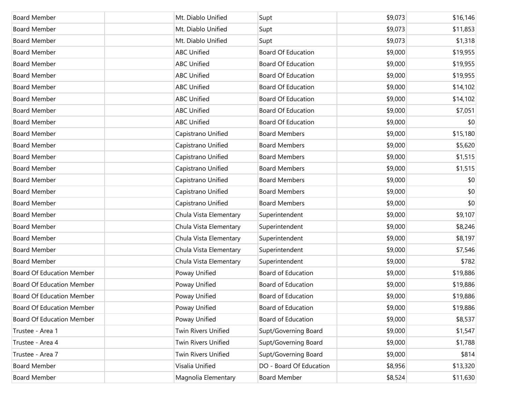| <b>Board Member</b>              | Mt. Diablo Unified     | Supt                      | \$9,073 | \$16,146 |
|----------------------------------|------------------------|---------------------------|---------|----------|
| <b>Board Member</b>              | Mt. Diablo Unified     | Supt                      | \$9,073 | \$11,853 |
| <b>Board Member</b>              | Mt. Diablo Unified     | Supt                      | \$9,073 | \$1,318  |
| <b>Board Member</b>              | <b>ABC Unified</b>     | <b>Board Of Education</b> | \$9,000 | \$19,955 |
| <b>Board Member</b>              | <b>ABC Unified</b>     | <b>Board Of Education</b> | \$9,000 | \$19,955 |
| <b>Board Member</b>              | <b>ABC Unified</b>     | <b>Board Of Education</b> | \$9,000 | \$19,955 |
| <b>Board Member</b>              | <b>ABC Unified</b>     | <b>Board Of Education</b> | \$9,000 | \$14,102 |
| <b>Board Member</b>              | <b>ABC Unified</b>     | <b>Board Of Education</b> | \$9,000 | \$14,102 |
| <b>Board Member</b>              | <b>ABC Unified</b>     | <b>Board Of Education</b> | \$9,000 | \$7,051  |
| <b>Board Member</b>              | <b>ABC Unified</b>     | <b>Board Of Education</b> | \$9,000 | \$0      |
| <b>Board Member</b>              | Capistrano Unified     | <b>Board Members</b>      | \$9,000 | \$15,180 |
| <b>Board Member</b>              | Capistrano Unified     | <b>Board Members</b>      | \$9,000 | \$5,620  |
| <b>Board Member</b>              | Capistrano Unified     | <b>Board Members</b>      | \$9,000 | \$1,515  |
| <b>Board Member</b>              | Capistrano Unified     | <b>Board Members</b>      | \$9,000 | \$1,515  |
| <b>Board Member</b>              | Capistrano Unified     | <b>Board Members</b>      | \$9,000 | \$0      |
| <b>Board Member</b>              | Capistrano Unified     | <b>Board Members</b>      | \$9,000 | \$0      |
| <b>Board Member</b>              | Capistrano Unified     | <b>Board Members</b>      | \$9,000 | \$0      |
| <b>Board Member</b>              | Chula Vista Elementary | Superintendent            | \$9,000 | \$9,107  |
| <b>Board Member</b>              | Chula Vista Elementary | Superintendent            | \$9,000 | \$8,246  |
| <b>Board Member</b>              | Chula Vista Elementary | Superintendent            | \$9,000 | \$8,197  |
| <b>Board Member</b>              | Chula Vista Elementary | Superintendent            | \$9,000 | \$7,546  |
| <b>Board Member</b>              | Chula Vista Elementary | Superintendent            | \$9,000 | \$782    |
| <b>Board Of Education Member</b> | Poway Unified          | Board of Education        | \$9,000 | \$19,886 |
| <b>Board Of Education Member</b> | Poway Unified          | Board of Education        | \$9,000 | \$19,886 |
| <b>Board Of Education Member</b> | Poway Unified          | <b>Board of Education</b> | \$9,000 | \$19,886 |
| <b>Board Of Education Member</b> | Poway Unified          | Board of Education        | \$9,000 | \$19,886 |
| <b>Board Of Education Member</b> | Poway Unified          | Board of Education        | \$9,000 | \$8,537  |
| Trustee - Area 1                 | Twin Rivers Unified    | Supt/Governing Board      | \$9,000 | \$1,547  |
| Trustee - Area 4                 | Twin Rivers Unified    | Supt/Governing Board      | \$9,000 | \$1,788  |
| Trustee - Area 7                 | Twin Rivers Unified    | Supt/Governing Board      | \$9,000 | \$814    |
| <b>Board Member</b>              | Visalia Unified        | DO - Board Of Education   | \$8,956 | \$13,320 |
| <b>Board Member</b>              | Magnolia Elementary    | <b>Board Member</b>       | \$8,524 | \$11,630 |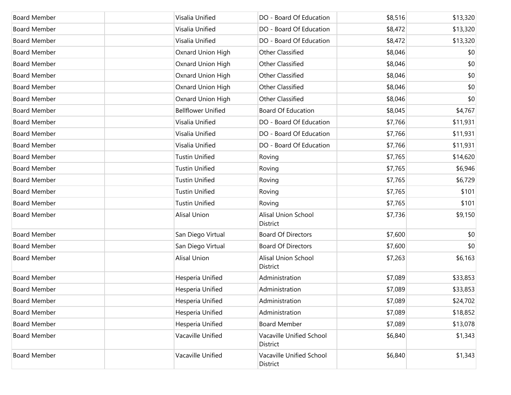| <b>Board Member</b> | Visalia Unified           | DO - Board Of Education              | \$8,516 | \$13,320 |
|---------------------|---------------------------|--------------------------------------|---------|----------|
| <b>Board Member</b> | Visalia Unified           | DO - Board Of Education              | \$8,472 | \$13,320 |
| <b>Board Member</b> | Visalia Unified           | DO - Board Of Education              | \$8,472 | \$13,320 |
| <b>Board Member</b> | Oxnard Union High         | <b>Other Classified</b>              | \$8,046 | \$0      |
| <b>Board Member</b> | Oxnard Union High         | <b>Other Classified</b>              | \$8,046 | \$0      |
| <b>Board Member</b> | Oxnard Union High         | <b>Other Classified</b>              | \$8,046 | \$0      |
| <b>Board Member</b> | Oxnard Union High         | <b>Other Classified</b>              | \$8,046 | \$0      |
| <b>Board Member</b> | Oxnard Union High         | <b>Other Classified</b>              | \$8,046 | \$0      |
| <b>Board Member</b> | <b>Bellflower Unified</b> | <b>Board Of Education</b>            | \$8,045 | \$4,767  |
| <b>Board Member</b> | Visalia Unified           | DO - Board Of Education              | \$7,766 | \$11,931 |
| <b>Board Member</b> | Visalia Unified           | DO - Board Of Education              | \$7,766 | \$11,931 |
| <b>Board Member</b> | Visalia Unified           | DO - Board Of Education              | \$7,766 | \$11,931 |
| <b>Board Member</b> | <b>Tustin Unified</b>     | Roving                               | \$7,765 | \$14,620 |
| <b>Board Member</b> | <b>Tustin Unified</b>     | Roving                               | \$7,765 | \$6,946  |
| <b>Board Member</b> | <b>Tustin Unified</b>     | Roving                               | \$7,765 | \$6,729  |
| <b>Board Member</b> | <b>Tustin Unified</b>     | Roving                               | \$7,765 | \$101    |
| <b>Board Member</b> | <b>Tustin Unified</b>     | Roving                               | \$7,765 | \$101    |
| <b>Board Member</b> | <b>Alisal Union</b>       | Alisal Union School<br>District      | \$7,736 | \$9,150  |
| <b>Board Member</b> | San Diego Virtual         | <b>Board Of Directors</b>            | \$7,600 | \$0      |
| <b>Board Member</b> | San Diego Virtual         | <b>Board Of Directors</b>            | \$7,600 | \$0      |
| <b>Board Member</b> | <b>Alisal Union</b>       | Alisal Union School<br>District      | \$7,263 | \$6,163  |
| <b>Board Member</b> | Hesperia Unified          | Administration                       | \$7,089 | \$33,853 |
| <b>Board Member</b> | Hesperia Unified          | Administration                       | \$7,089 | \$33,853 |
| Board Member        | Hesperia Unified          | Administration                       | \$7,089 | \$24,702 |
| <b>Board Member</b> | Hesperia Unified          | Administration                       | \$7,089 | \$18,852 |
| <b>Board Member</b> | Hesperia Unified          | <b>Board Member</b>                  | \$7,089 | \$13,078 |
| <b>Board Member</b> | Vacaville Unified         | Vacaville Unified School<br>District | \$6,840 | \$1,343  |
| <b>Board Member</b> | Vacaville Unified         | Vacaville Unified School<br>District | \$6,840 | \$1,343  |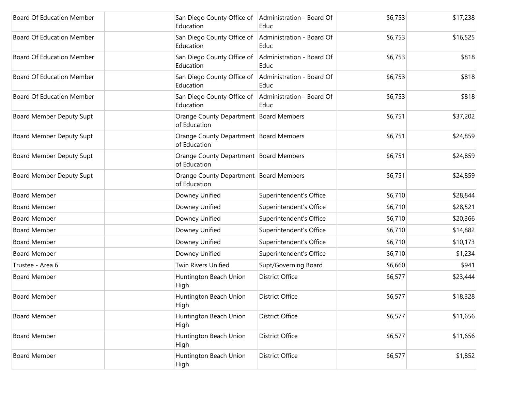| <b>Board Of Education Member</b> | San Diego County Office of Administration - Board Of<br>Education | Educ                              | \$6,753 | \$17,238 |
|----------------------------------|-------------------------------------------------------------------|-----------------------------------|---------|----------|
| <b>Board Of Education Member</b> | San Diego County Office of<br>Education                           | Administration - Board Of<br>Educ | \$6,753 | \$16,525 |
| <b>Board Of Education Member</b> | San Diego County Office of<br>Education                           | Administration - Board Of<br>Educ | \$6,753 | \$818    |
| <b>Board Of Education Member</b> | San Diego County Office of<br>Education                           | Administration - Board Of<br>Educ | \$6,753 | \$818    |
| <b>Board Of Education Member</b> | San Diego County Office of<br>Education                           | Administration - Board Of<br>Educ | \$6,753 | \$818    |
| Board Member Deputy Supt         | Orange County Department Board Members<br>of Education            |                                   | \$6,751 | \$37,202 |
| Board Member Deputy Supt         | Orange County Department Board Members<br>of Education            |                                   | \$6,751 | \$24,859 |
| Board Member Deputy Supt         | Orange County Department Board Members<br>of Education            |                                   | \$6,751 | \$24,859 |
| Board Member Deputy Supt         | Orange County Department   Board Members<br>of Education          |                                   | \$6,751 | \$24,859 |
| <b>Board Member</b>              | Downey Unified                                                    | Superintendent's Office           | \$6,710 | \$28,844 |
| <b>Board Member</b>              | Downey Unified                                                    | Superintendent's Office           | \$6,710 | \$28,521 |
| <b>Board Member</b>              | Downey Unified                                                    | Superintendent's Office           | \$6,710 | \$20,366 |
| <b>Board Member</b>              | Downey Unified                                                    | Superintendent's Office           | \$6,710 | \$14,882 |
| <b>Board Member</b>              | Downey Unified                                                    | Superintendent's Office           | \$6,710 | \$10,173 |
| <b>Board Member</b>              | Downey Unified                                                    | Superintendent's Office           | \$6,710 | \$1,234  |
| Trustee - Area 6                 | <b>Twin Rivers Unified</b>                                        | Supt/Governing Board              | \$6,660 | \$941    |
| <b>Board Member</b>              | Huntington Beach Union<br>High                                    | <b>District Office</b>            | \$6,577 | \$23,444 |
| <b>Board Member</b>              | Huntington Beach Union<br>High                                    | <b>District Office</b>            | \$6,577 | \$18,328 |
| <b>Board Member</b>              | Huntington Beach Union<br>High                                    | <b>District Office</b>            | \$6,577 | \$11,656 |
| <b>Board Member</b>              | Huntington Beach Union<br>High                                    | <b>District Office</b>            | \$6,577 | \$11,656 |
| <b>Board Member</b>              | Huntington Beach Union<br>High                                    | District Office                   | \$6,577 | \$1,852  |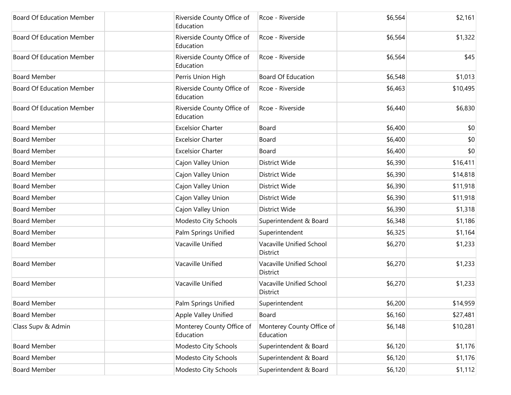| <b>Board Of Education Member</b> | Riverside County Office of<br>Education | Rcoe - Riverside                            | \$6,564 | \$2,161  |
|----------------------------------|-----------------------------------------|---------------------------------------------|---------|----------|
| <b>Board Of Education Member</b> | Riverside County Office of<br>Education | Rcoe - Riverside                            | \$6,564 | \$1,322  |
| <b>Board Of Education Member</b> | Riverside County Office of<br>Education | Rcoe - Riverside                            | \$6,564 | \$45     |
| <b>Board Member</b>              | Perris Union High                       | <b>Board Of Education</b>                   | \$6,548 | \$1,013  |
| <b>Board Of Education Member</b> | Riverside County Office of<br>Education | Rcoe - Riverside                            | \$6,463 | \$10,495 |
| <b>Board Of Education Member</b> | Riverside County Office of<br>Education | Rcoe - Riverside                            | \$6,440 | \$6,830  |
| <b>Board Member</b>              | <b>Excelsior Charter</b>                | Board                                       | \$6,400 | \$0      |
| <b>Board Member</b>              | <b>Excelsior Charter</b>                | Board                                       | \$6,400 | \$0      |
| <b>Board Member</b>              | <b>Excelsior Charter</b>                | Board                                       | \$6,400 | \$0      |
| <b>Board Member</b>              | Cajon Valley Union                      | District Wide                               | \$6,390 | \$16,411 |
| <b>Board Member</b>              | Cajon Valley Union                      | District Wide                               | \$6,390 | \$14,818 |
| <b>Board Member</b>              | Cajon Valley Union                      | District Wide                               | \$6,390 | \$11,918 |
| <b>Board Member</b>              | Cajon Valley Union                      | District Wide                               | \$6,390 | \$11,918 |
| <b>Board Member</b>              | Cajon Valley Union                      | District Wide                               | \$6,390 | \$1,318  |
| <b>Board Member</b>              | Modesto City Schools                    | Superintendent & Board                      | \$6,348 | \$1,186  |
| <b>Board Member</b>              | Palm Springs Unified                    | Superintendent                              | \$6,325 | \$1,164  |
| <b>Board Member</b>              | Vacaville Unified                       | Vacaville Unified School<br><b>District</b> | \$6,270 | \$1,233  |
| <b>Board Member</b>              | Vacaville Unified                       | Vacaville Unified School<br>District        | \$6,270 | \$1,233  |
| <b>Board Member</b>              | Vacaville Unified                       | Vacaville Unified School<br>District        | \$6,270 | \$1,233  |
| <b>Board Member</b>              | Palm Springs Unified                    | Superintendent                              | \$6,200 | \$14,959 |
| <b>Board Member</b>              | Apple Valley Unified                    | Board                                       | \$6,160 | \$27,481 |
| Class Supv & Admin               | Monterey County Office of<br>Education  | Monterey County Office of<br>Education      | \$6,148 | \$10,281 |
| <b>Board Member</b>              | Modesto City Schools                    | Superintendent & Board                      | \$6,120 | \$1,176  |
| <b>Board Member</b>              | Modesto City Schools                    | Superintendent & Board                      | \$6,120 | \$1,176  |
| <b>Board Member</b>              | Modesto City Schools                    | Superintendent & Board                      | \$6,120 | \$1,112  |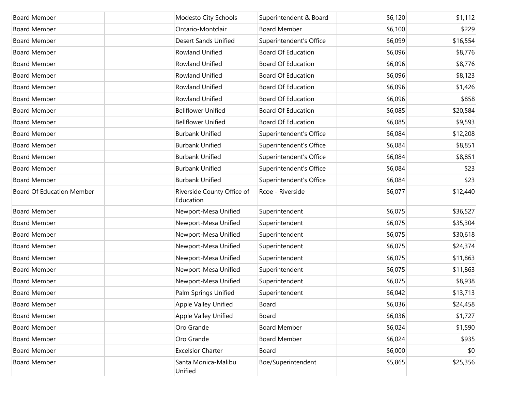| <b>Board Member</b>              | Modesto City Schools                    | Superintendent & Board    | \$6,120 | \$1,112  |
|----------------------------------|-----------------------------------------|---------------------------|---------|----------|
| <b>Board Member</b>              | Ontario-Montclair                       | <b>Board Member</b>       | \$6,100 | \$229    |
| <b>Board Member</b>              | <b>Desert Sands Unified</b>             | Superintendent's Office   | \$6,099 | \$16,554 |
| <b>Board Member</b>              | Rowland Unified                         | <b>Board Of Education</b> | \$6,096 | \$8,776  |
| <b>Board Member</b>              | Rowland Unified                         | <b>Board Of Education</b> | \$6,096 | \$8,776  |
| <b>Board Member</b>              | Rowland Unified                         | <b>Board Of Education</b> | \$6,096 | \$8,123  |
| <b>Board Member</b>              | Rowland Unified                         | <b>Board Of Education</b> | \$6,096 | \$1,426  |
| <b>Board Member</b>              | Rowland Unified                         | <b>Board Of Education</b> | \$6,096 | \$858    |
| <b>Board Member</b>              | <b>Bellflower Unified</b>               | <b>Board Of Education</b> | \$6,085 | \$20,584 |
| <b>Board Member</b>              | <b>Bellflower Unified</b>               | <b>Board Of Education</b> | \$6,085 | \$9,593  |
| <b>Board Member</b>              | <b>Burbank Unified</b>                  | Superintendent's Office   | \$6,084 | \$12,208 |
| <b>Board Member</b>              | <b>Burbank Unified</b>                  | Superintendent's Office   | \$6,084 | \$8,851  |
| <b>Board Member</b>              | <b>Burbank Unified</b>                  | Superintendent's Office   | \$6,084 | \$8,851  |
| <b>Board Member</b>              | <b>Burbank Unified</b>                  | Superintendent's Office   | \$6,084 | \$23     |
| <b>Board Member</b>              | <b>Burbank Unified</b>                  | Superintendent's Office   | \$6,084 | \$23     |
| <b>Board Of Education Member</b> | Riverside County Office of<br>Education | Rcoe - Riverside          | \$6,077 | \$12,440 |
| <b>Board Member</b>              | Newport-Mesa Unified                    | Superintendent            | \$6,075 | \$36,527 |
| <b>Board Member</b>              | Newport-Mesa Unified                    | Superintendent            | \$6,075 | \$35,304 |
| <b>Board Member</b>              | Newport-Mesa Unified                    | Superintendent            | \$6,075 | \$30,618 |
| <b>Board Member</b>              | Newport-Mesa Unified                    | Superintendent            | \$6,075 | \$24,374 |
| <b>Board Member</b>              | Newport-Mesa Unified                    | Superintendent            | \$6,075 | \$11,863 |
| <b>Board Member</b>              | Newport-Mesa Unified                    | Superintendent            | \$6,075 | \$11,863 |
| <b>Board Member</b>              | Newport-Mesa Unified                    | Superintendent            | \$6,075 | \$8,938  |
| <b>Board Member</b>              | Palm Springs Unified                    | Superintendent            | \$6,042 | \$13,713 |
| <b>Board Member</b>              | Apple Valley Unified                    | Board                     | \$6,036 | \$24,458 |
| <b>Board Member</b>              | Apple Valley Unified                    | Board                     | \$6,036 | \$1,727  |
| <b>Board Member</b>              | Oro Grande                              | <b>Board Member</b>       | \$6,024 | \$1,590  |
| <b>Board Member</b>              | Oro Grande                              | <b>Board Member</b>       | \$6,024 | \$935    |
| <b>Board Member</b>              | <b>Excelsior Charter</b>                | Board                     | \$6,000 | \$0      |
| <b>Board Member</b>              | Santa Monica-Malibu<br>Unified          | Boe/Superintendent        | \$5,865 | \$25,356 |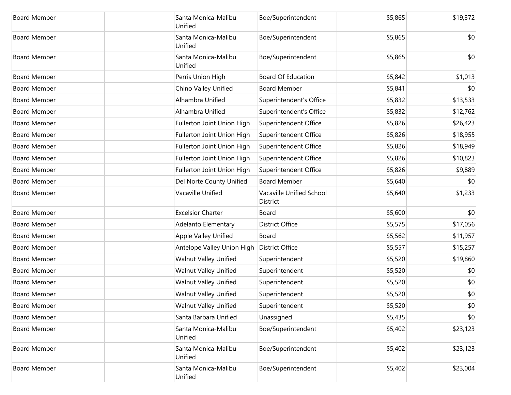| <b>Board Member</b> | Santa Monica-Malibu<br>Unified | Boe/Superintendent                   | \$5,865 | \$19,372 |
|---------------------|--------------------------------|--------------------------------------|---------|----------|
| <b>Board Member</b> | Santa Monica-Malibu<br>Unified | Boe/Superintendent                   | \$5,865 | \$0      |
| <b>Board Member</b> | Santa Monica-Malibu<br>Unified | Boe/Superintendent                   | \$5,865 | \$0      |
| <b>Board Member</b> | Perris Union High              | <b>Board Of Education</b>            | \$5,842 | \$1,013  |
| <b>Board Member</b> | Chino Valley Unified           | <b>Board Member</b>                  | \$5,841 | \$0      |
| <b>Board Member</b> | Alhambra Unified               | Superintendent's Office              | \$5,832 | \$13,533 |
| <b>Board Member</b> | Alhambra Unified               | Superintendent's Office              | \$5,832 | \$12,762 |
| <b>Board Member</b> | Fullerton Joint Union High     | Superintendent Office                | \$5,826 | \$26,423 |
| <b>Board Member</b> | Fullerton Joint Union High     | Superintendent Office                | \$5,826 | \$18,955 |
| <b>Board Member</b> | Fullerton Joint Union High     | Superintendent Office                | \$5,826 | \$18,949 |
| <b>Board Member</b> | Fullerton Joint Union High     | Superintendent Office                | \$5,826 | \$10,823 |
| <b>Board Member</b> | Fullerton Joint Union High     | Superintendent Office                | \$5,826 | \$9,889  |
| <b>Board Member</b> | Del Norte County Unified       | <b>Board Member</b>                  | \$5,640 | \$0      |
| <b>Board Member</b> | Vacaville Unified              | Vacaville Unified School<br>District | \$5,640 | \$1,233  |
| <b>Board Member</b> | <b>Excelsior Charter</b>       | Board                                | \$5,600 | \$0      |
| <b>Board Member</b> | Adelanto Elementary            | <b>District Office</b>               | \$5,575 | \$17,056 |
| <b>Board Member</b> | Apple Valley Unified           | Board                                | \$5,562 | \$11,957 |
| <b>Board Member</b> | Antelope Valley Union High     | <b>District Office</b>               | \$5,557 | \$15,257 |
| <b>Board Member</b> | <b>Walnut Valley Unified</b>   | Superintendent                       | \$5,520 | \$19,860 |
| <b>Board Member</b> | <b>Walnut Valley Unified</b>   | Superintendent                       | \$5,520 | \$0      |
| <b>Board Member</b> | <b>Walnut Valley Unified</b>   | Superintendent                       | \$5,520 | \$0      |
| <b>Board Member</b> | <b>Walnut Valley Unified</b>   | Superintendent                       | \$5,520 | \$0      |
| <b>Board Member</b> | <b>Walnut Valley Unified</b>   | Superintendent                       | \$5,520 | \$0      |
| <b>Board Member</b> | Santa Barbara Unified          | Unassigned                           | \$5,435 | \$0      |
| <b>Board Member</b> | Santa Monica-Malibu<br>Unified | Boe/Superintendent                   | \$5,402 | \$23,123 |
| <b>Board Member</b> | Santa Monica-Malibu<br>Unified | Boe/Superintendent                   | \$5,402 | \$23,123 |
| <b>Board Member</b> | Santa Monica-Malibu<br>Unified | Boe/Superintendent                   | \$5,402 | \$23,004 |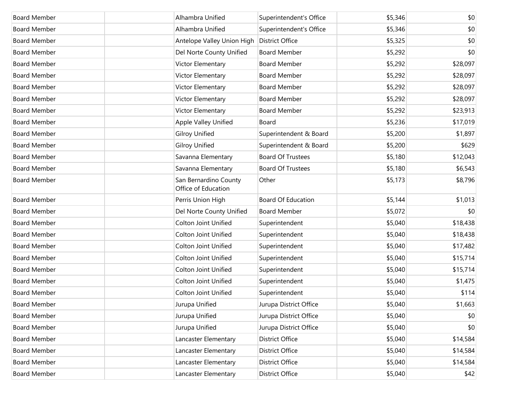| <b>Board Member</b> | Alhambra Unified                             | Superintendent's Office   | \$5,346 | \$0      |
|---------------------|----------------------------------------------|---------------------------|---------|----------|
| <b>Board Member</b> | Alhambra Unified                             | Superintendent's Office   | \$5,346 | \$0      |
| <b>Board Member</b> | Antelope Valley Union High                   | <b>District Office</b>    | \$5,325 | \$0      |
| <b>Board Member</b> | Del Norte County Unified                     | <b>Board Member</b>       | \$5,292 | \$0      |
| <b>Board Member</b> | Victor Elementary                            | <b>Board Member</b>       | \$5,292 | \$28,097 |
| <b>Board Member</b> | Victor Elementary                            | <b>Board Member</b>       | \$5,292 | \$28,097 |
| <b>Board Member</b> | Victor Elementary                            | <b>Board Member</b>       | \$5,292 | \$28,097 |
| <b>Board Member</b> | Victor Elementary                            | <b>Board Member</b>       | \$5,292 | \$28,097 |
| <b>Board Member</b> | Victor Elementary                            | <b>Board Member</b>       | \$5,292 | \$23,913 |
| <b>Board Member</b> | Apple Valley Unified                         | Board                     | \$5,236 | \$17,019 |
| <b>Board Member</b> | <b>Gilroy Unified</b>                        | Superintendent & Board    | \$5,200 | \$1,897  |
| <b>Board Member</b> | <b>Gilroy Unified</b>                        | Superintendent & Board    | \$5,200 | \$629    |
| <b>Board Member</b> | Savanna Elementary                           | <b>Board Of Trustees</b>  | \$5,180 | \$12,043 |
| <b>Board Member</b> | Savanna Elementary                           | <b>Board Of Trustees</b>  | \$5,180 | \$6,543  |
| <b>Board Member</b> | San Bernardino County<br>Office of Education | Other                     | \$5,173 | \$8,796  |
| <b>Board Member</b> | Perris Union High                            | <b>Board Of Education</b> | \$5,144 | \$1,013  |
| <b>Board Member</b> | Del Norte County Unified                     | <b>Board Member</b>       | \$5,072 | \$0      |
| <b>Board Member</b> | <b>Colton Joint Unified</b>                  | Superintendent            | \$5,040 | \$18,438 |
| <b>Board Member</b> | <b>Colton Joint Unified</b>                  | Superintendent            | \$5,040 | \$18,438 |
| <b>Board Member</b> | <b>Colton Joint Unified</b>                  | Superintendent            | \$5,040 | \$17,482 |
| <b>Board Member</b> | <b>Colton Joint Unified</b>                  | Superintendent            | \$5,040 | \$15,714 |
| <b>Board Member</b> | <b>Colton Joint Unified</b>                  | Superintendent            | \$5,040 | \$15,714 |
| <b>Board Member</b> | <b>Colton Joint Unified</b>                  | Superintendent            | \$5,040 | \$1,475  |
| <b>Board Member</b> | <b>Colton Joint Unified</b>                  | Superintendent            | \$5,040 | \$114    |
| <b>Board Member</b> | Jurupa Unified                               | Jurupa District Office    | \$5,040 | \$1,663  |
| <b>Board Member</b> | Jurupa Unified                               | Jurupa District Office    | \$5,040 | \$0      |
| <b>Board Member</b> | Jurupa Unified                               | Jurupa District Office    | \$5,040 | \$0      |
| <b>Board Member</b> | Lancaster Elementary                         | District Office           | \$5,040 | \$14,584 |
| <b>Board Member</b> | Lancaster Elementary                         | District Office           | \$5,040 | \$14,584 |
| <b>Board Member</b> | Lancaster Elementary                         | District Office           | \$5,040 | \$14,584 |
| <b>Board Member</b> | Lancaster Elementary                         | District Office           | \$5,040 | \$42     |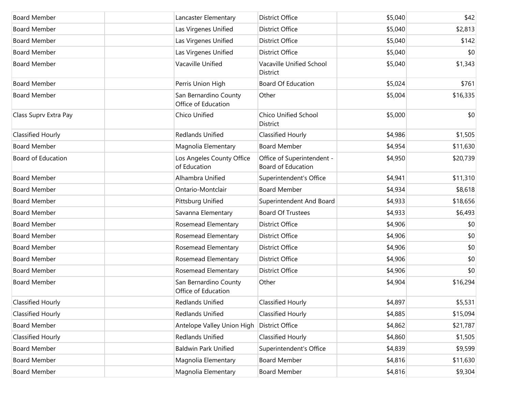| <b>Board Member</b>       | Lancaster Elementary                         | <b>District Office</b>                           | \$5,040 | \$42     |
|---------------------------|----------------------------------------------|--------------------------------------------------|---------|----------|
| <b>Board Member</b>       | Las Virgenes Unified                         | District Office                                  | \$5,040 | \$2,813  |
| <b>Board Member</b>       | Las Virgenes Unified                         | <b>District Office</b>                           | \$5,040 | \$142    |
| <b>Board Member</b>       | Las Virgenes Unified                         | District Office                                  | \$5,040 | \$0      |
| <b>Board Member</b>       | Vacaville Unified                            | Vacaville Unified School<br>District             | \$5,040 | \$1,343  |
| <b>Board Member</b>       | Perris Union High                            | <b>Board Of Education</b>                        | \$5,024 | \$761    |
| <b>Board Member</b>       | San Bernardino County<br>Office of Education | Other                                            | \$5,004 | \$16,335 |
| Class Suprv Extra Pay     | Chico Unified                                | <b>Chico Unified School</b><br><b>District</b>   | \$5,000 | \$0      |
| <b>Classified Hourly</b>  | <b>Redlands Unified</b>                      | Classified Hourly                                | \$4,986 | \$1,505  |
| <b>Board Member</b>       | Magnolia Elementary                          | <b>Board Member</b>                              | \$4,954 | \$11,630 |
| <b>Board of Education</b> | Los Angeles County Office<br>of Education    | Office of Superintendent -<br>Board of Education | \$4,950 | \$20,739 |
| <b>Board Member</b>       | Alhambra Unified                             | Superintendent's Office                          | \$4,941 | \$11,310 |
| <b>Board Member</b>       | Ontario-Montclair                            | <b>Board Member</b>                              | \$4,934 | \$8,618  |
| <b>Board Member</b>       | Pittsburg Unified                            | Superintendent And Board                         | \$4,933 | \$18,656 |
| <b>Board Member</b>       | Savanna Elementary                           | <b>Board Of Trustees</b>                         | \$4,933 | \$6,493  |
| <b>Board Member</b>       | Rosemead Elementary                          | <b>District Office</b>                           | \$4,906 | \$0      |
| <b>Board Member</b>       | Rosemead Elementary                          | <b>District Office</b>                           | \$4,906 | \$0      |
| <b>Board Member</b>       | Rosemead Elementary                          | <b>District Office</b>                           | \$4,906 | \$0      |
| <b>Board Member</b>       | Rosemead Elementary                          | <b>District Office</b>                           | \$4,906 | \$0      |
| <b>Board Member</b>       | Rosemead Elementary                          | <b>District Office</b>                           | \$4,906 | \$0      |
| <b>Board Member</b>       | San Bernardino County<br>Office of Education | Other                                            | \$4,904 | \$16,294 |
| <b>Classified Hourly</b>  | Redlands Unified                             | <b>Classified Hourly</b>                         | \$4,897 | \$5,531  |
| <b>Classified Hourly</b>  | Redlands Unified                             | Classified Hourly                                | \$4,885 | \$15,094 |
| <b>Board Member</b>       | Antelope Valley Union High                   | District Office                                  | \$4,862 | \$21,787 |
| <b>Classified Hourly</b>  | Redlands Unified                             | Classified Hourly                                | \$4,860 | \$1,505  |
| <b>Board Member</b>       | <b>Baldwin Park Unified</b>                  | Superintendent's Office                          | \$4,839 | \$9,599  |
| <b>Board Member</b>       | Magnolia Elementary                          | <b>Board Member</b>                              | \$4,816 | \$11,630 |
| <b>Board Member</b>       | Magnolia Elementary                          | <b>Board Member</b>                              | \$4,816 | \$9,304  |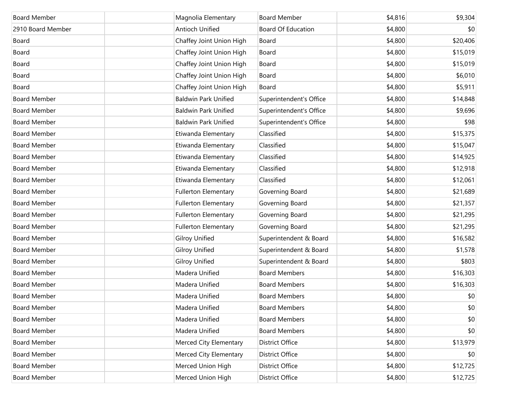| <b>Board Member</b> | Magnolia Elementary         | <b>Board Member</b>       | \$4,816 | \$9,304  |
|---------------------|-----------------------------|---------------------------|---------|----------|
|                     |                             |                           |         |          |
| 2910 Board Member   | <b>Antioch Unified</b>      | <b>Board Of Education</b> | \$4,800 | \$0      |
| Board               | Chaffey Joint Union High    | Board                     | \$4,800 | \$20,406 |
| Board               | Chaffey Joint Union High    | Board                     | \$4,800 | \$15,019 |
| Board               | Chaffey Joint Union High    | Board                     | \$4,800 | \$15,019 |
| Board               | Chaffey Joint Union High    | Board                     | \$4,800 | \$6,010  |
| Board               | Chaffey Joint Union High    | Board                     | \$4,800 | \$5,911  |
| <b>Board Member</b> | <b>Baldwin Park Unified</b> | Superintendent's Office   | \$4,800 | \$14,848 |
| <b>Board Member</b> | <b>Baldwin Park Unified</b> | Superintendent's Office   | \$4,800 | \$9,696  |
| <b>Board Member</b> | <b>Baldwin Park Unified</b> | Superintendent's Office   | \$4,800 | \$98     |
| <b>Board Member</b> | Etiwanda Elementary         | Classified                | \$4,800 | \$15,375 |
| <b>Board Member</b> | Etiwanda Elementary         | Classified                | \$4,800 | \$15,047 |
| <b>Board Member</b> | Etiwanda Elementary         | Classified                | \$4,800 | \$14,925 |
| <b>Board Member</b> | Etiwanda Elementary         | Classified                | \$4,800 | \$12,918 |
| <b>Board Member</b> | Etiwanda Elementary         | Classified                | \$4,800 | \$12,061 |
| <b>Board Member</b> | <b>Fullerton Elementary</b> | Governing Board           | \$4,800 | \$21,689 |
| <b>Board Member</b> | <b>Fullerton Elementary</b> | Governing Board           | \$4,800 | \$21,357 |
| <b>Board Member</b> | <b>Fullerton Elementary</b> | Governing Board           | \$4,800 | \$21,295 |
| <b>Board Member</b> | <b>Fullerton Elementary</b> | Governing Board           | \$4,800 | \$21,295 |
| <b>Board Member</b> | Gilroy Unified              | Superintendent & Board    | \$4,800 | \$16,582 |
| <b>Board Member</b> | Gilroy Unified              | Superintendent & Board    | \$4,800 | \$1,578  |
| <b>Board Member</b> | Gilroy Unified              | Superintendent & Board    | \$4,800 | \$803    |
| <b>Board Member</b> | Madera Unified              | <b>Board Members</b>      | \$4,800 | \$16,303 |
| <b>Board Member</b> | Madera Unified              | <b>Board Members</b>      | \$4,800 | \$16,303 |
| <b>Board Member</b> | Madera Unified              | <b>Board Members</b>      | \$4,800 | \$0      |
| <b>Board Member</b> | Madera Unified              | <b>Board Members</b>      | \$4,800 | \$0      |
| <b>Board Member</b> | Madera Unified              | <b>Board Members</b>      | \$4,800 | \$0      |
| <b>Board Member</b> | Madera Unified              | <b>Board Members</b>      | \$4,800 | \$0      |
| <b>Board Member</b> | Merced City Elementary      | <b>District Office</b>    | \$4,800 | \$13,979 |
| <b>Board Member</b> | Merced City Elementary      | <b>District Office</b>    | \$4,800 | \$0      |
| <b>Board Member</b> | Merced Union High           | <b>District Office</b>    | \$4,800 | \$12,725 |
| <b>Board Member</b> | Merced Union High           | <b>District Office</b>    | \$4,800 | \$12,725 |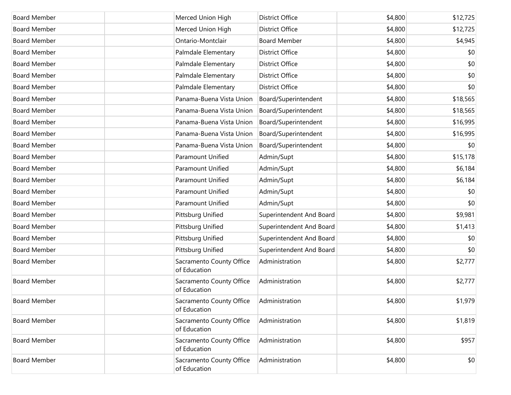| <b>Board Member</b> | Merced Union High                        | <b>District Office</b>   | \$4,800 | \$12,725 |
|---------------------|------------------------------------------|--------------------------|---------|----------|
| <b>Board Member</b> | Merced Union High                        | <b>District Office</b>   | \$4,800 | \$12,725 |
| <b>Board Member</b> | Ontario-Montclair                        | <b>Board Member</b>      | \$4,800 | \$4,945  |
| <b>Board Member</b> | Palmdale Elementary                      | <b>District Office</b>   | \$4,800 | \$0      |
| <b>Board Member</b> | Palmdale Elementary                      | District Office          | \$4,800 | \$0      |
| <b>Board Member</b> | Palmdale Elementary                      | <b>District Office</b>   | \$4,800 | \$0      |
| <b>Board Member</b> | Palmdale Elementary                      | <b>District Office</b>   | \$4,800 | \$0      |
| <b>Board Member</b> | Panama-Buena Vista Union                 | Board/Superintendent     | \$4,800 | \$18,565 |
| <b>Board Member</b> | Panama-Buena Vista Union                 | Board/Superintendent     | \$4,800 | \$18,565 |
| <b>Board Member</b> | Panama-Buena Vista Union                 | Board/Superintendent     | \$4,800 | \$16,995 |
| <b>Board Member</b> | Panama-Buena Vista Union                 | Board/Superintendent     | \$4,800 | \$16,995 |
| <b>Board Member</b> | Panama-Buena Vista Union                 | Board/Superintendent     | \$4,800 | \$0      |
| <b>Board Member</b> | Paramount Unified                        | Admin/Supt               | \$4,800 | \$15,178 |
| <b>Board Member</b> | Paramount Unified                        | Admin/Supt               | \$4,800 | \$6,184  |
| <b>Board Member</b> | Paramount Unified                        | Admin/Supt               | \$4,800 | \$6,184  |
| <b>Board Member</b> | Paramount Unified                        | Admin/Supt               | \$4,800 | \$0      |
| <b>Board Member</b> | Paramount Unified                        | Admin/Supt               | \$4,800 | \$0      |
| <b>Board Member</b> | Pittsburg Unified                        | Superintendent And Board | \$4,800 | \$9,981  |
| <b>Board Member</b> | Pittsburg Unified                        | Superintendent And Board | \$4,800 | \$1,413  |
| <b>Board Member</b> | Pittsburg Unified                        | Superintendent And Board | \$4,800 | \$0      |
| <b>Board Member</b> | Pittsburg Unified                        | Superintendent And Board | \$4,800 | \$0      |
| <b>Board Member</b> | Sacramento County Office<br>of Education | Administration           | \$4,800 | \$2,777  |
| <b>Board Member</b> | Sacramento County Office<br>of Education | Administration           | \$4,800 | \$2,777  |
| Board Member        | Sacramento County Office<br>of Education | Administration           | \$4,800 | \$1,979  |
| <b>Board Member</b> | Sacramento County Office<br>of Education | Administration           | \$4,800 | \$1,819  |
| <b>Board Member</b> | Sacramento County Office<br>of Education | Administration           | \$4,800 | \$957    |
| <b>Board Member</b> | Sacramento County Office<br>of Education | Administration           | \$4,800 | \$0      |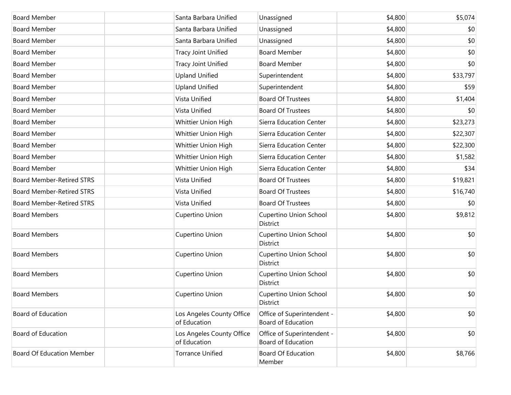| <b>Board Member</b>              | Santa Barbara Unified                     | Unassigned                                              | \$4,800 | \$5,074  |
|----------------------------------|-------------------------------------------|---------------------------------------------------------|---------|----------|
| <b>Board Member</b>              | Santa Barbara Unified                     | Unassigned                                              | \$4,800 | \$0      |
| <b>Board Member</b>              | Santa Barbara Unified                     | Unassigned                                              | \$4,800 | \$0      |
| <b>Board Member</b>              | <b>Tracy Joint Unified</b>                | <b>Board Member</b>                                     | \$4,800 | \$0      |
| <b>Board Member</b>              | <b>Tracy Joint Unified</b>                | <b>Board Member</b>                                     | \$4,800 | \$0      |
| <b>Board Member</b>              | <b>Upland Unified</b>                     | Superintendent                                          | \$4,800 | \$33,797 |
| <b>Board Member</b>              | <b>Upland Unified</b>                     | Superintendent                                          | \$4,800 | \$59     |
| <b>Board Member</b>              | Vista Unified                             | <b>Board Of Trustees</b>                                | \$4,800 | \$1,404  |
| <b>Board Member</b>              | Vista Unified                             | <b>Board Of Trustees</b>                                | \$4,800 | \$0      |
| <b>Board Member</b>              | Whittier Union High                       | Sierra Education Center                                 | \$4,800 | \$23,273 |
| <b>Board Member</b>              | Whittier Union High                       | Sierra Education Center                                 | \$4,800 | \$22,307 |
| <b>Board Member</b>              | Whittier Union High                       | Sierra Education Center                                 | \$4,800 | \$22,300 |
| <b>Board Member</b>              | Whittier Union High                       | Sierra Education Center                                 | \$4,800 | \$1,582  |
| <b>Board Member</b>              | Whittier Union High                       | Sierra Education Center                                 | \$4,800 | \$34     |
| <b>Board Member-Retired STRS</b> | Vista Unified                             | <b>Board Of Trustees</b>                                | \$4,800 | \$19,821 |
| <b>Board Member-Retired STRS</b> | Vista Unified                             | <b>Board Of Trustees</b>                                | \$4,800 | \$16,740 |
| <b>Board Member-Retired STRS</b> | Vista Unified                             | <b>Board Of Trustees</b>                                | \$4,800 | \$0      |
| <b>Board Members</b>             | Cupertino Union                           | Cupertino Union School<br>District                      | \$4,800 | \$9,812  |
| <b>Board Members</b>             | Cupertino Union                           | <b>Cupertino Union School</b><br>District               | \$4,800 | \$0      |
| <b>Board Members</b>             | Cupertino Union                           | Cupertino Union School<br>District                      | \$4,800 | \$0      |
| <b>Board Members</b>             | Cupertino Union                           | Cupertino Union School<br>District                      | \$4,800 | \$0      |
| <b>Board Members</b>             | Cupertino Union                           | Cupertino Union School<br>District                      | \$4,800 | \$0      |
| <b>Board of Education</b>        | Los Angeles County Office<br>of Education | Office of Superintendent -<br>Board of Education        | \$4,800 | \$0      |
| <b>Board of Education</b>        | Los Angeles County Office<br>of Education | Office of Superintendent -<br><b>Board of Education</b> | \$4,800 | \$0      |
| <b>Board Of Education Member</b> | <b>Torrance Unified</b>                   | Board Of Education<br>Member                            | \$4,800 | \$8,766  |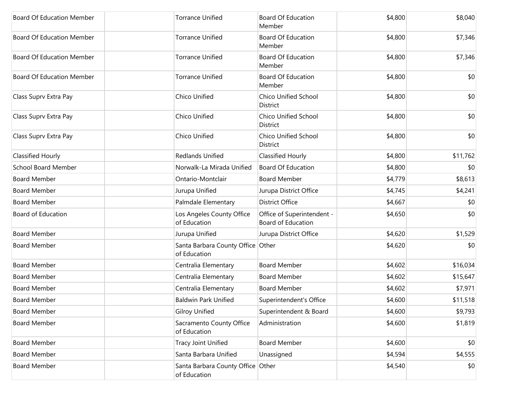| <b>Board Of Education Member</b> | <b>Torrance Unified</b>                           | <b>Board Of Education</b><br>Member              | \$4,800 | \$8,040  |
|----------------------------------|---------------------------------------------------|--------------------------------------------------|---------|----------|
| <b>Board Of Education Member</b> | <b>Torrance Unified</b>                           | <b>Board Of Education</b><br>Member              | \$4,800 | \$7,346  |
| <b>Board Of Education Member</b> | <b>Torrance Unified</b>                           | <b>Board Of Education</b><br>Member              | \$4,800 | \$7,346  |
| <b>Board Of Education Member</b> | <b>Torrance Unified</b>                           | <b>Board Of Education</b><br>Member              | \$4,800 | \$0      |
| Class Suprv Extra Pay            | Chico Unified                                     | Chico Unified School<br>District                 | \$4,800 | \$0      |
| Class Suprv Extra Pay            | Chico Unified                                     | Chico Unified School<br>District                 | \$4,800 | \$0      |
| Class Suprv Extra Pay            | Chico Unified                                     | <b>Chico Unified School</b><br>District          | \$4,800 | \$0      |
| Classified Hourly                | <b>Redlands Unified</b>                           | Classified Hourly                                | \$4,800 | \$11,762 |
| <b>School Board Member</b>       | Norwalk-La Mirada Unified                         | <b>Board Of Education</b>                        | \$4,800 | \$0      |
| <b>Board Member</b>              | Ontario-Montclair                                 | <b>Board Member</b>                              | \$4,779 | \$8,613  |
| <b>Board Member</b>              | Jurupa Unified                                    | Jurupa District Office                           | \$4,745 | \$4,241  |
| <b>Board Member</b>              | Palmdale Elementary                               | <b>District Office</b>                           | \$4,667 | \$0      |
| Board of Education               | Los Angeles County Office<br>of Education         | Office of Superintendent -<br>Board of Education | \$4,650 | \$0      |
| <b>Board Member</b>              | Jurupa Unified                                    | Jurupa District Office                           | \$4,620 | \$1,529  |
| <b>Board Member</b>              | Santa Barbara County Office Other<br>of Education |                                                  | \$4,620 | \$0      |
| <b>Board Member</b>              | Centralia Elementary                              | <b>Board Member</b>                              | \$4,602 | \$16,034 |
| <b>Board Member</b>              | Centralia Elementary                              | <b>Board Member</b>                              | \$4,602 | \$15,647 |
| <b>Board Member</b>              | Centralia Elementary                              | <b>Board Member</b>                              | \$4,602 | \$7,971  |
| Board Member                     | <b>Baldwin Park Unified</b>                       | Superintendent's Office                          | \$4,600 | \$11,518 |
| <b>Board Member</b>              | <b>Gilroy Unified</b>                             | Superintendent & Board                           | \$4,600 | \$9,793  |
| <b>Board Member</b>              | Sacramento County Office<br>of Education          | Administration                                   | \$4,600 | \$1,819  |
| <b>Board Member</b>              | <b>Tracy Joint Unified</b>                        | <b>Board Member</b>                              | \$4,600 | \$0      |
| <b>Board Member</b>              | Santa Barbara Unified                             | Unassigned                                       | \$4,594 | \$4,555  |
| <b>Board Member</b>              | Santa Barbara County Office Other<br>of Education |                                                  | \$4,540 | \$0      |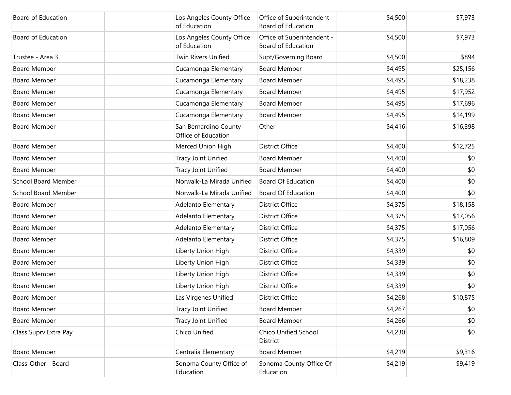| <b>Board of Education</b>  | Los Angeles County Office<br>of Education    | Office of Superintendent -<br><b>Board of Education</b> | \$4,500 | \$7,973  |
|----------------------------|----------------------------------------------|---------------------------------------------------------|---------|----------|
| Board of Education         | Los Angeles County Office<br>of Education    | Office of Superintendent -<br>Board of Education        | \$4,500 | \$7,973  |
| Trustee - Area 3           | Twin Rivers Unified                          | Supt/Governing Board                                    | \$4,500 | \$894    |
| <b>Board Member</b>        | Cucamonga Elementary                         | <b>Board Member</b>                                     | \$4,495 | \$25,156 |
| <b>Board Member</b>        | Cucamonga Elementary                         | <b>Board Member</b>                                     | \$4,495 | \$18,238 |
| <b>Board Member</b>        | Cucamonga Elementary                         | <b>Board Member</b>                                     | \$4,495 | \$17,952 |
| <b>Board Member</b>        | Cucamonga Elementary                         | <b>Board Member</b>                                     | \$4,495 | \$17,696 |
| <b>Board Member</b>        | Cucamonga Elementary                         | <b>Board Member</b>                                     | \$4,495 | \$14,199 |
| <b>Board Member</b>        | San Bernardino County<br>Office of Education | Other                                                   | \$4,416 | \$16,398 |
| <b>Board Member</b>        | Merced Union High                            | <b>District Office</b>                                  | \$4,400 | \$12,725 |
| <b>Board Member</b>        | Tracy Joint Unified                          | <b>Board Member</b>                                     | \$4,400 | \$0      |
| <b>Board Member</b>        | Tracy Joint Unified                          | <b>Board Member</b>                                     | \$4,400 | \$0      |
| <b>School Board Member</b> | Norwalk-La Mirada Unified                    | <b>Board Of Education</b>                               | \$4,400 | \$0      |
| <b>School Board Member</b> | Norwalk-La Mirada Unified                    | <b>Board Of Education</b>                               | \$4,400 | \$0      |
| <b>Board Member</b>        | Adelanto Elementary                          | <b>District Office</b>                                  | \$4,375 | \$18,158 |
| <b>Board Member</b>        | Adelanto Elementary                          | <b>District Office</b>                                  | \$4,375 | \$17,056 |
| <b>Board Member</b>        | Adelanto Elementary                          | <b>District Office</b>                                  | \$4,375 | \$17,056 |
| <b>Board Member</b>        | Adelanto Elementary                          | <b>District Office</b>                                  | \$4,375 | \$16,809 |
| <b>Board Member</b>        | Liberty Union High                           | <b>District Office</b>                                  | \$4,339 | \$0      |
| <b>Board Member</b>        | Liberty Union High                           | <b>District Office</b>                                  | \$4,339 | \$0      |
| <b>Board Member</b>        | Liberty Union High                           | <b>District Office</b>                                  | \$4,339 | \$0      |
| <b>Board Member</b>        | Liberty Union High                           | <b>District Office</b>                                  | \$4,339 | \$0      |
| <b>Board Member</b>        | Las Virgenes Unified                         | <b>District Office</b>                                  | \$4,268 | \$10,875 |
| <b>Board Member</b>        | Tracy Joint Unified                          | <b>Board Member</b>                                     | \$4,267 | \$0      |
| <b>Board Member</b>        | Tracy Joint Unified                          | <b>Board Member</b>                                     | \$4,266 | \$0      |
| Class Suprv Extra Pay      | Chico Unified                                | <b>Chico Unified School</b><br>District                 | \$4,230 | \$0      |
| <b>Board Member</b>        | Centralia Elementary                         | <b>Board Member</b>                                     | \$4,219 | \$9,316  |
| Class-Other - Board        | Sonoma County Office of<br>Education         | Sonoma County Office Of<br>Education                    | \$4,219 | \$9,419  |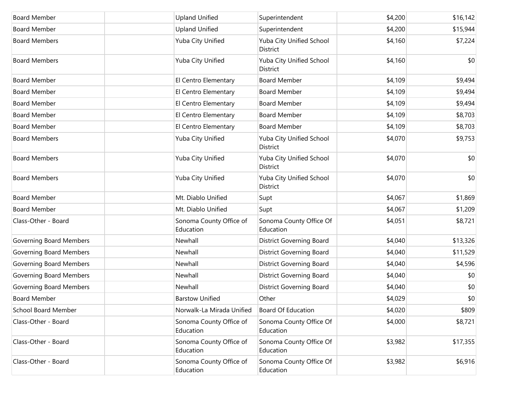| <b>Board Member</b>            | <b>Upland Unified</b>                | Superintendent                       | \$4,200 | \$16,142 |
|--------------------------------|--------------------------------------|--------------------------------------|---------|----------|
| <b>Board Member</b>            | <b>Upland Unified</b>                | Superintendent                       | \$4,200 | \$15,944 |
| <b>Board Members</b>           | Yuba City Unified                    | Yuba City Unified School<br>District | \$4,160 | \$7,224  |
| <b>Board Members</b>           | Yuba City Unified                    | Yuba City Unified School<br>District | \$4,160 | \$0      |
| <b>Board Member</b>            | El Centro Elementary                 | <b>Board Member</b>                  | \$4,109 | \$9,494  |
| <b>Board Member</b>            | El Centro Elementary                 | <b>Board Member</b>                  | \$4,109 | \$9,494  |
| <b>Board Member</b>            | El Centro Elementary                 | <b>Board Member</b>                  | \$4,109 | \$9,494  |
| <b>Board Member</b>            | El Centro Elementary                 | <b>Board Member</b>                  | \$4,109 | \$8,703  |
| <b>Board Member</b>            | El Centro Elementary                 | <b>Board Member</b>                  | \$4,109 | \$8,703  |
| <b>Board Members</b>           | Yuba City Unified                    | Yuba City Unified School<br>District | \$4,070 | \$9,753  |
| <b>Board Members</b>           | Yuba City Unified                    | Yuba City Unified School<br>District | \$4,070 | \$0      |
| <b>Board Members</b>           | Yuba City Unified                    | Yuba City Unified School<br>District | \$4,070 | \$0      |
| <b>Board Member</b>            | Mt. Diablo Unified                   | Supt                                 | \$4,067 | \$1,869  |
| <b>Board Member</b>            | Mt. Diablo Unified                   | Supt                                 | \$4,067 | \$1,209  |
| Class-Other - Board            | Sonoma County Office of<br>Education | Sonoma County Office Of<br>Education | \$4,051 | \$8,721  |
| Governing Board Members        | Newhall                              | <b>District Governing Board</b>      | \$4,040 | \$13,326 |
| <b>Governing Board Members</b> | Newhall                              | <b>District Governing Board</b>      | \$4,040 | \$11,529 |
| <b>Governing Board Members</b> | Newhall                              | <b>District Governing Board</b>      | \$4,040 | \$4,596  |
| <b>Governing Board Members</b> | Newhall                              | <b>District Governing Board</b>      | \$4,040 | \$0      |
| <b>Governing Board Members</b> | Newhall                              | <b>District Governing Board</b>      | \$4,040 | \$0      |
| <b>Board Member</b>            | <b>Barstow Unified</b>               | Other                                | \$4,029 | \$0      |
| <b>School Board Member</b>     | Norwalk-La Mirada Unified            | <b>Board Of Education</b>            | \$4,020 | \$809    |
| Class-Other - Board            | Sonoma County Office of<br>Education | Sonoma County Office Of<br>Education | \$4,000 | \$8,721  |
| Class-Other - Board            | Sonoma County Office of<br>Education | Sonoma County Office Of<br>Education | \$3,982 | \$17,355 |
| Class-Other - Board            | Sonoma County Office of<br>Education | Sonoma County Office Of<br>Education | \$3,982 | \$6,916  |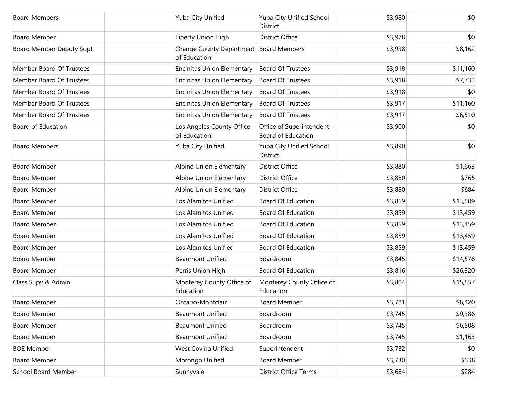| <b>Board Members</b>       | Yuba City Unified                                      | Yuba City Unified School<br>District             | \$3,980 | \$0      |
|----------------------------|--------------------------------------------------------|--------------------------------------------------|---------|----------|
| <b>Board Member</b>        | Liberty Union High                                     | <b>District Office</b>                           | \$3,978 | \$0      |
| Board Member Deputy Supt   | Orange County Department Board Members<br>of Education |                                                  | \$3,938 | \$8,162  |
| Member Board Of Trustees   | <b>Encinitas Union Elementary</b>                      | <b>Board Of Trustees</b>                         | \$3,918 | \$11,160 |
| Member Board Of Trustees   | <b>Encinitas Union Elementary</b>                      | <b>Board Of Trustees</b>                         | \$3,918 | \$7,733  |
| Member Board Of Trustees   | <b>Encinitas Union Elementary</b>                      | <b>Board Of Trustees</b>                         | \$3,918 | \$0      |
| Member Board Of Trustees   | <b>Encinitas Union Elementary</b>                      | <b>Board Of Trustees</b>                         | \$3,917 | \$11,160 |
| Member Board Of Trustees   | <b>Encinitas Union Elementary</b>                      | <b>Board Of Trustees</b>                         | \$3,917 | \$6,510  |
| <b>Board of Education</b>  | Los Angeles County Office<br>of Education              | Office of Superintendent -<br>Board of Education | \$3,900 | \$0      |
| <b>Board Members</b>       | Yuba City Unified                                      | Yuba City Unified School<br>District             | \$3,890 | \$0      |
| <b>Board Member</b>        | Alpine Union Elementary                                | <b>District Office</b>                           | \$3,880 | \$1,663  |
| <b>Board Member</b>        | Alpine Union Elementary                                | <b>District Office</b>                           | \$3,880 | \$765    |
| <b>Board Member</b>        | Alpine Union Elementary                                | <b>District Office</b>                           | \$3,880 | \$684    |
| <b>Board Member</b>        | Los Alamitos Unified                                   | <b>Board Of Education</b>                        | \$3,859 | \$13,509 |
| <b>Board Member</b>        | Los Alamitos Unified                                   | <b>Board Of Education</b>                        | \$3,859 | \$13,459 |
| <b>Board Member</b>        | Los Alamitos Unified                                   | <b>Board Of Education</b>                        | \$3,859 | \$13,459 |
| <b>Board Member</b>        | Los Alamitos Unified                                   | <b>Board Of Education</b>                        | \$3,859 | \$13,459 |
| <b>Board Member</b>        | Los Alamitos Unified                                   | <b>Board Of Education</b>                        | \$3,859 | \$13,459 |
| <b>Board Member</b>        | <b>Beaumont Unified</b>                                | Boardroom                                        | \$3,845 | \$14,578 |
| <b>Board Member</b>        | Perris Union High                                      | <b>Board Of Education</b>                        | \$3,816 | \$26,320 |
| Class Supv & Admin         | Monterey County Office of<br>Education                 | Monterey County Office of<br>Education           | \$3,804 | \$15,857 |
| <b>Board Member</b>        | Ontario-Montclair                                      | <b>Board Member</b>                              | \$3,781 | \$8,420  |
| <b>Board Member</b>        | <b>Beaumont Unified</b>                                | Boardroom                                        | \$3,745 | \$9,386  |
| <b>Board Member</b>        | <b>Beaumont Unified</b>                                | Boardroom                                        | \$3,745 | \$6,508  |
| <b>Board Member</b>        | <b>Beaumont Unified</b>                                | Boardroom                                        | \$3,745 | \$1,163  |
| <b>BOE Member</b>          | West Covina Unified                                    | Superintendent                                   | \$3,732 | \$0      |
| <b>Board Member</b>        | Morongo Unified                                        | <b>Board Member</b>                              | \$3,730 | \$638    |
| <b>School Board Member</b> | Sunnyvale                                              | <b>District Office Terms</b>                     | \$3,684 | \$284    |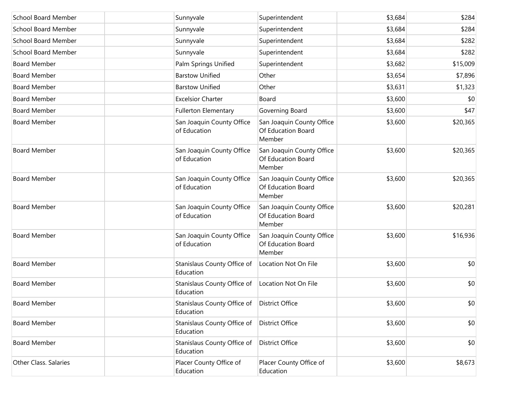| School Board Member          | Sunnyvale                                                  | Superintendent                                            | \$3,684 | \$284    |
|------------------------------|------------------------------------------------------------|-----------------------------------------------------------|---------|----------|
| <b>School Board Member</b>   | Sunnyvale                                                  | Superintendent                                            | \$3,684 | \$284    |
| <b>School Board Member</b>   | Sunnyvale                                                  | Superintendent                                            | \$3,684 | \$282    |
| <b>School Board Member</b>   | Sunnyvale                                                  | Superintendent                                            | \$3,684 | \$282    |
| <b>Board Member</b>          | Palm Springs Unified                                       | Superintendent                                            | \$3,682 | \$15,009 |
| <b>Board Member</b>          | <b>Barstow Unified</b>                                     | Other                                                     | \$3,654 | \$7,896  |
| <b>Board Member</b>          | <b>Barstow Unified</b>                                     | Other                                                     | \$3,631 | \$1,323  |
| <b>Board Member</b>          | <b>Excelsior Charter</b>                                   | Board                                                     | \$3,600 | \$0      |
| <b>Board Member</b>          | <b>Fullerton Elementary</b>                                | Governing Board                                           | \$3,600 | \$47     |
| <b>Board Member</b>          | San Joaquin County Office<br>of Education                  | San Joaquin County Office<br>Of Education Board<br>Member | \$3,600 | \$20,365 |
| <b>Board Member</b>          | San Joaquin County Office<br>of Education                  | San Joaquin County Office<br>Of Education Board<br>Member | \$3,600 | \$20,365 |
| <b>Board Member</b>          | San Joaquin County Office<br>of Education                  | San Joaquin County Office<br>Of Education Board<br>Member | \$3,600 | \$20,365 |
| <b>Board Member</b>          | San Joaquin County Office<br>of Education                  | San Joaquin County Office<br>Of Education Board<br>Member | \$3,600 | \$20,281 |
| <b>Board Member</b>          | San Joaquin County Office<br>of Education                  | San Joaquin County Office<br>Of Education Board<br>Member | \$3,600 | \$16,936 |
| <b>Board Member</b>          | Stanislaus County Office of<br>Education                   | Location Not On File                                      | \$3,600 | \$0      |
| <b>Board Member</b>          | Stanislaus County Office of<br>Education                   | Location Not On File                                      | \$3,600 | \$0      |
| <b>Board Member</b>          | Stanislaus County Office of   District Office<br>Education |                                                           | \$3,600 | \$0      |
| <b>Board Member</b>          | Stanislaus County Office of<br>Education                   | <b>District Office</b>                                    | \$3,600 | \$0      |
| <b>Board Member</b>          | Stanislaus County Office of<br>Education                   | <b>District Office</b>                                    | \$3,600 | \$0      |
| <b>Other Class. Salaries</b> | Placer County Office of<br>Education                       | Placer County Office of<br>Education                      | \$3,600 | \$8,673  |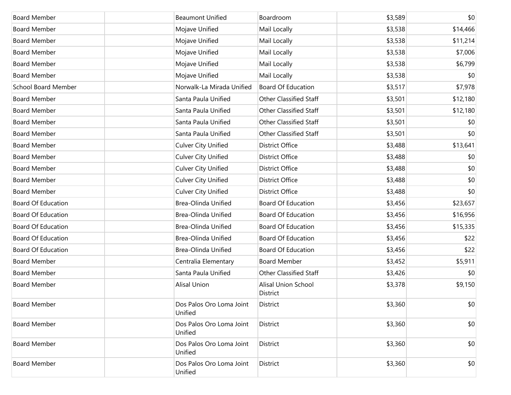| <b>Board Member</b>        | <b>Beaumont Unified</b>             | Boardroom                       | \$3,589 | \$0      |
|----------------------------|-------------------------------------|---------------------------------|---------|----------|
| <b>Board Member</b>        | Mojave Unified                      | Mail Locally                    | \$3,538 | \$14,466 |
| <b>Board Member</b>        | Mojave Unified                      | Mail Locally                    | \$3,538 | \$11,214 |
| <b>Board Member</b>        | Mojave Unified                      | Mail Locally                    | \$3,538 | \$7,006  |
| <b>Board Member</b>        | Mojave Unified                      | Mail Locally                    | \$3,538 | \$6,799  |
| <b>Board Member</b>        | Mojave Unified                      | Mail Locally                    | \$3,538 | \$0      |
| <b>School Board Member</b> | Norwalk-La Mirada Unified           | <b>Board Of Education</b>       | \$3,517 | \$7,978  |
| <b>Board Member</b>        | Santa Paula Unified                 | Other Classified Staff          | \$3,501 | \$12,180 |
| <b>Board Member</b>        | Santa Paula Unified                 | Other Classified Staff          | \$3,501 | \$12,180 |
| <b>Board Member</b>        | Santa Paula Unified                 | Other Classified Staff          | \$3,501 | \$0      |
| <b>Board Member</b>        | Santa Paula Unified                 | Other Classified Staff          | \$3,501 | \$0      |
| <b>Board Member</b>        | <b>Culver City Unified</b>          | District Office                 | \$3,488 | \$13,641 |
| <b>Board Member</b>        | <b>Culver City Unified</b>          | District Office                 | \$3,488 | \$0      |
| <b>Board Member</b>        | <b>Culver City Unified</b>          | District Office                 | \$3,488 | \$0      |
| <b>Board Member</b>        | <b>Culver City Unified</b>          | District Office                 | \$3,488 | \$0      |
| <b>Board Member</b>        | <b>Culver City Unified</b>          | District Office                 | \$3,488 | \$0      |
| <b>Board Of Education</b>  | Brea-Olinda Unified                 | <b>Board Of Education</b>       | \$3,456 | \$23,657 |
| Board Of Education         | Brea-Olinda Unified                 | <b>Board Of Education</b>       | \$3,456 | \$16,956 |
| <b>Board Of Education</b>  | Brea-Olinda Unified                 | <b>Board Of Education</b>       | \$3,456 | \$15,335 |
| Board Of Education         | Brea-Olinda Unified                 | <b>Board Of Education</b>       | \$3,456 | \$22     |
| <b>Board Of Education</b>  | Brea-Olinda Unified                 | <b>Board Of Education</b>       | \$3,456 | \$22     |
| <b>Board Member</b>        | Centralia Elementary                | <b>Board Member</b>             | \$3,452 | \$5,911  |
| <b>Board Member</b>        | Santa Paula Unified                 | Other Classified Staff          | \$3,426 | \$0      |
| <b>Board Member</b>        | <b>Alisal Union</b>                 | Alisal Union School<br>District | \$3,378 | \$9,150  |
| <b>Board Member</b>        | Dos Palos Oro Loma Joint<br>Unified | District                        | \$3,360 | \$0      |
| <b>Board Member</b>        | Dos Palos Oro Loma Joint<br>Unified | District                        | \$3,360 | \$0      |
| <b>Board Member</b>        | Dos Palos Oro Loma Joint<br>Unified | District                        | \$3,360 | \$0      |
| <b>Board Member</b>        | Dos Palos Oro Loma Joint<br>Unified | District                        | \$3,360 | \$0      |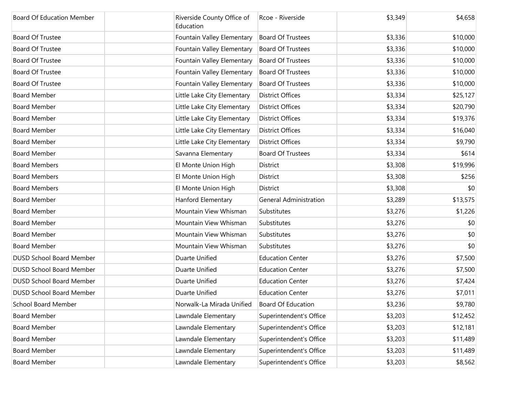| <b>Board Of Education Member</b> | Riverside County Office of<br>Education | Rcoe - Riverside              | \$3,349 | \$4,658  |
|----------------------------------|-----------------------------------------|-------------------------------|---------|----------|
| Board Of Trustee                 | Fountain Valley Elementary              | <b>Board Of Trustees</b>      | \$3,336 | \$10,000 |
| Board Of Trustee                 | Fountain Valley Elementary              | <b>Board Of Trustees</b>      | \$3,336 | \$10,000 |
| <b>Board Of Trustee</b>          | Fountain Valley Elementary              | <b>Board Of Trustees</b>      | \$3,336 | \$10,000 |
| Board Of Trustee                 | Fountain Valley Elementary              | <b>Board Of Trustees</b>      | \$3,336 | \$10,000 |
| <b>Board Of Trustee</b>          | Fountain Valley Elementary              | <b>Board Of Trustees</b>      | \$3,336 | \$10,000 |
| <b>Board Member</b>              | Little Lake City Elementary             | <b>District Offices</b>       | \$3,334 | \$25,127 |
| <b>Board Member</b>              | Little Lake City Elementary             | <b>District Offices</b>       | \$3,334 | \$20,790 |
| <b>Board Member</b>              | Little Lake City Elementary             | <b>District Offices</b>       | \$3,334 | \$19,376 |
| <b>Board Member</b>              | Little Lake City Elementary             | <b>District Offices</b>       | \$3,334 | \$16,040 |
| <b>Board Member</b>              | Little Lake City Elementary             | <b>District Offices</b>       | \$3,334 | \$9,790  |
| <b>Board Member</b>              | Savanna Elementary                      | <b>Board Of Trustees</b>      | \$3,334 | \$614    |
| <b>Board Members</b>             | El Monte Union High                     | <b>District</b>               | \$3,308 | \$19,996 |
| <b>Board Members</b>             | El Monte Union High                     | District                      | \$3,308 | \$256    |
| <b>Board Members</b>             | El Monte Union High                     | District                      | \$3,308 | \$0      |
| <b>Board Member</b>              | Hanford Elementary                      | <b>General Administration</b> | \$3,289 | \$13,575 |
| <b>Board Member</b>              | Mountain View Whisman                   | Substitutes                   | \$3,276 | \$1,226  |
| <b>Board Member</b>              | Mountain View Whisman                   | Substitutes                   | \$3,276 | \$0      |
| <b>Board Member</b>              | Mountain View Whisman                   | Substitutes                   | \$3,276 | \$0      |
| <b>Board Member</b>              | Mountain View Whisman                   | Substitutes                   | \$3,276 | \$0      |
| <b>DUSD School Board Member</b>  | Duarte Unified                          | <b>Education Center</b>       | \$3,276 | \$7,500  |
| DUSD School Board Member         | Duarte Unified                          | <b>Education Center</b>       | \$3,276 | \$7,500  |
| <b>DUSD School Board Member</b>  | Duarte Unified                          | <b>Education Center</b>       | \$3,276 | \$7,424  |
| <b>DUSD School Board Member</b>  | Duarte Unified                          | <b>Education Center</b>       | \$3,276 | \$7,011  |
| <b>School Board Member</b>       | Norwalk-La Mirada Unified               | <b>Board Of Education</b>     | \$3,236 | \$9,780  |
| <b>Board Member</b>              | Lawndale Elementary                     | Superintendent's Office       | \$3,203 | \$12,452 |
| <b>Board Member</b>              | Lawndale Elementary                     | Superintendent's Office       | \$3,203 | \$12,181 |
| <b>Board Member</b>              | Lawndale Elementary                     | Superintendent's Office       | \$3,203 | \$11,489 |
| <b>Board Member</b>              | Lawndale Elementary                     | Superintendent's Office       | \$3,203 | \$11,489 |
| <b>Board Member</b>              | Lawndale Elementary                     | Superintendent's Office       | \$3,203 | \$8,562  |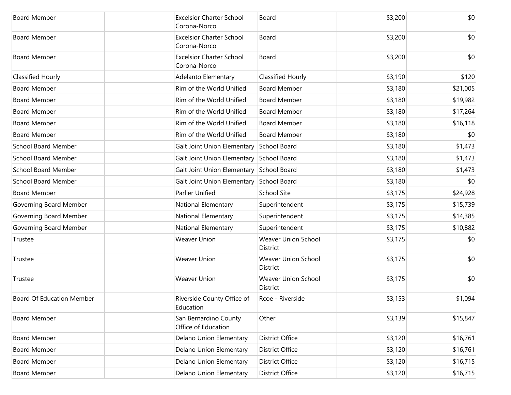| <b>Board Member</b>        | <b>Excelsior Charter School</b>                 | Board                                  | \$3,200 | \$0      |
|----------------------------|-------------------------------------------------|----------------------------------------|---------|----------|
|                            | Corona-Norco                                    |                                        |         |          |
| <b>Board Member</b>        | <b>Excelsior Charter School</b><br>Corona-Norco | Board                                  | \$3,200 | \$0      |
| <b>Board Member</b>        | <b>Excelsior Charter School</b><br>Corona-Norco | Board                                  | \$3,200 | \$0      |
| <b>Classified Hourly</b>   | Adelanto Elementary                             | Classified Hourly                      | \$3,190 | \$120    |
| <b>Board Member</b>        | Rim of the World Unified                        | <b>Board Member</b>                    | \$3,180 | \$21,005 |
| <b>Board Member</b>        | Rim of the World Unified                        | <b>Board Member</b>                    | \$3,180 | \$19,982 |
| <b>Board Member</b>        | Rim of the World Unified                        | <b>Board Member</b>                    | \$3,180 | \$17,264 |
| <b>Board Member</b>        | Rim of the World Unified                        | <b>Board Member</b>                    | \$3,180 | \$16,118 |
| <b>Board Member</b>        | Rim of the World Unified                        | <b>Board Member</b>                    | \$3,180 | \$0      |
| <b>School Board Member</b> | Galt Joint Union Elementary                     | School Board                           | \$3,180 | \$1,473  |
| <b>School Board Member</b> | Galt Joint Union Elementary School Board        |                                        | \$3,180 | \$1,473  |
| <b>School Board Member</b> | Galt Joint Union Elementary School Board        |                                        | \$3,180 | \$1,473  |
| <b>School Board Member</b> | Galt Joint Union Elementary School Board        |                                        | \$3,180 | \$0      |
| <b>Board Member</b>        | Parlier Unified                                 | <b>School Site</b>                     | \$3,175 | \$24,928 |
| Governing Board Member     | National Elementary                             | Superintendent                         | \$3,175 | \$15,739 |
| Governing Board Member     | National Elementary                             | Superintendent                         | \$3,175 | \$14,385 |
| Governing Board Member     | National Elementary                             | Superintendent                         | \$3,175 | \$10,882 |
| Trustee                    | <b>Weaver Union</b>                             | <b>Weaver Union School</b><br>District | \$3,175 | \$0      |
| Trustee                    | <b>Weaver Union</b>                             | Weaver Union School<br><b>District</b> | \$3,175 | \$0      |
| Trustee                    | <b>Weaver Union</b>                             | <b>Weaver Union School</b><br>District | \$3,175 | \$0      |
| Board Of Education Member  | Riverside County Office of<br>Education         | Rcoe - Riverside                       | \$3,153 | \$1,094  |
| <b>Board Member</b>        | San Bernardino County<br>Office of Education    | Other                                  | \$3,139 | \$15,847 |
| <b>Board Member</b>        | Delano Union Elementary                         | District Office                        | \$3,120 | \$16,761 |
| <b>Board Member</b>        | Delano Union Elementary                         | District Office                        | \$3,120 | \$16,761 |
| <b>Board Member</b>        | Delano Union Elementary                         | District Office                        | \$3,120 | \$16,715 |
| <b>Board Member</b>        | Delano Union Elementary                         | <b>District Office</b>                 | \$3,120 | \$16,715 |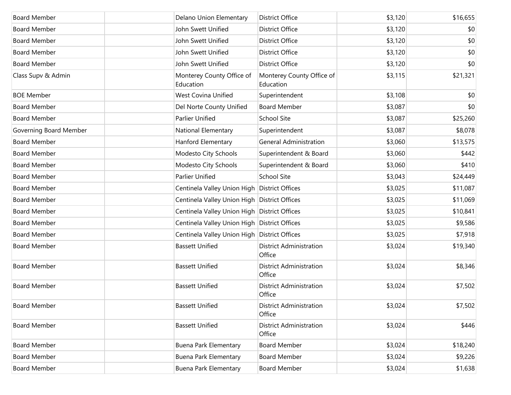| <b>Board Member</b>    | Delano Union Elementary                      | <b>District Office</b>                   | \$3,120 | \$16,655 |
|------------------------|----------------------------------------------|------------------------------------------|---------|----------|
| <b>Board Member</b>    | John Swett Unified                           | <b>District Office</b>                   | \$3,120 | \$0      |
| <b>Board Member</b>    | John Swett Unified                           | <b>District Office</b>                   | \$3,120 | \$0      |
| <b>Board Member</b>    | John Swett Unified                           | <b>District Office</b>                   | \$3,120 | \$0      |
| <b>Board Member</b>    | John Swett Unified                           | <b>District Office</b>                   | \$3,120 | \$0      |
| Class Supv & Admin     | Monterey County Office of<br>Education       | Monterey County Office of<br>Education   | \$3,115 | \$21,321 |
| <b>BOE Member</b>      | <b>West Covina Unified</b>                   | Superintendent                           | \$3,108 | \$0      |
| <b>Board Member</b>    | Del Norte County Unified                     | <b>Board Member</b>                      | \$3,087 | \$0      |
| <b>Board Member</b>    | Parlier Unified                              | <b>School Site</b>                       | \$3,087 | \$25,260 |
| Governing Board Member | National Elementary                          | Superintendent                           | \$3,087 | \$8,078  |
| <b>Board Member</b>    | Hanford Elementary                           | <b>General Administration</b>            | \$3,060 | \$13,575 |
| <b>Board Member</b>    | Modesto City Schools                         | Superintendent & Board                   | \$3,060 | \$442    |
| <b>Board Member</b>    | Modesto City Schools                         | Superintendent & Board                   | \$3,060 | \$410    |
| <b>Board Member</b>    | Parlier Unified                              | <b>School Site</b>                       | \$3,043 | \$24,449 |
| <b>Board Member</b>    | Centinela Valley Union High District Offices |                                          | \$3,025 | \$11,087 |
| <b>Board Member</b>    | Centinela Valley Union High District Offices |                                          | \$3,025 | \$11,069 |
| <b>Board Member</b>    | Centinela Valley Union High District Offices |                                          | \$3,025 | \$10,841 |
| <b>Board Member</b>    | Centinela Valley Union High District Offices |                                          | \$3,025 | \$9,586  |
| <b>Board Member</b>    | Centinela Valley Union High District Offices |                                          | \$3,025 | \$7,918  |
| <b>Board Member</b>    | <b>Bassett Unified</b>                       | <b>District Administration</b><br>Office | \$3,024 | \$19,340 |
| <b>Board Member</b>    | <b>Bassett Unified</b>                       | <b>District Administration</b><br>Office | \$3,024 | \$8,346  |
| <b>Board Member</b>    | <b>Bassett Unified</b>                       | <b>District Administration</b><br>Office | \$3,024 | \$7,502  |
| <b>Board Member</b>    | <b>Bassett Unified</b>                       | <b>District Administration</b><br>Office | \$3,024 | \$7,502  |
| <b>Board Member</b>    | <b>Bassett Unified</b>                       | <b>District Administration</b><br>Office | \$3,024 | \$446    |
| <b>Board Member</b>    | <b>Buena Park Elementary</b>                 | <b>Board Member</b>                      | \$3,024 | \$18,240 |
| <b>Board Member</b>    | <b>Buena Park Elementary</b>                 | <b>Board Member</b>                      | \$3,024 | \$9,226  |
| <b>Board Member</b>    | <b>Buena Park Elementary</b>                 | <b>Board Member</b>                      | \$3,024 | \$1,638  |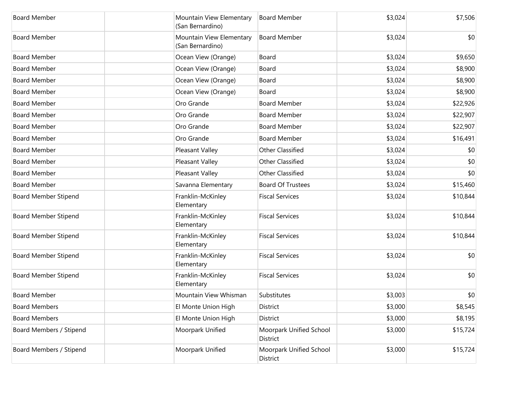| <b>Board Member</b>         | Mountain View Elementary<br>(San Bernardino) | <b>Board Member</b>                 | \$3,024 | \$7,506  |
|-----------------------------|----------------------------------------------|-------------------------------------|---------|----------|
| <b>Board Member</b>         | Mountain View Elementary<br>(San Bernardino) | <b>Board Member</b>                 | \$3,024 | \$0      |
| <b>Board Member</b>         | Ocean View (Orange)                          | Board                               | \$3,024 | \$9,650  |
| <b>Board Member</b>         | Ocean View (Orange)                          | Board                               | \$3,024 | \$8,900  |
| <b>Board Member</b>         | Ocean View (Orange)                          | Board                               | \$3,024 | \$8,900  |
| <b>Board Member</b>         | Ocean View (Orange)                          | Board                               | \$3,024 | \$8,900  |
| <b>Board Member</b>         | Oro Grande                                   | <b>Board Member</b>                 | \$3,024 | \$22,926 |
| <b>Board Member</b>         | Oro Grande                                   | <b>Board Member</b>                 | \$3,024 | \$22,907 |
| <b>Board Member</b>         | Oro Grande                                   | <b>Board Member</b>                 | \$3,024 | \$22,907 |
| <b>Board Member</b>         | Oro Grande                                   | <b>Board Member</b>                 | \$3,024 | \$16,491 |
| <b>Board Member</b>         | Pleasant Valley                              | Other Classified                    | \$3,024 | \$0      |
| <b>Board Member</b>         | Pleasant Valley                              | Other Classified                    | \$3,024 | \$0      |
| <b>Board Member</b>         | Pleasant Valley                              | Other Classified                    | \$3,024 | \$0      |
| <b>Board Member</b>         | Savanna Elementary                           | <b>Board Of Trustees</b>            | \$3,024 | \$15,460 |
| <b>Board Member Stipend</b> | Franklin-McKinley<br>Elementary              | <b>Fiscal Services</b>              | \$3,024 | \$10,844 |
| <b>Board Member Stipend</b> | Franklin-McKinley<br>Elementary              | <b>Fiscal Services</b>              | \$3,024 | \$10,844 |
| <b>Board Member Stipend</b> | Franklin-McKinley<br>Elementary              | <b>Fiscal Services</b>              | \$3,024 | \$10,844 |
| <b>Board Member Stipend</b> | Franklin-McKinley<br>Elementary              | <b>Fiscal Services</b>              | \$3,024 | \$0      |
| <b>Board Member Stipend</b> | Franklin-McKinley<br>Elementary              | <b>Fiscal Services</b>              | \$3,024 | \$0      |
| <b>Board Member</b>         | Mountain View Whisman                        | Substitutes                         | \$3,003 | \$0      |
| <b>Board Members</b>        | El Monte Union High                          | District                            | \$3,000 | \$8,545  |
| <b>Board Members</b>        | El Monte Union High                          | District                            | \$3,000 | \$8,195  |
| Board Members / Stipend     | Moorpark Unified                             | Moorpark Unified School<br>District | \$3,000 | \$15,724 |
| Board Members / Stipend     | Moorpark Unified                             | Moorpark Unified School<br>District | \$3,000 | \$15,724 |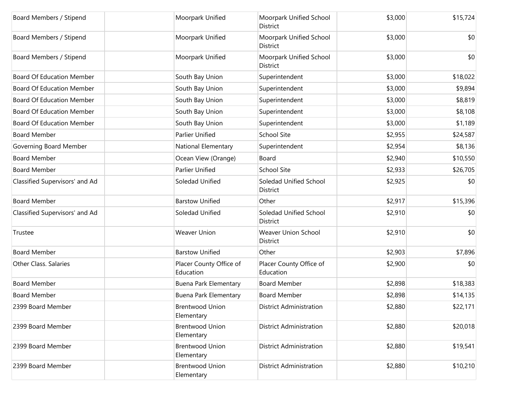| Board Members / Stipend          | Moorpark Unified                     | Moorpark Unified School<br>District    | \$3,000 | \$15,724 |
|----------------------------------|--------------------------------------|----------------------------------------|---------|----------|
| Board Members / Stipend          | Moorpark Unified                     | Moorpark Unified School<br>District    | \$3,000 | \$0      |
| Board Members / Stipend          | Moorpark Unified                     | Moorpark Unified School<br>District    | \$3,000 | \$0      |
| <b>Board Of Education Member</b> | South Bay Union                      | Superintendent                         | \$3,000 | \$18,022 |
| <b>Board Of Education Member</b> | South Bay Union                      | Superintendent                         | \$3,000 | \$9,894  |
| <b>Board Of Education Member</b> | South Bay Union                      | Superintendent                         | \$3,000 | \$8,819  |
| <b>Board Of Education Member</b> | South Bay Union                      | Superintendent                         | \$3,000 | \$8,108  |
| <b>Board Of Education Member</b> | South Bay Union                      | Superintendent                         | \$3,000 | \$1,189  |
| <b>Board Member</b>              | <b>Parlier Unified</b>               | <b>School Site</b>                     | \$2,955 | \$24,587 |
| Governing Board Member           | National Elementary                  | Superintendent                         | \$2,954 | \$8,136  |
| <b>Board Member</b>              | Ocean View (Orange)                  | Board                                  | \$2,940 | \$10,550 |
| <b>Board Member</b>              | <b>Parlier Unified</b>               | <b>School Site</b>                     | \$2,933 | \$26,705 |
| Classified Supervisors' and Ad   | Soledad Unified                      | Soledad Unified School<br>District     | \$2,925 | \$0      |
| <b>Board Member</b>              | <b>Barstow Unified</b>               | Other                                  | \$2,917 | \$15,396 |
| Classified Supervisors' and Ad   | Soledad Unified                      | Soledad Unified School<br>District     | \$2,910 | \$0      |
| Trustee                          | <b>Weaver Union</b>                  | <b>Weaver Union School</b><br>District | \$2,910 | \$0      |
| <b>Board Member</b>              | <b>Barstow Unified</b>               | Other                                  | \$2,903 | \$7,896  |
| Other Class. Salaries            | Placer County Office of<br>Education | Placer County Office of<br>Education   | \$2,900 | \$0      |
| <b>Board Member</b>              | Buena Park Elementary                | <b>Board Member</b>                    | \$2,898 | \$18,383 |
| <b>Board Member</b>              | Buena Park Elementary                | <b>Board Member</b>                    | \$2,898 | \$14,135 |
| 2399 Board Member                | <b>Brentwood Union</b><br>Elementary | <b>District Administration</b>         | \$2,880 | \$22,171 |
| 2399 Board Member                | <b>Brentwood Union</b><br>Elementary | <b>District Administration</b>         | \$2,880 | \$20,018 |
| 2399 Board Member                | <b>Brentwood Union</b><br>Elementary | <b>District Administration</b>         | \$2,880 | \$19,541 |
| 2399 Board Member                | <b>Brentwood Union</b><br>Elementary | <b>District Administration</b>         | \$2,880 | \$10,210 |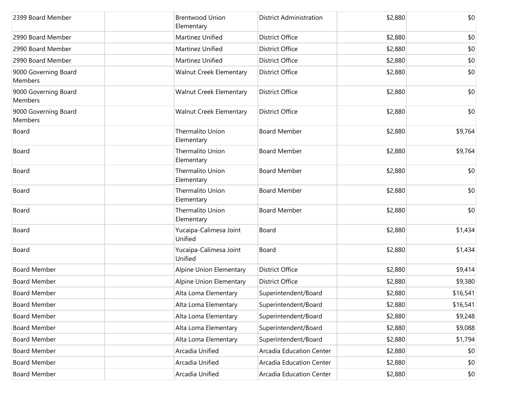| 2399 Board Member                      | <b>Brentwood Union</b><br>Elementary | <b>District Administration</b> | \$2,880 | \$0      |
|----------------------------------------|--------------------------------------|--------------------------------|---------|----------|
| 2990 Board Member                      | Martinez Unified                     | <b>District Office</b>         | \$2,880 | \$0      |
| 2990 Board Member                      | Martinez Unified                     | <b>District Office</b>         | \$2,880 | \$0      |
| 2990 Board Member                      | Martinez Unified                     | <b>District Office</b>         | \$2,880 | \$0      |
| 9000 Governing Board<br><b>Members</b> | <b>Walnut Creek Elementary</b>       | <b>District Office</b>         | \$2,880 | \$0      |
| 9000 Governing Board<br><b>Members</b> | <b>Walnut Creek Elementary</b>       | <b>District Office</b>         | \$2,880 | \$0      |
| 9000 Governing Board<br><b>Members</b> | <b>Walnut Creek Elementary</b>       | <b>District Office</b>         | \$2,880 | \$0      |
| Board                                  | Thermalito Union<br>Elementary       | <b>Board Member</b>            | \$2,880 | \$9,764  |
| Board                                  | Thermalito Union<br>Elementary       | <b>Board Member</b>            | \$2,880 | \$9,764  |
| Board                                  | Thermalito Union<br>Elementary       | <b>Board Member</b>            | \$2,880 | \$0      |
| Board                                  | Thermalito Union<br>Elementary       | <b>Board Member</b>            | \$2,880 | \$0      |
| Board                                  | Thermalito Union<br>Elementary       | <b>Board Member</b>            | \$2,880 | \$0      |
| Board                                  | Yucaipa-Calimesa Joint<br>Unified    | Board                          | \$2,880 | \$1,434  |
| Board                                  | Yucaipa-Calimesa Joint<br>Unified    | Board                          | \$2,880 | \$1,434  |
| <b>Board Member</b>                    | Alpine Union Elementary              | <b>District Office</b>         | \$2,880 | \$9,414  |
| <b>Board Member</b>                    | Alpine Union Elementary              | <b>District Office</b>         | \$2,880 | \$9,380  |
| <b>Board Member</b>                    | Alta Loma Elementary                 | Superintendent/Board           | \$2,880 | \$16,541 |
| <b>Board Member</b>                    | Alta Loma Elementary                 | Superintendent/Board           | \$2,880 | \$16,541 |
| <b>Board Member</b>                    | Alta Loma Elementary                 | Superintendent/Board           | \$2,880 | \$9,248  |
| <b>Board Member</b>                    | Alta Loma Elementary                 | Superintendent/Board           | \$2,880 | \$9,088  |
| <b>Board Member</b>                    | Alta Loma Elementary                 | Superintendent/Board           | \$2,880 | \$1,794  |
| <b>Board Member</b>                    | Arcadia Unified                      | Arcadia Education Center       | \$2,880 | \$0      |
| <b>Board Member</b>                    | Arcadia Unified                      | Arcadia Education Center       | \$2,880 | \$0      |
| <b>Board Member</b>                    | Arcadia Unified                      | Arcadia Education Center       | \$2,880 | \$0      |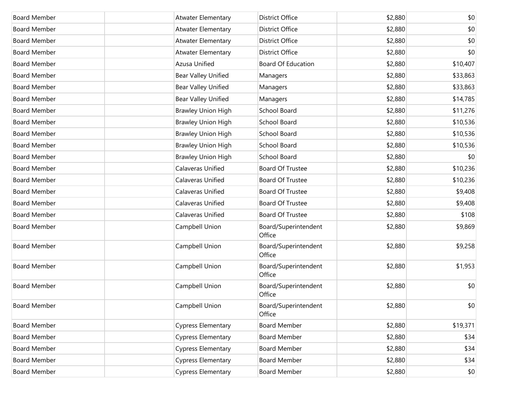| <b>Board Member</b> | Atwater Elementary         | <b>District Office</b>         | \$2,880 | \$0      |
|---------------------|----------------------------|--------------------------------|---------|----------|
| <b>Board Member</b> | Atwater Elementary         | <b>District Office</b>         | \$2,880 | \$0      |
| <b>Board Member</b> | Atwater Elementary         | <b>District Office</b>         | \$2,880 | \$0      |
| <b>Board Member</b> | Atwater Elementary         | <b>District Office</b>         | \$2,880 | \$0      |
| <b>Board Member</b> | Azusa Unified              | <b>Board Of Education</b>      | \$2,880 | \$10,407 |
| <b>Board Member</b> | <b>Bear Valley Unified</b> | Managers                       | \$2,880 | \$33,863 |
| <b>Board Member</b> | <b>Bear Valley Unified</b> | Managers                       | \$2,880 | \$33,863 |
| <b>Board Member</b> | <b>Bear Valley Unified</b> | Managers                       | \$2,880 | \$14,785 |
| <b>Board Member</b> | <b>Brawley Union High</b>  | School Board                   | \$2,880 | \$11,276 |
| <b>Board Member</b> | <b>Brawley Union High</b>  | School Board                   | \$2,880 | \$10,536 |
| <b>Board Member</b> | <b>Brawley Union High</b>  | School Board                   | \$2,880 | \$10,536 |
| <b>Board Member</b> | <b>Brawley Union High</b>  | School Board                   | \$2,880 | \$10,536 |
| <b>Board Member</b> | <b>Brawley Union High</b>  | School Board                   | \$2,880 | \$0      |
| <b>Board Member</b> | Calaveras Unified          | Board Of Trustee               | \$2,880 | \$10,236 |
| <b>Board Member</b> | Calaveras Unified          | <b>Board Of Trustee</b>        | \$2,880 | \$10,236 |
| <b>Board Member</b> | Calaveras Unified          | Board Of Trustee               | \$2,880 | \$9,408  |
| <b>Board Member</b> | Calaveras Unified          | <b>Board Of Trustee</b>        | \$2,880 | \$9,408  |
| <b>Board Member</b> | Calaveras Unified          | Board Of Trustee               | \$2,880 | \$108    |
| <b>Board Member</b> | Campbell Union             | Board/Superintendent<br>Office | \$2,880 | \$9,869  |
| <b>Board Member</b> | Campbell Union             | Board/Superintendent<br>Office | \$2,880 | \$9,258  |
| <b>Board Member</b> | Campbell Union             | Board/Superintendent<br>Office | \$2,880 | \$1,953  |
| <b>Board Member</b> | Campbell Union             | Board/Superintendent<br>Office | \$2,880 | \$0      |
| <b>Board Member</b> | Campbell Union             | Board/Superintendent<br>Office | \$2,880 | \$0      |
| <b>Board Member</b> | <b>Cypress Elementary</b>  | <b>Board Member</b>            | \$2,880 | \$19,371 |
| <b>Board Member</b> | <b>Cypress Elementary</b>  | <b>Board Member</b>            | \$2,880 | \$34     |
| <b>Board Member</b> | <b>Cypress Elementary</b>  | <b>Board Member</b>            | \$2,880 | \$34     |
| <b>Board Member</b> | <b>Cypress Elementary</b>  | <b>Board Member</b>            | \$2,880 | \$34     |
| <b>Board Member</b> | <b>Cypress Elementary</b>  | <b>Board Member</b>            | \$2,880 | \$0      |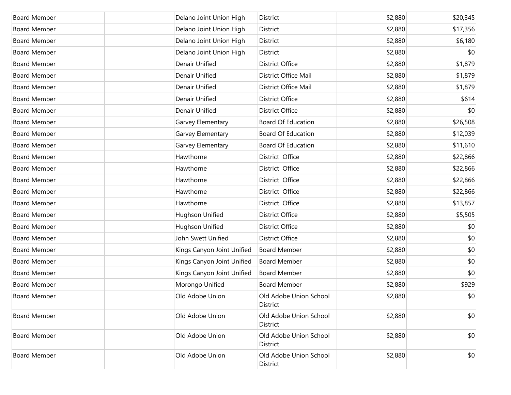| <b>Board Member</b> | Delano Joint Union High    | District                           | \$2,880 | \$20,345 |
|---------------------|----------------------------|------------------------------------|---------|----------|
| <b>Board Member</b> | Delano Joint Union High    | District                           | \$2,880 | \$17,356 |
| <b>Board Member</b> | Delano Joint Union High    | District                           | \$2,880 | \$6,180  |
| <b>Board Member</b> | Delano Joint Union High    | District                           | \$2,880 | \$0      |
| <b>Board Member</b> | Denair Unified             | <b>District Office</b>             | \$2,880 | \$1,879  |
| <b>Board Member</b> | Denair Unified             | District Office Mail               | \$2,880 | \$1,879  |
| <b>Board Member</b> | Denair Unified             | <b>District Office Mail</b>        | \$2,880 | \$1,879  |
| <b>Board Member</b> | Denair Unified             | <b>District Office</b>             | \$2,880 | \$614    |
| <b>Board Member</b> | Denair Unified             | <b>District Office</b>             | \$2,880 | \$0      |
| <b>Board Member</b> | Garvey Elementary          | <b>Board Of Education</b>          | \$2,880 | \$26,508 |
| <b>Board Member</b> | Garvey Elementary          | <b>Board Of Education</b>          | \$2,880 | \$12,039 |
| <b>Board Member</b> | Garvey Elementary          | <b>Board Of Education</b>          | \$2,880 | \$11,610 |
| <b>Board Member</b> | Hawthorne                  | District Office                    | \$2,880 | \$22,866 |
| <b>Board Member</b> | Hawthorne                  | District Office                    | \$2,880 | \$22,866 |
| <b>Board Member</b> | Hawthorne                  | District Office                    | \$2,880 | \$22,866 |
| <b>Board Member</b> | Hawthorne                  | District Office                    | \$2,880 | \$22,866 |
| <b>Board Member</b> | Hawthorne                  | District Office                    | \$2,880 | \$13,857 |
| <b>Board Member</b> | Hughson Unified            | <b>District Office</b>             | \$2,880 | \$5,505  |
| <b>Board Member</b> | Hughson Unified            | <b>District Office</b>             | \$2,880 | \$0      |
| <b>Board Member</b> | John Swett Unified         | <b>District Office</b>             | \$2,880 | \$0      |
| <b>Board Member</b> | Kings Canyon Joint Unified | <b>Board Member</b>                | \$2,880 | \$0      |
| <b>Board Member</b> | Kings Canyon Joint Unified | <b>Board Member</b>                | \$2,880 | \$0      |
| <b>Board Member</b> | Kings Canyon Joint Unified | <b>Board Member</b>                | \$2,880 | \$0      |
| <b>Board Member</b> | Morongo Unified            | <b>Board Member</b>                | \$2,880 | \$929    |
| <b>Board Member</b> | Old Adobe Union            | Old Adobe Union School<br>District | \$2,880 | \$0      |
| <b>Board Member</b> | Old Adobe Union            | Old Adobe Union School<br>District | \$2,880 | \$0      |
| <b>Board Member</b> | Old Adobe Union            | Old Adobe Union School<br>District | \$2,880 | \$0      |
| <b>Board Member</b> | Old Adobe Union            | Old Adobe Union School<br>District | \$2,880 | \$0      |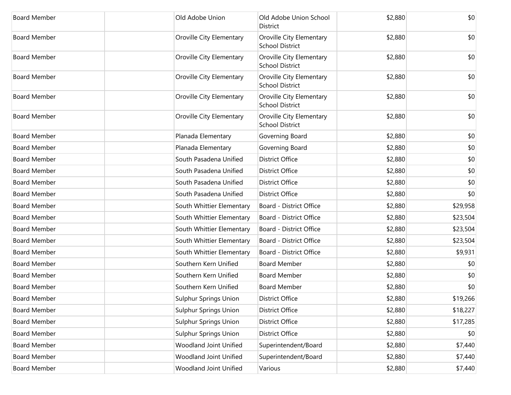| <b>Board Member</b> | Old Adobe Union              | Old Adobe Union School<br>District                 | \$2,880 | \$0      |
|---------------------|------------------------------|----------------------------------------------------|---------|----------|
| <b>Board Member</b> | Oroville City Elementary     | Oroville City Elementary<br><b>School District</b> | \$2,880 | \$0      |
| <b>Board Member</b> | Oroville City Elementary     | Oroville City Elementary<br><b>School District</b> | \$2,880 | \$0      |
| <b>Board Member</b> | Oroville City Elementary     | Oroville City Elementary<br><b>School District</b> | \$2,880 | \$0      |
| <b>Board Member</b> | Oroville City Elementary     | Oroville City Elementary<br><b>School District</b> | \$2,880 | \$0      |
| <b>Board Member</b> | Oroville City Elementary     | Oroville City Elementary<br><b>School District</b> | \$2,880 | \$0      |
| <b>Board Member</b> | Planada Elementary           | Governing Board                                    | \$2,880 | \$0      |
| <b>Board Member</b> | Planada Elementary           | Governing Board                                    | \$2,880 | \$0      |
| <b>Board Member</b> | South Pasadena Unified       | <b>District Office</b>                             | \$2,880 | \$0      |
| <b>Board Member</b> | South Pasadena Unified       | <b>District Office</b>                             | \$2,880 | \$0      |
| <b>Board Member</b> | South Pasadena Unified       | <b>District Office</b>                             | \$2,880 | \$0      |
| <b>Board Member</b> | South Pasadena Unified       | <b>District Office</b>                             | \$2,880 | \$0      |
| <b>Board Member</b> | South Whittier Elementary    | Board - District Office                            | \$2,880 | \$29,958 |
| <b>Board Member</b> | South Whittier Elementary    | Board - District Office                            | \$2,880 | \$23,504 |
| <b>Board Member</b> | South Whittier Elementary    | Board - District Office                            | \$2,880 | \$23,504 |
| <b>Board Member</b> | South Whittier Elementary    | Board - District Office                            | \$2,880 | \$23,504 |
| <b>Board Member</b> | South Whittier Elementary    | Board - District Office                            | \$2,880 | \$9,931  |
| <b>Board Member</b> | Southern Kern Unified        | <b>Board Member</b>                                | \$2,880 | \$0      |
| <b>Board Member</b> | Southern Kern Unified        | <b>Board Member</b>                                | \$2,880 | \$0      |
| <b>Board Member</b> | Southern Kern Unified        | <b>Board Member</b>                                | \$2,880 | \$0      |
| Board Member        | Sulphur Springs Union        | <b>District Office</b>                             | \$2,880 | \$19,266 |
| <b>Board Member</b> | <b>Sulphur Springs Union</b> | District Office                                    | \$2,880 | \$18,227 |
| <b>Board Member</b> | <b>Sulphur Springs Union</b> | District Office                                    | \$2,880 | \$17,285 |
| <b>Board Member</b> | <b>Sulphur Springs Union</b> | <b>District Office</b>                             | \$2,880 | \$0      |
| <b>Board Member</b> | Woodland Joint Unified       | Superintendent/Board                               | \$2,880 | \$7,440  |
| <b>Board Member</b> | Woodland Joint Unified       | Superintendent/Board                               | \$2,880 | \$7,440  |
| <b>Board Member</b> | Woodland Joint Unified       | Various                                            | \$2,880 | \$7,440  |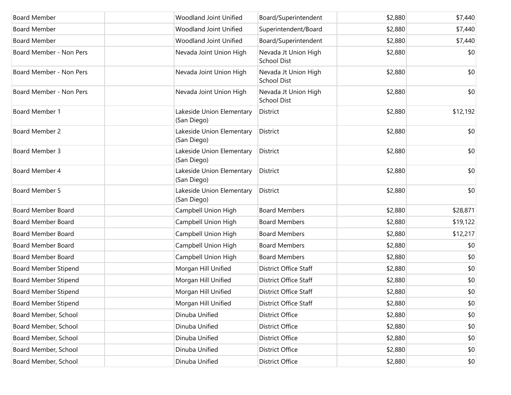| <b>Board Member</b>         | Woodland Joint Unified                   | Board/Superintendent                       | \$2,880 | \$7,440  |
|-----------------------------|------------------------------------------|--------------------------------------------|---------|----------|
| <b>Board Member</b>         | Woodland Joint Unified                   | Superintendent/Board                       | \$2,880 | \$7,440  |
| <b>Board Member</b>         | Woodland Joint Unified                   | Board/Superintendent                       | \$2,880 | \$7,440  |
| Board Member - Non Pers     | Nevada Joint Union High                  | Nevada Jt Union High<br><b>School Dist</b> | \$2,880 | \$0      |
| Board Member - Non Pers     | Nevada Joint Union High                  | Nevada Jt Union High<br><b>School Dist</b> | \$2,880 | \$0      |
| Board Member - Non Pers     | Nevada Joint Union High                  | Nevada Jt Union High<br><b>School Dist</b> | \$2,880 | \$0      |
| Board Member 1              | Lakeside Union Elementary<br>(San Diego) | <b>District</b>                            | \$2,880 | \$12,192 |
| Board Member 2              | Lakeside Union Elementary<br>(San Diego) | District                                   | \$2,880 | \$0      |
| Board Member 3              | Lakeside Union Elementary<br>(San Diego) | District                                   | \$2,880 | \$0      |
| Board Member 4              | Lakeside Union Elementary<br>(San Diego) | District                                   | \$2,880 | \$0      |
| Board Member 5              | Lakeside Union Elementary<br>(San Diego) | District                                   | \$2,880 | \$0      |
| <b>Board Member Board</b>   | Campbell Union High                      | <b>Board Members</b>                       | \$2,880 | \$28,871 |
| Board Member Board          | Campbell Union High                      | <b>Board Members</b>                       | \$2,880 | \$19,122 |
| <b>Board Member Board</b>   | Campbell Union High                      | <b>Board Members</b>                       | \$2,880 | \$12,217 |
| <b>Board Member Board</b>   | Campbell Union High                      | <b>Board Members</b>                       | \$2,880 | \$0      |
| Board Member Board          | Campbell Union High                      | <b>Board Members</b>                       | \$2,880 | \$0      |
| <b>Board Member Stipend</b> | Morgan Hill Unified                      | District Office Staff                      | \$2,880 | \$0      |
| <b>Board Member Stipend</b> | Morgan Hill Unified                      | District Office Staff                      | \$2,880 | \$0      |
| <b>Board Member Stipend</b> | Morgan Hill Unified                      | <b>District Office Staff</b>               | \$2,880 | \$0      |
| <b>Board Member Stipend</b> | Morgan Hill Unified                      | District Office Staff                      | \$2,880 | \$0      |
| Board Member, School        | Dinuba Unified                           | <b>District Office</b>                     | \$2,880 | \$0      |
| Board Member, School        | Dinuba Unified                           | <b>District Office</b>                     | \$2,880 | \$0      |
| Board Member, School        | Dinuba Unified                           | <b>District Office</b>                     | \$2,880 | \$0      |
| Board Member, School        | Dinuba Unified                           | <b>District Office</b>                     | \$2,880 | \$0      |
| Board Member, School        | Dinuba Unified                           | <b>District Office</b>                     | \$2,880 | \$0      |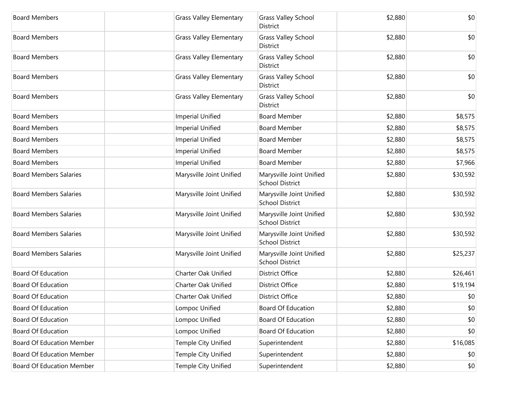| <b>Board Members</b>             | <b>Grass Valley Elementary</b> | <b>Grass Valley School</b><br>District             | \$2,880 | \$0      |
|----------------------------------|--------------------------------|----------------------------------------------------|---------|----------|
| <b>Board Members</b>             | <b>Grass Valley Elementary</b> | <b>Grass Valley School</b><br>District             | \$2,880 | \$0      |
| <b>Board Members</b>             | <b>Grass Valley Elementary</b> | <b>Grass Valley School</b><br>District             | \$2,880 | \$0      |
| <b>Board Members</b>             | <b>Grass Valley Elementary</b> | <b>Grass Valley School</b><br>District             | \$2,880 | \$0      |
| <b>Board Members</b>             | <b>Grass Valley Elementary</b> | <b>Grass Valley School</b><br><b>District</b>      | \$2,880 | \$0      |
| <b>Board Members</b>             | <b>Imperial Unified</b>        | <b>Board Member</b>                                | \$2,880 | \$8,575  |
| <b>Board Members</b>             | <b>Imperial Unified</b>        | <b>Board Member</b>                                | \$2,880 | \$8,575  |
| <b>Board Members</b>             | <b>Imperial Unified</b>        | <b>Board Member</b>                                | \$2,880 | \$8,575  |
| <b>Board Members</b>             | <b>Imperial Unified</b>        | <b>Board Member</b>                                | \$2,880 | \$8,575  |
| <b>Board Members</b>             | <b>Imperial Unified</b>        | <b>Board Member</b>                                | \$2,880 | \$7,966  |
| <b>Board Members Salaries</b>    | Marysville Joint Unified       | Marysville Joint Unified<br><b>School District</b> | \$2,880 | \$30,592 |
| <b>Board Members Salaries</b>    | Marysville Joint Unified       | Marysville Joint Unified<br><b>School District</b> | \$2,880 | \$30,592 |
| <b>Board Members Salaries</b>    | Marysville Joint Unified       | Marysville Joint Unified<br><b>School District</b> | \$2,880 | \$30,592 |
| <b>Board Members Salaries</b>    | Marysville Joint Unified       | Marysville Joint Unified<br><b>School District</b> | \$2,880 | \$30,592 |
| <b>Board Members Salaries</b>    | Marysville Joint Unified       | Marysville Joint Unified<br><b>School District</b> | \$2,880 | \$25,237 |
| <b>Board Of Education</b>        | Charter Oak Unified            | <b>District Office</b>                             | \$2,880 | \$26,461 |
| <b>Board Of Education</b>        | <b>Charter Oak Unified</b>     | <b>District Office</b>                             | \$2,880 | \$19,194 |
| <b>Board Of Education</b>        | <b>Charter Oak Unified</b>     | <b>District Office</b>                             | \$2,880 | \$0      |
| Board Of Education               | Lompoc Unified                 | Board Of Education                                 | \$2,880 | \$0      |
| <b>Board Of Education</b>        | Lompoc Unified                 | Board Of Education                                 | \$2,880 | \$0      |
| <b>Board Of Education</b>        | Lompoc Unified                 | Board Of Education                                 | \$2,880 | \$0      |
| <b>Board Of Education Member</b> | Temple City Unified            | Superintendent                                     | \$2,880 | \$16,085 |
| Board Of Education Member        | Temple City Unified            | Superintendent                                     | \$2,880 | \$0      |
| Board Of Education Member        | Temple City Unified            | Superintendent                                     | \$2,880 | \$0      |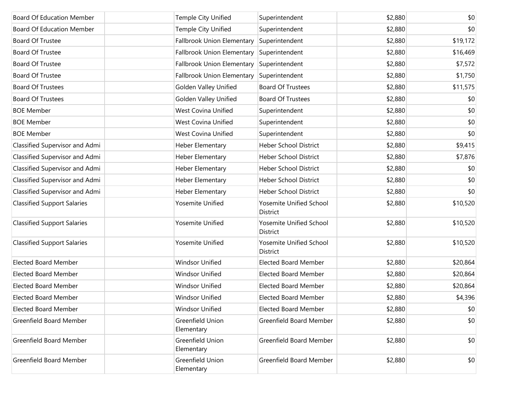| <b>Board Of Education Member</b>   | Temple City Unified            | Superintendent                             | \$2,880 | \$0      |
|------------------------------------|--------------------------------|--------------------------------------------|---------|----------|
| <b>Board Of Education Member</b>   | Temple City Unified            | Superintendent                             | \$2,880 | \$0      |
| <b>Board Of Trustee</b>            | Fallbrook Union Elementary     | Superintendent                             | \$2,880 | \$19,172 |
| <b>Board Of Trustee</b>            | Fallbrook Union Elementary     | Superintendent                             | \$2,880 | \$16,469 |
| Board Of Trustee                   | Fallbrook Union Elementary     | Superintendent                             | \$2,880 | \$7,572  |
| <b>Board Of Trustee</b>            | Fallbrook Union Elementary     | Superintendent                             | \$2,880 | \$1,750  |
| <b>Board Of Trustees</b>           | <b>Golden Valley Unified</b>   | <b>Board Of Trustees</b>                   | \$2,880 | \$11,575 |
| <b>Board Of Trustees</b>           | Golden Valley Unified          | <b>Board Of Trustees</b>                   | \$2,880 | \$0      |
| <b>BOE Member</b>                  | West Covina Unified            | Superintendent                             | \$2,880 | \$0      |
| <b>BOE Member</b>                  | <b>West Covina Unified</b>     | Superintendent                             | \$2,880 | \$0      |
| <b>BOE Member</b>                  | West Covina Unified            | Superintendent                             | \$2,880 | \$0      |
| Classified Supervisor and Admi     | Heber Elementary               | <b>Heber School District</b>               | \$2,880 | \$9,415  |
| Classified Supervisor and Admi     | Heber Elementary               | <b>Heber School District</b>               | \$2,880 | \$7,876  |
| Classified Supervisor and Admi     | Heber Elementary               | <b>Heber School District</b>               | \$2,880 | \$0      |
| Classified Supervisor and Admi     | Heber Elementary               | <b>Heber School District</b>               | \$2,880 | \$0      |
| Classified Supervisor and Admi     | Heber Elementary               | <b>Heber School District</b>               | \$2,880 | \$0      |
| <b>Classified Support Salaries</b> | Yosemite Unified               | Yosemite Unified School<br><b>District</b> | \$2,880 | \$10,520 |
| <b>Classified Support Salaries</b> | Yosemite Unified               | Yosemite Unified School<br><b>District</b> | \$2,880 | \$10,520 |
| <b>Classified Support Salaries</b> | Yosemite Unified               | Yosemite Unified School<br><b>District</b> | \$2,880 | \$10,520 |
| <b>Elected Board Member</b>        | <b>Windsor Unified</b>         | <b>Elected Board Member</b>                | \$2,880 | \$20,864 |
| <b>Elected Board Member</b>        | Windsor Unified                | <b>Elected Board Member</b>                | \$2,880 | \$20,864 |
| <b>Elected Board Member</b>        | <b>Windsor Unified</b>         | <b>Elected Board Member</b>                | \$2,880 | \$20,864 |
| <b>Elected Board Member</b>        | <b>Windsor Unified</b>         | <b>Elected Board Member</b>                | \$2,880 | \$4,396  |
| <b>Elected Board Member</b>        | <b>Windsor Unified</b>         | <b>Elected Board Member</b>                | \$2,880 | \$0      |
| Greenfield Board Member            | Greenfield Union<br>Elementary | Greenfield Board Member                    | \$2,880 | \$0      |
| Greenfield Board Member            | Greenfield Union<br>Elementary | Greenfield Board Member                    | \$2,880 | \$0      |
| Greenfield Board Member            | Greenfield Union<br>Elementary | Greenfield Board Member                    | \$2,880 | \$0      |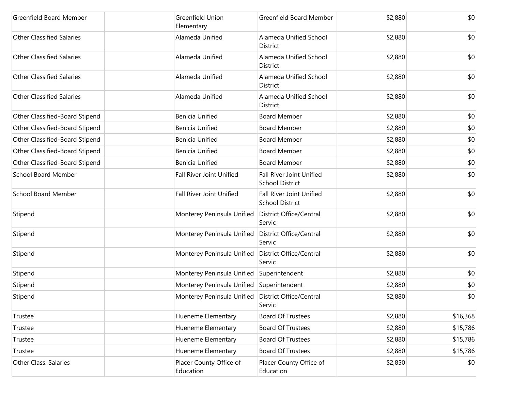| <b>Greenfield Board Member</b>   | Greenfield Union<br>Elementary                     | Greenfield Board Member                                   | \$2,880 | \$0      |
|----------------------------------|----------------------------------------------------|-----------------------------------------------------------|---------|----------|
| <b>Other Classified Salaries</b> | Alameda Unified                                    | Alameda Unified School<br>District                        | \$2,880 | \$0      |
| <b>Other Classified Salaries</b> | Alameda Unified                                    | Alameda Unified School<br>District                        | \$2,880 | \$0      |
| <b>Other Classified Salaries</b> | Alameda Unified                                    | Alameda Unified School<br>District                        | \$2,880 | \$0      |
| <b>Other Classified Salaries</b> | Alameda Unified                                    | Alameda Unified School<br>District                        | \$2,880 | \$0      |
| Other Classified-Board Stipend   | <b>Benicia Unified</b>                             | <b>Board Member</b>                                       | \$2,880 | \$0      |
| Other Classified-Board Stipend   | <b>Benicia Unified</b>                             | <b>Board Member</b>                                       | \$2,880 | \$0      |
| Other Classified-Board Stipend   | <b>Benicia Unified</b>                             | <b>Board Member</b>                                       | \$2,880 | \$0      |
| Other Classified-Board Stipend   | <b>Benicia Unified</b>                             | <b>Board Member</b>                                       | \$2,880 | \$0      |
| Other Classified-Board Stipend   | <b>Benicia Unified</b>                             | <b>Board Member</b>                                       | \$2,880 | \$0      |
| <b>School Board Member</b>       | Fall River Joint Unified                           | <b>Fall River Joint Unified</b><br><b>School District</b> | \$2,880 | \$0      |
| <b>School Board Member</b>       | <b>Fall River Joint Unified</b>                    | Fall River Joint Unified<br><b>School District</b>        | \$2,880 | \$0      |
| Stipend                          | Monterey Peninsula Unified                         | District Office/Central<br>Servic                         | \$2,880 | \$0      |
| Stipend                          | Monterey Peninsula Unified                         | District Office/Central<br>Servic                         | \$2,880 | \$0      |
| Stipend                          | Monterey Peninsula Unified                         | District Office/Central<br>Servic                         | \$2,880 | \$0      |
| Stipend                          | Monterey Peninsula Unified                         | Superintendent                                            | \$2,880 | \$0      |
| Stipend                          | Monterey Peninsula Unified Superintendent          |                                                           | \$2,880 | \$0      |
| Stipend                          | Monterey Peninsula Unified District Office/Central | Servic                                                    | \$2,880 | \$0      |
| Trustee                          | Hueneme Elementary                                 | <b>Board Of Trustees</b>                                  | \$2,880 | \$16,368 |
| Trustee                          | Hueneme Elementary                                 | <b>Board Of Trustees</b>                                  | \$2,880 | \$15,786 |
| Trustee                          | Hueneme Elementary                                 | <b>Board Of Trustees</b>                                  | \$2,880 | \$15,786 |
| Trustee                          | Hueneme Elementary                                 | <b>Board Of Trustees</b>                                  | \$2,880 | \$15,786 |
| <b>Other Class. Salaries</b>     | Placer County Office of<br>Education               | Placer County Office of<br>Education                      | \$2,850 | \$0      |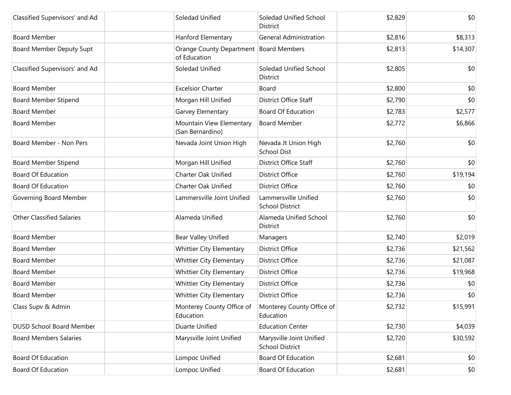| Classified Supervisors' and Ad   | Soledad Unified                                          | Soledad Unified School<br><b>District</b>          | \$2,829 | \$0      |
|----------------------------------|----------------------------------------------------------|----------------------------------------------------|---------|----------|
| <b>Board Member</b>              | Hanford Elementary                                       | <b>General Administration</b>                      | \$2,816 | \$8,313  |
| Board Member Deputy Supt         | Orange County Department   Board Members<br>of Education |                                                    | \$2,813 | \$14,307 |
| Classified Supervisors' and Ad   | Soledad Unified                                          | Soledad Unified School<br>District                 | \$2,805 | \$0      |
| <b>Board Member</b>              | <b>Excelsior Charter</b>                                 | Board                                              | \$2,800 | \$0      |
| <b>Board Member Stipend</b>      | Morgan Hill Unified                                      | District Office Staff                              | \$2,790 | \$0      |
| <b>Board Member</b>              | Garvey Elementary                                        | <b>Board Of Education</b>                          | \$2,783 | \$2,577  |
| <b>Board Member</b>              | Mountain View Elementary<br>(San Bernardino)             | <b>Board Member</b>                                | \$2,772 | \$6,866  |
| Board Member - Non Pers          | Nevada Joint Union High                                  | Nevada Jt Union High<br><b>School Dist</b>         | \$2,760 | \$0      |
| <b>Board Member Stipend</b>      | Morgan Hill Unified                                      | District Office Staff                              | \$2,760 | \$0      |
| <b>Board Of Education</b>        | <b>Charter Oak Unified</b>                               | <b>District Office</b>                             | \$2,760 | \$19,194 |
| <b>Board Of Education</b>        | <b>Charter Oak Unified</b>                               | District Office                                    | \$2,760 | \$0      |
| Governing Board Member           | Lammersville Joint Unified                               | Lammersville Unified<br><b>School District</b>     | \$2,760 | \$0      |
| <b>Other Classified Salaries</b> | Alameda Unified                                          | Alameda Unified School<br>District                 | \$2,760 | \$0      |
| <b>Board Member</b>              | <b>Bear Valley Unified</b>                               | Managers                                           | \$2,740 | \$2,019  |
| <b>Board Member</b>              | Whittier City Elementary                                 | <b>District Office</b>                             | \$2,736 | \$21,562 |
| <b>Board Member</b>              | Whittier City Elementary                                 | <b>District Office</b>                             | \$2,736 | \$21,087 |
| <b>Board Member</b>              | <b>Whittier City Elementary</b>                          | <b>District Office</b>                             | \$2,736 | \$19,968 |
| <b>Board Member</b>              | <b>Whittier City Elementary</b>                          | <b>District Office</b>                             | \$2,736 | \$0      |
| <b>Board Member</b>              | <b>Whittier City Elementary</b>                          | <b>District Office</b>                             | \$2,736 | \$0      |
| Class Supv & Admin               | Monterey County Office of<br>Education                   | Monterey County Office of<br>Education             | \$2,732 | \$15,991 |
| <b>DUSD School Board Member</b>  | Duarte Unified                                           | <b>Education Center</b>                            | \$2,730 | \$4,039  |
| <b>Board Members Salaries</b>    | Marysville Joint Unified                                 | Marysville Joint Unified<br><b>School District</b> | \$2,720 | \$30,592 |
| <b>Board Of Education</b>        | Lompoc Unified                                           | Board Of Education                                 | \$2,681 | \$0      |
| <b>Board Of Education</b>        | Lompoc Unified                                           | <b>Board Of Education</b>                          | \$2,681 | \$0      |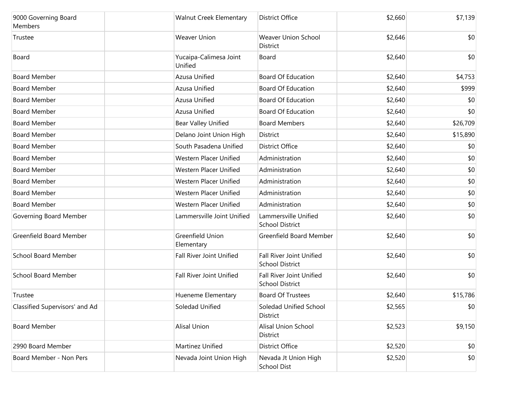| 9000 Governing Board<br>Members | <b>Walnut Creek Elementary</b>    | <b>District Office</b>                                    | \$2,660 | \$7,139  |
|---------------------------------|-----------------------------------|-----------------------------------------------------------|---------|----------|
| Trustee                         | <b>Weaver Union</b>               | <b>Weaver Union School</b><br>District                    | \$2,646 | \$0      |
| Board                           | Yucaipa-Calimesa Joint<br>Unified | Board                                                     | \$2,640 | \$0      |
| <b>Board Member</b>             | Azusa Unified                     | <b>Board Of Education</b>                                 | \$2,640 | \$4,753  |
| <b>Board Member</b>             | Azusa Unified                     | <b>Board Of Education</b>                                 | \$2,640 | \$999    |
| <b>Board Member</b>             | Azusa Unified                     | <b>Board Of Education</b>                                 | \$2,640 | \$0      |
| <b>Board Member</b>             | Azusa Unified                     | <b>Board Of Education</b>                                 | \$2,640 | \$0      |
| <b>Board Member</b>             | <b>Bear Valley Unified</b>        | <b>Board Members</b>                                      | \$2,640 | \$26,709 |
| <b>Board Member</b>             | Delano Joint Union High           | District                                                  | \$2,640 | \$15,890 |
| <b>Board Member</b>             | South Pasadena Unified            | <b>District Office</b>                                    | \$2,640 | \$0      |
| <b>Board Member</b>             | Western Placer Unified            | Administration                                            | \$2,640 | \$0      |
| <b>Board Member</b>             | Western Placer Unified            | Administration                                            | \$2,640 | \$0      |
| <b>Board Member</b>             | Western Placer Unified            | Administration                                            | \$2,640 | \$0      |
| <b>Board Member</b>             | Western Placer Unified            | Administration                                            | \$2,640 | \$0      |
| <b>Board Member</b>             | Western Placer Unified            | Administration                                            | \$2,640 | \$0      |
| Governing Board Member          | Lammersville Joint Unified        | Lammersville Unified<br><b>School District</b>            | \$2,640 | \$0      |
| <b>Greenfield Board Member</b>  | Greenfield Union<br>Elementary    | Greenfield Board Member                                   | \$2,640 | \$0      |
| <b>School Board Member</b>      | Fall River Joint Unified          | Fall River Joint Unified<br><b>School District</b>        | \$2,640 | \$0      |
| <b>School Board Member</b>      | <b>Fall River Joint Unified</b>   | <b>Fall River Joint Unified</b><br><b>School District</b> | \$2,640 | \$0      |
| Trustee                         | Hueneme Elementary                | <b>Board Of Trustees</b>                                  | \$2,640 | \$15,786 |
| Classified Supervisors' and Ad  | Soledad Unified                   | Soledad Unified School<br>District                        | \$2,565 | \$0      |
| <b>Board Member</b>             | <b>Alisal Union</b>               | <b>Alisal Union School</b><br>District                    | \$2,523 | \$9,150  |
| 2990 Board Member               | Martinez Unified                  | District Office                                           | \$2,520 | \$0      |
| Board Member - Non Pers         | Nevada Joint Union High           | Nevada Jt Union High<br><b>School Dist</b>                | \$2,520 | \$0      |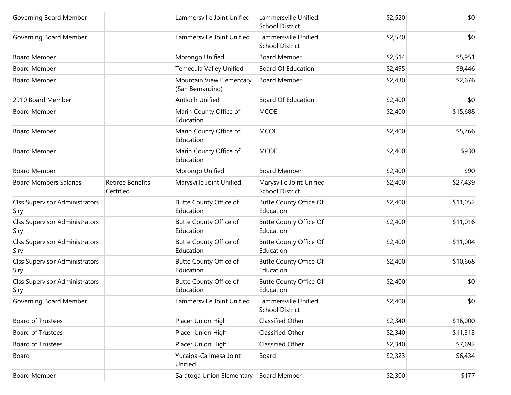| Governing Board Member                        |                                | Lammersville Joint Unified                   | Lammersville Unified<br><b>School District</b>     | \$2,520 | \$0      |
|-----------------------------------------------|--------------------------------|----------------------------------------------|----------------------------------------------------|---------|----------|
| Governing Board Member                        |                                | Lammersville Joint Unified                   | Lammersville Unified<br><b>School District</b>     | \$2,520 | \$0      |
| <b>Board Member</b>                           |                                | Morongo Unified                              | <b>Board Member</b>                                | \$2,514 | \$5,951  |
| <b>Board Member</b>                           |                                | Temecula Valley Unified                      | <b>Board Of Education</b>                          | \$2,495 | \$9,446  |
| <b>Board Member</b>                           |                                | Mountain View Elementary<br>(San Bernardino) | <b>Board Member</b>                                | \$2,430 | \$2,676  |
| 2910 Board Member                             |                                | Antioch Unified                              | <b>Board Of Education</b>                          | \$2,400 | \$0      |
| <b>Board Member</b>                           |                                | Marin County Office of<br>Education          | <b>MCOE</b>                                        | \$2,400 | \$15,688 |
| <b>Board Member</b>                           |                                | Marin County Office of<br>Education          | <b>MCOE</b>                                        | \$2,400 | \$5,766  |
| <b>Board Member</b>                           |                                | Marin County Office of<br>Education          | <b>MCOE</b>                                        | \$2,400 | \$930    |
| <b>Board Member</b>                           |                                | Morongo Unified                              | <b>Board Member</b>                                | \$2,400 | \$90     |
| <b>Board Members Salaries</b>                 | Retiree Benefits-<br>Certified | Marysville Joint Unified                     | Marysville Joint Unified<br><b>School District</b> | \$2,400 | \$27,439 |
| <b>Clss Supervisor Administrators</b><br>Slry |                                | Butte County Office of<br>Education          | <b>Butte County Office Of</b><br>Education         | \$2,400 | \$11,052 |
| <b>Clss Supervisor Administrators</b><br>Slry |                                | Butte County Office of<br>Education          | <b>Butte County Office Of</b><br>Education         | \$2,400 | \$11,016 |
| <b>Clss Supervisor Administrators</b><br>Slry |                                | Butte County Office of<br>Education          | <b>Butte County Office Of</b><br>Education         | \$2,400 | \$11,004 |
| <b>Clss Supervisor Administrators</b><br>Slry |                                | Butte County Office of<br>Education          | Butte County Office Of<br>Education                | \$2,400 | \$10,668 |
| <b>Clss Supervisor Administrators</b><br>Slry |                                | Butte County Office of<br>Education          | <b>Butte County Office Of</b><br>Education         | \$2,400 | \$0      |
| Governing Board Member                        |                                | Lammersville Joint Unified                   | Lammersville Unified<br><b>School District</b>     | \$2,400 | \$0      |
| <b>Board of Trustees</b>                      |                                | Placer Union High                            | Classified Other                                   | \$2,340 | \$16,000 |
| <b>Board of Trustees</b>                      |                                | Placer Union High                            | Classified Other                                   | \$2,340 | \$11,313 |
| <b>Board of Trustees</b>                      |                                | Placer Union High                            | Classified Other                                   | \$2,340 | \$7,692  |
| Board                                         |                                | Yucaipa-Calimesa Joint<br>Unified            | Board                                              | \$2,323 | \$6,434  |
| <b>Board Member</b>                           |                                | Saratoga Union Elementary                    | Board Member                                       | \$2,300 | \$177    |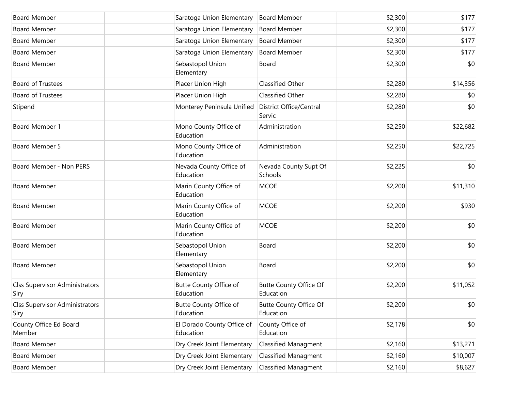| <b>Board Member</b>                           | Saratoga Union Elementary               | <b>Board Member</b>                        | \$2,300 | \$177    |
|-----------------------------------------------|-----------------------------------------|--------------------------------------------|---------|----------|
| <b>Board Member</b>                           | Saratoga Union Elementary               | <b>Board Member</b>                        | \$2,300 | \$177    |
| <b>Board Member</b>                           | Saratoga Union Elementary               | <b>Board Member</b>                        | \$2,300 | \$177    |
| <b>Board Member</b>                           | Saratoga Union Elementary               | <b>Board Member</b>                        | \$2,300 | \$177    |
| <b>Board Member</b>                           | Sebastopol Union<br>Elementary          | Board                                      | \$2,300 | \$0      |
| <b>Board of Trustees</b>                      | Placer Union High                       | Classified Other                           | \$2,280 | \$14,356 |
| <b>Board of Trustees</b>                      | Placer Union High                       | Classified Other                           | \$2,280 | \$0      |
| Stipend                                       | Monterey Peninsula Unified              | District Office/Central<br>Servic          | \$2,280 | \$0      |
| Board Member 1                                | Mono County Office of<br>Education      | Administration                             | \$2,250 | \$22,682 |
| Board Member 5                                | Mono County Office of<br>Education      | Administration                             | \$2,250 | \$22,725 |
| Board Member - Non PERS                       | Nevada County Office of<br>Education    | Nevada County Supt Of<br>Schools           | \$2,225 | \$0      |
| <b>Board Member</b>                           | Marin County Office of<br>Education     | <b>MCOE</b>                                | \$2,200 | \$11,310 |
| <b>Board Member</b>                           | Marin County Office of<br>Education     | <b>MCOE</b>                                | \$2,200 | \$930    |
| <b>Board Member</b>                           | Marin County Office of<br>Education     | <b>MCOE</b>                                | \$2,200 | \$0      |
| <b>Board Member</b>                           | Sebastopol Union<br>Elementary          | Board                                      | \$2,200 | \$0      |
| <b>Board Member</b>                           | Sebastopol Union<br>Elementary          | Board                                      | \$2,200 | \$0      |
| <b>Clss Supervisor Administrators</b><br>Slry | Butte County Office of<br>Education     | <b>Butte County Office Of</b><br>Education | \$2,200 | \$11,052 |
| <b>Clss Supervisor Administrators</b><br>Slry | Butte County Office of<br>Education     | <b>Butte County Office Of</b><br>Education | \$2,200 | \$0      |
| County Office Ed Board<br>Member              | El Dorado County Office of<br>Education | County Office of<br>Education              | \$2,178 | \$0      |
| <b>Board Member</b>                           | Dry Creek Joint Elementary              | <b>Classified Managment</b>                | \$2,160 | \$13,271 |
| <b>Board Member</b>                           | Dry Creek Joint Elementary              | <b>Classified Managment</b>                | \$2,160 | \$10,007 |
| <b>Board Member</b>                           | Dry Creek Joint Elementary              | <b>Classified Managment</b>                | \$2,160 | \$8,627  |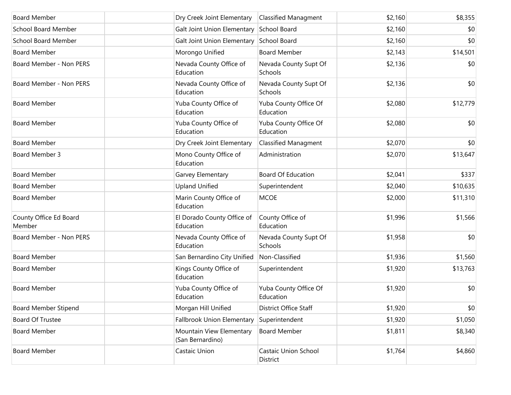| <b>Board Member</b>              | Dry Creek Joint Elementary                   | <b>Classified Managment</b>              | \$2,160 | \$8,355  |
|----------------------------------|----------------------------------------------|------------------------------------------|---------|----------|
| <b>School Board Member</b>       |                                              | Galt Joint Union Elementary School Board | \$2,160 | \$0      |
| <b>School Board Member</b>       | Galt Joint Union Elementary                  | School Board                             | \$2,160 | \$0      |
| <b>Board Member</b>              | Morongo Unified                              | <b>Board Member</b>                      | \$2,143 | \$14,501 |
| Board Member - Non PERS          | Nevada County Office of<br>Education         | Nevada County Supt Of<br>Schools         | \$2,136 | \$0      |
| Board Member - Non PERS          | Nevada County Office of<br>Education         | Nevada County Supt Of<br>Schools         | \$2,136 | \$0      |
| <b>Board Member</b>              | Yuba County Office of<br>Education           | Yuba County Office Of<br>Education       | \$2,080 | \$12,779 |
| <b>Board Member</b>              | Yuba County Office of<br>Education           | Yuba County Office Of<br>Education       | \$2,080 | \$0      |
| <b>Board Member</b>              | Dry Creek Joint Elementary                   | <b>Classified Managment</b>              | \$2,070 | \$0      |
| Board Member 3                   | Mono County Office of<br>Education           | Administration                           | \$2,070 | \$13,647 |
| <b>Board Member</b>              | Garvey Elementary                            | <b>Board Of Education</b>                | \$2,041 | \$337    |
| <b>Board Member</b>              | <b>Upland Unified</b>                        | Superintendent                           | \$2,040 | \$10,635 |
| <b>Board Member</b>              | Marin County Office of<br>Education          | <b>MCOE</b>                              | \$2,000 | \$11,310 |
| County Office Ed Board<br>Member | El Dorado County Office of<br>Education      | County Office of<br>Education            | \$1,996 | \$1,566  |
| Board Member - Non PERS          | Nevada County Office of<br>Education         | Nevada County Supt Of<br>Schools         | \$1,958 | \$0      |
| <b>Board Member</b>              | San Bernardino City Unified                  | Non-Classified                           | \$1,936 | \$1,560  |
| <b>Board Member</b>              | Kings County Office of<br>Education          | Superintendent                           | \$1,920 | \$13,763 |
| <b>Board Member</b>              | Yuba County Office of<br>Education           | Yuba County Office Of<br>Education       | \$1,920 | \$0      |
| <b>Board Member Stipend</b>      | Morgan Hill Unified                          | District Office Staff                    | \$1,920 | \$0      |
| Board Of Trustee                 | <b>Fallbrook Union Elementary</b>            | Superintendent                           | \$1,920 | \$1,050  |
| <b>Board Member</b>              | Mountain View Elementary<br>(San Bernardino) | <b>Board Member</b>                      | \$1,811 | \$8,340  |
| <b>Board Member</b>              | Castaic Union                                | Castaic Union School<br>District         | \$1,764 | \$4,860  |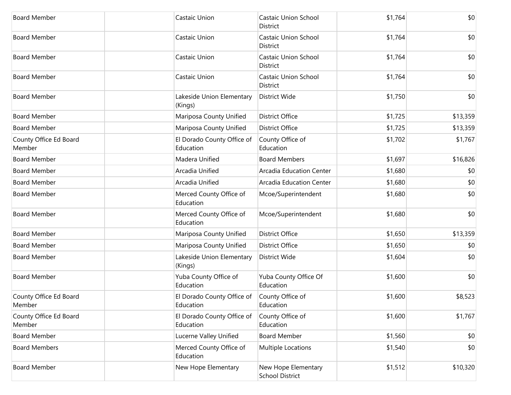| <b>Board Member</b>              | Castaic Union                           | <b>Castaic Union School</b><br>District       | \$1,764 | \$0      |
|----------------------------------|-----------------------------------------|-----------------------------------------------|---------|----------|
| <b>Board Member</b>              | Castaic Union                           | <b>Castaic Union School</b><br>District       | \$1,764 | \$0      |
| <b>Board Member</b>              | Castaic Union                           | <b>Castaic Union School</b><br>District       | \$1,764 | \$0      |
| <b>Board Member</b>              | Castaic Union                           | <b>Castaic Union School</b><br>District       | \$1,764 | \$0      |
| <b>Board Member</b>              | Lakeside Union Elementary<br>(Kings)    | <b>District Wide</b>                          | \$1,750 | \$0      |
| <b>Board Member</b>              | Mariposa County Unified                 | <b>District Office</b>                        | \$1,725 | \$13,359 |
| <b>Board Member</b>              | Mariposa County Unified                 | <b>District Office</b>                        | \$1,725 | \$13,359 |
| County Office Ed Board<br>Member | El Dorado County Office of<br>Education | County Office of<br>Education                 | \$1,702 | \$1,767  |
| <b>Board Member</b>              | Madera Unified                          | <b>Board Members</b>                          | \$1,697 | \$16,826 |
| <b>Board Member</b>              | Arcadia Unified                         | Arcadia Education Center                      | \$1,680 | \$0      |
| <b>Board Member</b>              | Arcadia Unified                         | <b>Arcadia Education Center</b>               | \$1,680 | \$0      |
| <b>Board Member</b>              | Merced County Office of<br>Education    | Mcoe/Superintendent                           | \$1,680 | \$0      |
| <b>Board Member</b>              | Merced County Office of<br>Education    | Mcoe/Superintendent                           | \$1,680 | \$0      |
| <b>Board Member</b>              | Mariposa County Unified                 | <b>District Office</b>                        | \$1,650 | \$13,359 |
| <b>Board Member</b>              | Mariposa County Unified                 | <b>District Office</b>                        | \$1,650 | \$0      |
| <b>Board Member</b>              | Lakeside Union Elementary<br>(Kings)    | District Wide                                 | \$1,604 | \$0      |
| <b>Board Member</b>              | Yuba County Office of<br>Education      | Yuba County Office Of<br>Education            | \$1,600 | \$0      |
| County Office Ed Board<br>Member | El Dorado County Office of<br>Education | County Office of<br>Education                 | \$1,600 | \$8,523  |
| County Office Ed Board<br>Member | El Dorado County Office of<br>Education | County Office of<br>Education                 | \$1,600 | \$1,767  |
| <b>Board Member</b>              | Lucerne Valley Unified                  | <b>Board Member</b>                           | \$1,560 | \$0      |
| <b>Board Members</b>             | Merced County Office of<br>Education    | <b>Multiple Locations</b>                     | \$1,540 | \$0      |
| <b>Board Member</b>              | New Hope Elementary                     | New Hope Elementary<br><b>School District</b> | \$1,512 | \$10,320 |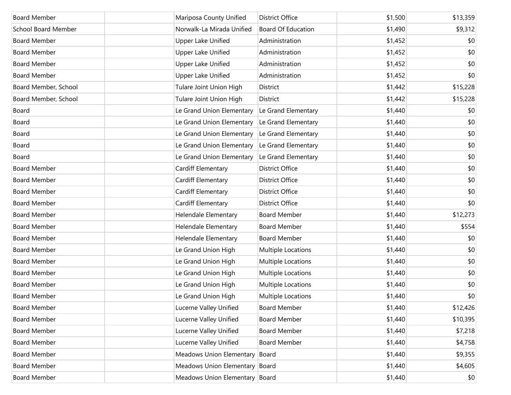| <b>Board Member</b>        | Mariposa County Unified        | <b>District Office</b>    | \$1,500 | \$13,359 |
|----------------------------|--------------------------------|---------------------------|---------|----------|
| <b>School Board Member</b> | Norwalk-La Mirada Unified      | <b>Board Of Education</b> | \$1,490 | \$9,312  |
| <b>Board Member</b>        | <b>Upper Lake Unified</b>      | Administration            | \$1,452 | \$0      |
| <b>Board Member</b>        | <b>Upper Lake Unified</b>      | Administration            | \$1,452 | \$0      |
| <b>Board Member</b>        | <b>Upper Lake Unified</b>      | Administration            | \$1,452 | \$0      |
| <b>Board Member</b>        | <b>Upper Lake Unified</b>      | Administration            | \$1,452 | \$0      |
| Board Member, School       | Tulare Joint Union High        | District                  | \$1,442 | \$15,228 |
| Board Member, School       | Tulare Joint Union High        | District                  | \$1,442 | \$15,228 |
| Board                      | Le Grand Union Elementary      | Le Grand Elementary       | \$1,440 | \$0      |
| Board                      | Le Grand Union Elementary      | Le Grand Elementary       | \$1,440 | \$0      |
| Board                      | Le Grand Union Elementary      | Le Grand Elementary       | \$1,440 | \$0      |
| Board                      | Le Grand Union Elementary      | Le Grand Elementary       | \$1,440 | \$0      |
| Board                      | Le Grand Union Elementary      | Le Grand Elementary       | \$1,440 | \$0      |
| <b>Board Member</b>        | Cardiff Elementary             | <b>District Office</b>    | \$1,440 | \$0      |
| <b>Board Member</b>        | Cardiff Elementary             | <b>District Office</b>    | \$1,440 | \$0      |
| <b>Board Member</b>        | Cardiff Elementary             | <b>District Office</b>    | \$1,440 | \$0      |
| <b>Board Member</b>        | Cardiff Elementary             | <b>District Office</b>    | \$1,440 | \$0      |
| <b>Board Member</b>        | Helendale Elementary           | <b>Board Member</b>       | \$1,440 | \$12,273 |
| <b>Board Member</b>        | Helendale Elementary           | <b>Board Member</b>       | \$1,440 | \$554    |
| <b>Board Member</b>        | Helendale Elementary           | <b>Board Member</b>       | \$1,440 | \$0      |
| <b>Board Member</b>        | Le Grand Union High            | Multiple Locations        | \$1,440 | \$0      |
| <b>Board Member</b>        | Le Grand Union High            | Multiple Locations        | \$1,440 | \$0      |
| <b>Board Member</b>        | Le Grand Union High            | Multiple Locations        | \$1,440 | \$0      |
| <b>Board Member</b>        | Le Grand Union High            | Multiple Locations        | \$1,440 | \$0      |
| <b>Board Member</b>        | Le Grand Union High            | Multiple Locations        | \$1,440 | \$0      |
| <b>Board Member</b>        | Lucerne Valley Unified         | <b>Board Member</b>       | \$1,440 | \$12,426 |
| <b>Board Member</b>        | Lucerne Valley Unified         | <b>Board Member</b>       | \$1,440 | \$10,395 |
| <b>Board Member</b>        | Lucerne Valley Unified         | <b>Board Member</b>       | \$1,440 | \$7,218  |
| <b>Board Member</b>        | Lucerne Valley Unified         | <b>Board Member</b>       | \$1,440 | \$4,758  |
| <b>Board Member</b>        | Meadows Union Elementary       | Board                     | \$1,440 | \$9,355  |
| <b>Board Member</b>        | Meadows Union Elementary Board |                           | \$1,440 | \$4,605  |
| <b>Board Member</b>        | Meadows Union Elementary Board |                           | \$1,440 | \$0      |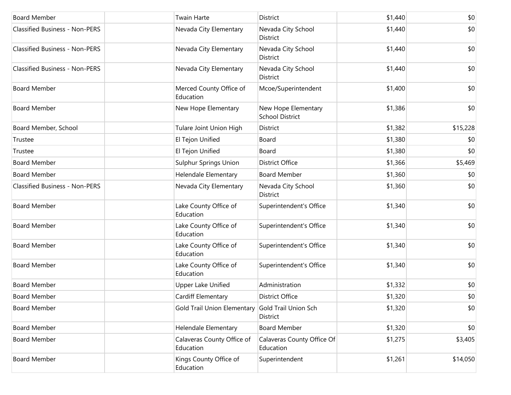| <b>Board Member</b>                   | <b>Twain Harte</b>                      | District                                      | \$1,440 | \$0      |
|---------------------------------------|-----------------------------------------|-----------------------------------------------|---------|----------|
| <b>Classified Business - Non-PERS</b> | Nevada City Elementary                  | Nevada City School<br>District                | \$1,440 | \$0      |
| <b>Classified Business - Non-PERS</b> | Nevada City Elementary                  | Nevada City School<br>District                | \$1,440 | \$0      |
| <b>Classified Business - Non-PERS</b> | Nevada City Elementary                  | Nevada City School<br>District                | \$1,440 | \$0      |
| <b>Board Member</b>                   | Merced County Office of<br>Education    | Mcoe/Superintendent                           | \$1,400 | \$0      |
| <b>Board Member</b>                   | New Hope Elementary                     | New Hope Elementary<br><b>School District</b> | \$1,386 | \$0      |
| Board Member, School                  | Tulare Joint Union High                 | District                                      | \$1,382 | \$15,228 |
| Trustee                               | El Tejon Unified                        | Board                                         | \$1,380 | \$0      |
| Trustee                               | El Tejon Unified                        | Board                                         | \$1,380 | \$0      |
| <b>Board Member</b>                   | <b>Sulphur Springs Union</b>            | District Office                               | \$1,366 | \$5,469  |
| <b>Board Member</b>                   | Helendale Elementary                    | <b>Board Member</b>                           | \$1,360 | \$0      |
| <b>Classified Business - Non-PERS</b> | Nevada City Elementary                  | Nevada City School<br><b>District</b>         | \$1,360 | \$0      |
| <b>Board Member</b>                   | Lake County Office of<br>Education      | Superintendent's Office                       | \$1,340 | \$0      |
| <b>Board Member</b>                   | Lake County Office of<br>Education      | Superintendent's Office                       | \$1,340 | \$0      |
| <b>Board Member</b>                   | Lake County Office of<br>Education      | Superintendent's Office                       | \$1,340 | \$0      |
| <b>Board Member</b>                   | Lake County Office of<br>Education      | Superintendent's Office                       | \$1,340 | \$0      |
| <b>Board Member</b>                   | Upper Lake Unified                      | Administration                                | \$1,332 | \$0      |
| <b>Board Member</b>                   | Cardiff Elementary                      | <b>District Office</b>                        | \$1,320 | \$0      |
| <b>Board Member</b>                   | <b>Gold Trail Union Elementary</b>      | Gold Trail Union Sch<br>District              | \$1,320 | \$0      |
| <b>Board Member</b>                   | Helendale Elementary                    | <b>Board Member</b>                           | \$1,320 | \$0      |
| <b>Board Member</b>                   | Calaveras County Office of<br>Education | Calaveras County Office Of<br>Education       | \$1,275 | \$3,405  |
| <b>Board Member</b>                   | Kings County Office of<br>Education     | Superintendent                                | \$1,261 | \$14,050 |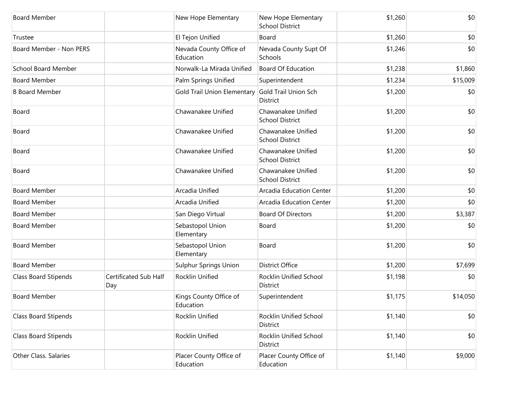| <b>Board Member</b>         |                              | New Hope Elementary                  | New Hope Elementary<br><b>School District</b> | \$1,260 | \$0      |
|-----------------------------|------------------------------|--------------------------------------|-----------------------------------------------|---------|----------|
| Trustee                     |                              | El Tejon Unified                     | Board                                         | \$1,260 | \$0      |
| Board Member - Non PERS     |                              | Nevada County Office of<br>Education | Nevada County Supt Of<br>Schools              | \$1,246 | \$0      |
| <b>School Board Member</b>  |                              | Norwalk-La Mirada Unified            | <b>Board Of Education</b>                     | \$1,238 | \$1,860  |
| <b>Board Member</b>         |                              | Palm Springs Unified                 | Superintendent                                | \$1,234 | \$15,009 |
| <b>B Board Member</b>       |                              | Gold Trail Union Elementary          | Gold Trail Union Sch<br>District              | \$1,200 | \$0      |
| Board                       |                              | Chawanakee Unified                   | Chawanakee Unified<br><b>School District</b>  | \$1,200 | \$0      |
| Board                       |                              | Chawanakee Unified                   | Chawanakee Unified<br><b>School District</b>  | \$1,200 | \$0      |
| Board                       |                              | Chawanakee Unified                   | Chawanakee Unified<br><b>School District</b>  | \$1,200 | \$0      |
| Board                       |                              | Chawanakee Unified                   | Chawanakee Unified<br><b>School District</b>  | \$1,200 | \$0      |
| <b>Board Member</b>         |                              | Arcadia Unified                      | Arcadia Education Center                      | \$1,200 | \$0      |
| <b>Board Member</b>         |                              | Arcadia Unified                      | Arcadia Education Center                      | \$1,200 | \$0      |
| <b>Board Member</b>         |                              | San Diego Virtual                    | <b>Board Of Directors</b>                     | \$1,200 | \$3,387  |
| <b>Board Member</b>         |                              | Sebastopol Union<br>Elementary       | Board                                         | \$1,200 | \$0      |
| <b>Board Member</b>         |                              | Sebastopol Union<br>Elementary       | Board                                         | \$1,200 | \$0      |
| <b>Board Member</b>         |                              | <b>Sulphur Springs Union</b>         | District Office                               | \$1,200 | \$7,699  |
| Class Board Stipends        | Certificated Sub Half<br>Day | Rocklin Unified                      | Rocklin Unified School<br>District            | \$1,198 | \$0      |
| <b>Board Member</b>         |                              | Kings County Office of<br>Education  | Superintendent                                | \$1,175 | \$14,050 |
| <b>Class Board Stipends</b> |                              | Rocklin Unified                      | Rocklin Unified School<br>District            | \$1,140 | \$0      |
| Class Board Stipends        |                              | Rocklin Unified                      | Rocklin Unified School<br>District            | \$1,140 | \$0      |
| Other Class. Salaries       |                              | Placer County Office of<br>Education | Placer County Office of<br>Education          | \$1,140 | \$9,000  |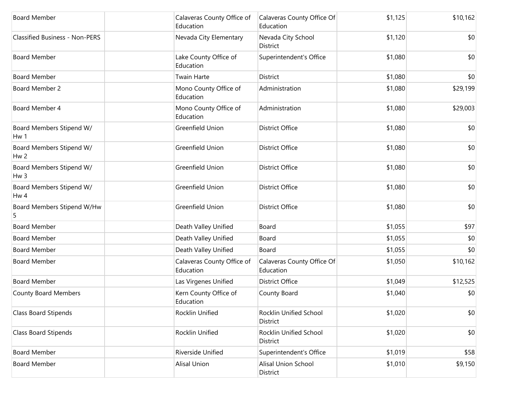| <b>Board Member</b>                         | Calaveras County Office of<br>Education | Calaveras County Office Of<br>Education | \$1,125 | \$10,162 |
|---------------------------------------------|-----------------------------------------|-----------------------------------------|---------|----------|
| <b>Classified Business - Non-PERS</b>       | Nevada City Elementary                  | Nevada City School<br>District          | \$1,120 | \$0      |
| <b>Board Member</b>                         | Lake County Office of<br>Education      | Superintendent's Office                 | \$1,080 | \$0      |
| <b>Board Member</b>                         | <b>Twain Harte</b>                      | District                                | \$1,080 | \$0      |
| Board Member 2                              | Mono County Office of<br>Education      | Administration                          | \$1,080 | \$29,199 |
| Board Member 4                              | Mono County Office of<br>Education      | Administration                          | \$1,080 | \$29,003 |
| Board Members Stipend W/<br>Hw 1            | Greenfield Union                        | <b>District Office</b>                  | \$1,080 | \$0      |
| Board Members Stipend W/<br>Hw <sub>2</sub> | Greenfield Union                        | <b>District Office</b>                  | \$1,080 | \$0      |
| Board Members Stipend W/<br>Hw <sub>3</sub> | Greenfield Union                        | <b>District Office</b>                  | \$1,080 | \$0      |
| Board Members Stipend W/<br>Hw 4            | Greenfield Union                        | <b>District Office</b>                  | \$1,080 | \$0      |
| Board Members Stipend W/Hw                  | Greenfield Union                        | <b>District Office</b>                  | \$1,080 | \$0      |
| <b>Board Member</b>                         | Death Valley Unified                    | Board                                   | \$1,055 | \$97     |
| <b>Board Member</b>                         | Death Valley Unified                    | Board                                   | \$1,055 | \$0      |
| <b>Board Member</b>                         | Death Valley Unified                    | Board                                   | \$1,055 | \$0      |
| <b>Board Member</b>                         | Calaveras County Office of<br>Education | Calaveras County Office Of<br>Education | \$1,050 | \$10,162 |
| <b>Board Member</b>                         | Las Virgenes Unified                    | <b>District Office</b>                  | \$1,049 | \$12,525 |
| <b>County Board Members</b>                 | Kern County Office of<br>Education      | County Board                            | \$1,040 | \$0      |
| <b>Class Board Stipends</b>                 | Rocklin Unified                         | Rocklin Unified School<br>District      | \$1,020 | \$0      |
| Class Board Stipends                        | Rocklin Unified                         | Rocklin Unified School<br>District      | \$1,020 | \$0      |
| <b>Board Member</b>                         | Riverside Unified                       | Superintendent's Office                 | \$1,019 | \$58     |
| <b>Board Member</b>                         | <b>Alisal Union</b>                     | Alisal Union School<br>District         | \$1,010 | \$9,150  |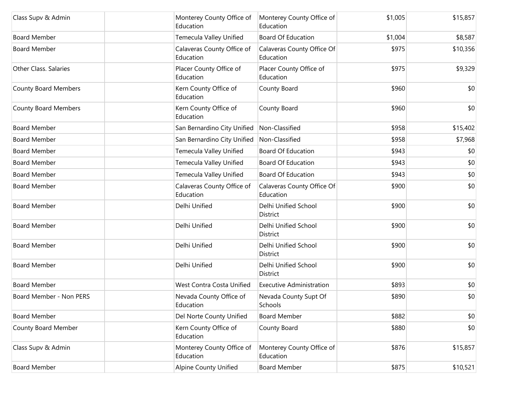| Class Supv & Admin          | Monterey County Office of<br>Education  | Monterey County Office of<br>Education  | \$1,005 | \$15,857 |
|-----------------------------|-----------------------------------------|-----------------------------------------|---------|----------|
| <b>Board Member</b>         | Temecula Valley Unified                 | <b>Board Of Education</b>               | \$1,004 | \$8,587  |
| <b>Board Member</b>         | Calaveras County Office of<br>Education | Calaveras County Office Of<br>Education | \$975   | \$10,356 |
| Other Class. Salaries       | Placer County Office of<br>Education    | Placer County Office of<br>Education    | \$975   | \$9,329  |
| County Board Members        | Kern County Office of<br>Education      | County Board                            | \$960   | \$0      |
| <b>County Board Members</b> | Kern County Office of<br>Education      | County Board                            | \$960   | \$0      |
| <b>Board Member</b>         | San Bernardino City Unified             | Non-Classified                          | \$958   | \$15,402 |
| <b>Board Member</b>         | San Bernardino City Unified             | Non-Classified                          | \$958   | \$7,968  |
| <b>Board Member</b>         | Temecula Valley Unified                 | <b>Board Of Education</b>               | \$943   | \$0      |
| <b>Board Member</b>         | Temecula Valley Unified                 | <b>Board Of Education</b>               | \$943   | \$0      |
| <b>Board Member</b>         | Temecula Valley Unified                 | <b>Board Of Education</b>               | \$943   | \$0      |
| <b>Board Member</b>         | Calaveras County Office of<br>Education | Calaveras County Office Of<br>Education | \$900   | \$0      |
| <b>Board Member</b>         | Delhi Unified                           | Delhi Unified School<br><b>District</b> | \$900   | \$0      |
| <b>Board Member</b>         | Delhi Unified                           | Delhi Unified School<br>District        | \$900   | \$0      |
| <b>Board Member</b>         | Delhi Unified                           | Delhi Unified School<br>District        | \$900   | \$0      |
| <b>Board Member</b>         | Delhi Unified                           | Delhi Unified School<br>District        | \$900   | \$0      |
| <b>Board Member</b>         | West Contra Costa Unified               | <b>Executive Administration</b>         | \$893   | \$0      |
| Board Member - Non PERS     | Nevada County Office of<br>Education    | Nevada County Supt Of<br>Schools        | \$890   | \$0      |
| <b>Board Member</b>         | Del Norte County Unified                | <b>Board Member</b>                     | \$882   | \$0      |
| County Board Member         | Kern County Office of<br>Education      | County Board                            | \$880   | \$0      |
| Class Supv & Admin          | Monterey County Office of<br>Education  | Monterey County Office of<br>Education  | \$876   | \$15,857 |
| <b>Board Member</b>         | Alpine County Unified                   | <b>Board Member</b>                     | \$875   | \$10,521 |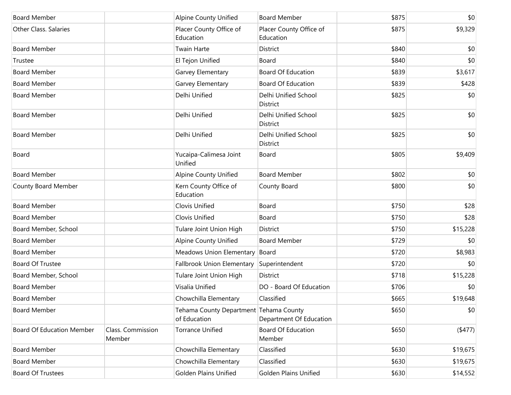| <b>Board Member</b>              |                             | <b>Alpine County Unified</b>                           | <b>Board Member</b>                  | \$875 | \$0      |
|----------------------------------|-----------------------------|--------------------------------------------------------|--------------------------------------|-------|----------|
| Other Class. Salaries            |                             | Placer County Office of<br>Education                   | Placer County Office of<br>Education | \$875 | \$9,329  |
| <b>Board Member</b>              |                             | <b>Twain Harte</b>                                     | <b>District</b>                      | \$840 | \$0      |
| Trustee                          |                             | El Tejon Unified                                       | Board                                | \$840 | \$0      |
| <b>Board Member</b>              |                             | Garvey Elementary                                      | <b>Board Of Education</b>            | \$839 | \$3,617  |
| <b>Board Member</b>              |                             | Garvey Elementary                                      | <b>Board Of Education</b>            | \$839 | \$428    |
| <b>Board Member</b>              |                             | Delhi Unified                                          | Delhi Unified School<br>District     | \$825 | \$0      |
| <b>Board Member</b>              |                             | Delhi Unified                                          | Delhi Unified School<br>District     | \$825 | \$0      |
| <b>Board Member</b>              |                             | Delhi Unified                                          | Delhi Unified School<br>District     | \$825 | \$0      |
| Board                            |                             | Yucaipa-Calimesa Joint<br>Unified                      | Board                                | \$805 | \$9,409  |
| <b>Board Member</b>              |                             | <b>Alpine County Unified</b>                           | <b>Board Member</b>                  | \$802 | \$0      |
| County Board Member              |                             | Kern County Office of<br>Education                     | County Board                         | \$800 | \$0      |
| <b>Board Member</b>              |                             | Clovis Unified                                         | Board                                | \$750 | \$28     |
| <b>Board Member</b>              |                             | Clovis Unified                                         | Board                                | \$750 | \$28     |
| Board Member, School             |                             | Tulare Joint Union High                                | District                             | \$750 | \$15,228 |
| <b>Board Member</b>              |                             | <b>Alpine County Unified</b>                           | <b>Board Member</b>                  | \$729 | \$0      |
| <b>Board Member</b>              |                             | Meadows Union Elementary                               | Board                                | \$720 | \$8,983  |
| Board Of Trustee                 |                             | Fallbrook Union Elementary                             | Superintendent                       | \$720 | \$0      |
| Board Member, School             |                             | Tulare Joint Union High                                | District                             | \$718 | \$15,228 |
| <b>Board Member</b>              |                             | Visalia Unified                                        | DO - Board Of Education              | \$706 | \$0      |
| <b>Board Member</b>              |                             | Chowchilla Elementary                                  | Classified                           | \$665 | \$19,648 |
| <b>Board Member</b>              |                             | Tehama County Department Tehama County<br>of Education | Department Of Education              | \$650 | \$0      |
| <b>Board Of Education Member</b> | Class. Commission<br>Member | <b>Torrance Unified</b>                                | <b>Board Of Education</b><br>Member  | \$650 | (477)    |
| <b>Board Member</b>              |                             | Chowchilla Elementary                                  | Classified                           | \$630 | \$19,675 |
| <b>Board Member</b>              |                             | Chowchilla Elementary                                  | Classified                           | \$630 | \$19,675 |
| <b>Board Of Trustees</b>         |                             | <b>Golden Plains Unified</b>                           | <b>Golden Plains Unified</b>         | \$630 | \$14,552 |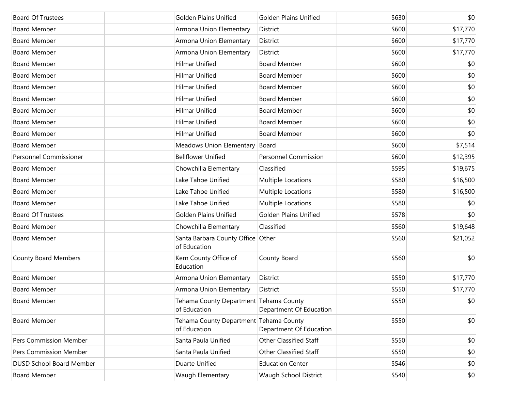| <b>Board Of Trustees</b>        | <b>Golden Plains Unified</b>                           | <b>Golden Plains Unified</b>  | \$630 | \$0      |
|---------------------------------|--------------------------------------------------------|-------------------------------|-------|----------|
| <b>Board Member</b>             | Armona Union Elementary                                | District                      | \$600 | \$17,770 |
| <b>Board Member</b>             | Armona Union Elementary                                | District                      | \$600 | \$17,770 |
| <b>Board Member</b>             | Armona Union Elementary                                | District                      | \$600 | \$17,770 |
| <b>Board Member</b>             | <b>Hilmar Unified</b>                                  | <b>Board Member</b>           | \$600 | \$0      |
| <b>Board Member</b>             | <b>Hilmar Unified</b>                                  | <b>Board Member</b>           | \$600 | \$0      |
| <b>Board Member</b>             | <b>Hilmar Unified</b>                                  | <b>Board Member</b>           | \$600 | \$0      |
| <b>Board Member</b>             | <b>Hilmar Unified</b>                                  | <b>Board Member</b>           | \$600 | \$0      |
| <b>Board Member</b>             | <b>Hilmar Unified</b>                                  | <b>Board Member</b>           | \$600 | \$0      |
| <b>Board Member</b>             | Hilmar Unified                                         | <b>Board Member</b>           | \$600 | \$0      |
| <b>Board Member</b>             | <b>Hilmar Unified</b>                                  | <b>Board Member</b>           | \$600 | \$0      |
| <b>Board Member</b>             | <b>Meadows Union Elementary</b>                        | Board                         | \$600 | \$7,514  |
| Personnel Commissioner          | <b>Bellflower Unified</b>                              | <b>Personnel Commission</b>   | \$600 | \$12,395 |
| <b>Board Member</b>             | Chowchilla Elementary                                  | Classified                    | \$595 | \$19,675 |
| <b>Board Member</b>             | Lake Tahoe Unified                                     | Multiple Locations            | \$580 | \$16,500 |
| <b>Board Member</b>             | Lake Tahoe Unified                                     | Multiple Locations            | \$580 | \$16,500 |
| <b>Board Member</b>             | Lake Tahoe Unified                                     | Multiple Locations            | \$580 | \$0      |
| <b>Board Of Trustees</b>        | <b>Golden Plains Unified</b>                           | <b>Golden Plains Unified</b>  | \$578 | \$0      |
| <b>Board Member</b>             | Chowchilla Elementary                                  | Classified                    | \$560 | \$19,648 |
| <b>Board Member</b>             | Santa Barbara County Office Other<br>of Education      |                               | \$560 | \$21,052 |
| County Board Members            | Kern County Office of<br>Education                     | County Board                  | \$560 | \$0      |
| <b>Board Member</b>             | Armona Union Elementary                                | District                      | \$550 | \$17,770 |
| <b>Board Member</b>             | Armona Union Elementary                                | District                      | \$550 | \$17,770 |
| Board Member                    | Tehama County Department Tehama County<br>of Education | Department Of Education       | \$550 | \$0      |
| <b>Board Member</b>             | Tehama County Department Tehama County<br>of Education | Department Of Education       | \$550 | \$0      |
| <b>Pers Commission Member</b>   | Santa Paula Unified                                    | Other Classified Staff        | \$550 | \$0      |
| Pers Commission Member          | Santa Paula Unified                                    | <b>Other Classified Staff</b> | \$550 | \$0      |
| <b>DUSD School Board Member</b> | Duarte Unified                                         | <b>Education Center</b>       | \$546 | \$0      |
| <b>Board Member</b>             | Waugh Elementary                                       | Waugh School District         | \$540 | \$0      |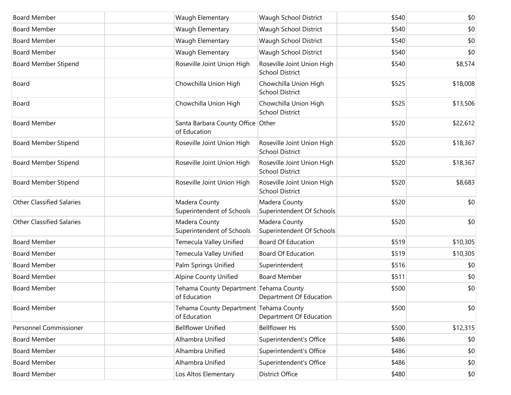| <b>Board Member</b>              | Waugh Elementary                                       | Waugh School District                                | \$540 | \$0      |
|----------------------------------|--------------------------------------------------------|------------------------------------------------------|-------|----------|
| <b>Board Member</b>              | Waugh Elementary                                       | Waugh School District                                | \$540 | \$0      |
| <b>Board Member</b>              | Waugh Elementary                                       | Waugh School District                                | \$540 | \$0      |
| <b>Board Member</b>              | Waugh Elementary                                       | Waugh School District                                | \$540 | \$0      |
| <b>Board Member Stipend</b>      | Roseville Joint Union High                             | Roseville Joint Union High<br><b>School District</b> | \$540 | \$8,574  |
| Board                            | Chowchilla Union High                                  | Chowchilla Union High<br><b>School District</b>      | \$525 | \$18,008 |
| Board                            | Chowchilla Union High                                  | Chowchilla Union High<br><b>School District</b>      | \$525 | \$13,506 |
| <b>Board Member</b>              | Santa Barbara County Office Other<br>of Education      |                                                      | \$520 | \$22,612 |
| <b>Board Member Stipend</b>      | Roseville Joint Union High                             | Roseville Joint Union High<br><b>School District</b> | \$520 | \$18,367 |
| <b>Board Member Stipend</b>      | Roseville Joint Union High                             | Roseville Joint Union High<br><b>School District</b> | \$520 | \$18,367 |
| <b>Board Member Stipend</b>      | Roseville Joint Union High                             | Roseville Joint Union High<br><b>School District</b> | \$520 | \$8,683  |
| <b>Other Classified Salaries</b> | Madera County<br>Superintendent of Schools             | Madera County<br>Superintendent Of Schools           | \$520 | \$0      |
| <b>Other Classified Salaries</b> | Madera County<br>Superintendent of Schools             | Madera County<br>Superintendent Of Schools           | \$520 | \$0      |
| <b>Board Member</b>              | Temecula Valley Unified                                | <b>Board Of Education</b>                            | \$519 | \$10,305 |
| <b>Board Member</b>              | Temecula Valley Unified                                | <b>Board Of Education</b>                            | \$519 | \$10,305 |
| <b>Board Member</b>              | Palm Springs Unified                                   | Superintendent                                       | \$516 | \$0      |
| <b>Board Member</b>              | <b>Alpine County Unified</b>                           | <b>Board Member</b>                                  | \$511 | \$0      |
| <b>Board Member</b>              | Tehama County Department Tehama County<br>of Education | Department Of Education                              | \$500 | \$0      |
| <b>Board Member</b>              | Tehama County Department Tehama County<br>of Education | Department Of Education                              | \$500 | \$0      |
| <b>Personnel Commissioner</b>    | <b>Bellflower Unified</b>                              | <b>Bellflower Hs</b>                                 | \$500 | \$12,315 |
| <b>Board Member</b>              | Alhambra Unified                                       | Superintendent's Office                              | \$486 | \$0      |
| <b>Board Member</b>              | Alhambra Unified                                       | Superintendent's Office                              | \$486 | \$0      |
| <b>Board Member</b>              | Alhambra Unified                                       | Superintendent's Office                              | \$486 | \$0      |
| <b>Board Member</b>              | Los Altos Elementary                                   | District Office                                      | \$480 | \$0      |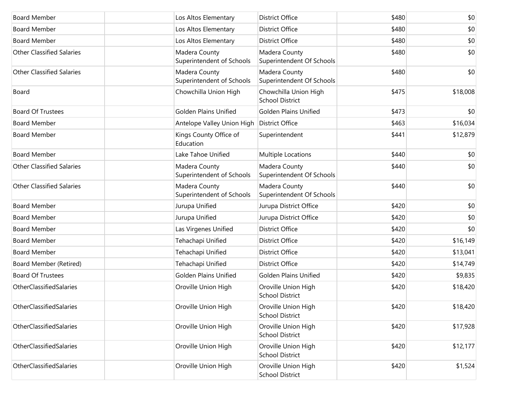| <b>Board Member</b>              | Los Altos Elementary                       | <b>District Office</b>                          | \$480 | \$0      |
|----------------------------------|--------------------------------------------|-------------------------------------------------|-------|----------|
| <b>Board Member</b>              | Los Altos Elementary                       | District Office                                 | \$480 | \$0      |
| <b>Board Member</b>              | Los Altos Elementary                       | District Office                                 | \$480 | \$0      |
| <b>Other Classified Salaries</b> | Madera County<br>Superintendent of Schools | Madera County<br>Superintendent Of Schools      | \$480 | \$0      |
| <b>Other Classified Salaries</b> | Madera County<br>Superintendent of Schools | Madera County<br>Superintendent Of Schools      | \$480 | \$0      |
| Board                            | Chowchilla Union High                      | Chowchilla Union High<br><b>School District</b> | \$475 | \$18,008 |
| <b>Board Of Trustees</b>         | <b>Golden Plains Unified</b>               | <b>Golden Plains Unified</b>                    | \$473 | \$0      |
| <b>Board Member</b>              | Antelope Valley Union High                 | District Office                                 | \$463 | \$16,034 |
| <b>Board Member</b>              | Kings County Office of<br>Education        | Superintendent                                  | \$441 | \$12,879 |
| <b>Board Member</b>              | Lake Tahoe Unified                         | Multiple Locations                              | \$440 | \$0      |
| <b>Other Classified Salaries</b> | Madera County<br>Superintendent of Schools | Madera County<br>Superintendent Of Schools      | \$440 | \$0      |
| <b>Other Classified Salaries</b> | Madera County<br>Superintendent of Schools | Madera County<br>Superintendent Of Schools      | \$440 | \$0      |
| <b>Board Member</b>              | Jurupa Unified                             | Jurupa District Office                          | \$420 | \$0      |
| <b>Board Member</b>              | Jurupa Unified                             | Jurupa District Office                          | \$420 | \$0      |
| <b>Board Member</b>              | Las Virgenes Unified                       | <b>District Office</b>                          | \$420 | \$0      |
| <b>Board Member</b>              | Tehachapi Unified                          | District Office                                 | \$420 | \$16,149 |
| <b>Board Member</b>              | Tehachapi Unified                          | District Office                                 | \$420 | \$13,041 |
| Board Member (Retired)           | Tehachapi Unified                          | District Office                                 | \$420 | \$14,749 |
| <b>Board Of Trustees</b>         | <b>Golden Plains Unified</b>               | <b>Golden Plains Unified</b>                    | \$420 | \$9,835  |
| <b>OtherClassifiedSalaries</b>   | Oroville Union High                        | Oroville Union High<br><b>School District</b>   | \$420 | \$18,420 |
| OtherClassifiedSalaries          | Oroville Union High                        | Oroville Union High<br><b>School District</b>   | \$420 | \$18,420 |
| OtherClassifiedSalaries          | Oroville Union High                        | Oroville Union High<br><b>School District</b>   | \$420 | \$17,928 |
| OtherClassifiedSalaries          | Oroville Union High                        | Oroville Union High<br><b>School District</b>   | \$420 | \$12,177 |
| OtherClassifiedSalaries          | Oroville Union High                        | Oroville Union High<br><b>School District</b>   | \$420 | \$1,524  |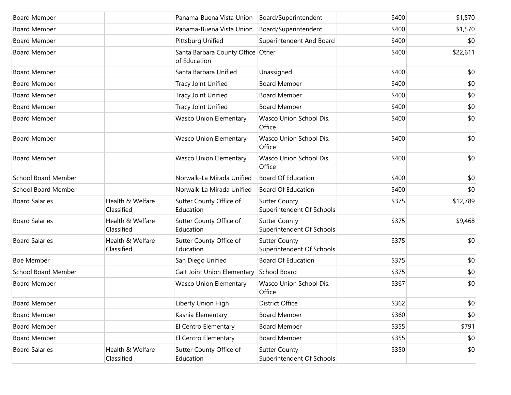| <b>Board Member</b>        |                                | Panama-Buena Vista Union                          | Board/Superintendent                              | \$400 | \$1,570  |
|----------------------------|--------------------------------|---------------------------------------------------|---------------------------------------------------|-------|----------|
| <b>Board Member</b>        |                                | Panama-Buena Vista Union                          | Board/Superintendent                              | \$400 | \$1,570  |
| <b>Board Member</b>        |                                | Pittsburg Unified                                 | Superintendent And Board                          | \$400 | \$0      |
| <b>Board Member</b>        |                                | Santa Barbara County Office Other<br>of Education |                                                   | \$400 | \$22,611 |
| <b>Board Member</b>        |                                | Santa Barbara Unified                             | Unassigned                                        | \$400 | \$0      |
| <b>Board Member</b>        |                                | <b>Tracy Joint Unified</b>                        | <b>Board Member</b>                               | \$400 | \$0      |
| <b>Board Member</b>        |                                | <b>Tracy Joint Unified</b>                        | <b>Board Member</b>                               | \$400 | \$0      |
| <b>Board Member</b>        |                                | <b>Tracy Joint Unified</b>                        | <b>Board Member</b>                               | \$400 | \$0      |
| <b>Board Member</b>        |                                | <b>Wasco Union Elementary</b>                     | Wasco Union School Dis.<br>Office                 | \$400 | \$0      |
| <b>Board Member</b>        |                                | <b>Wasco Union Elementary</b>                     | Wasco Union School Dis.<br>Office                 | \$400 | \$0      |
| <b>Board Member</b>        |                                | <b>Wasco Union Elementary</b>                     | Wasco Union School Dis.<br>Office                 | \$400 | \$0      |
| <b>School Board Member</b> |                                | Norwalk-La Mirada Unified                         | <b>Board Of Education</b>                         | \$400 | \$0      |
| <b>School Board Member</b> |                                | Norwalk-La Mirada Unified                         | <b>Board Of Education</b>                         | \$400 | \$0      |
| <b>Board Salaries</b>      | Health & Welfare<br>Classified | Sutter County Office of<br>Education              | <b>Sutter County</b><br>Superintendent Of Schools | \$375 | \$12,789 |
| <b>Board Salaries</b>      | Health & Welfare<br>Classified | Sutter County Office of<br>Education              | <b>Sutter County</b><br>Superintendent Of Schools | \$375 | \$9,468  |
| <b>Board Salaries</b>      | Health & Welfare<br>Classified | Sutter County Office of<br>Education              | <b>Sutter County</b><br>Superintendent Of Schools | \$375 | \$0      |
| <b>Boe Member</b>          |                                | San Diego Unified                                 | <b>Board Of Education</b>                         | \$375 | \$0      |
| <b>School Board Member</b> |                                | Galt Joint Union Elementary                       | School Board                                      | \$375 | \$0      |
| <b>Board Member</b>        |                                | <b>Wasco Union Elementary</b>                     | Wasco Union School Dis.<br>Office                 | \$367 | \$0      |
| <b>Board Member</b>        |                                | Liberty Union High                                | District Office                                   | \$362 | \$0      |
| <b>Board Member</b>        |                                | Kashia Elementary                                 | <b>Board Member</b>                               | \$360 | \$0      |
| <b>Board Member</b>        |                                | El Centro Elementary                              | <b>Board Member</b>                               | \$355 | \$791    |
| <b>Board Member</b>        |                                | El Centro Elementary                              | <b>Board Member</b>                               | \$355 | \$0      |
| <b>Board Salaries</b>      | Health & Welfare<br>Classified | Sutter County Office of<br>Education              | <b>Sutter County</b><br>Superintendent Of Schools | \$350 | \$0      |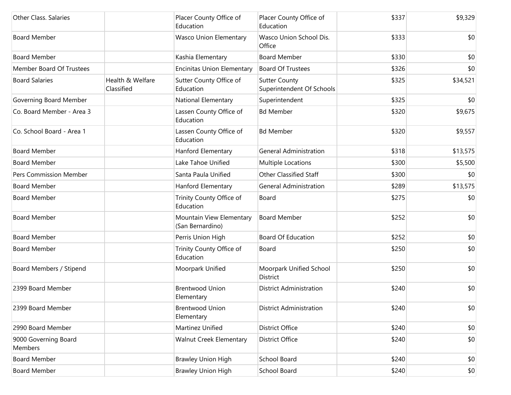| Other Class. Salaries           |                                | Placer County Office of<br>Education         | Placer County Office of<br>Education              | \$337 | \$9,329  |
|---------------------------------|--------------------------------|----------------------------------------------|---------------------------------------------------|-------|----------|
| <b>Board Member</b>             |                                | <b>Wasco Union Elementary</b>                | Wasco Union School Dis.<br>Office                 | \$333 | \$0      |
| <b>Board Member</b>             |                                | Kashia Elementary                            | <b>Board Member</b>                               | \$330 | \$0      |
| Member Board Of Trustees        |                                | <b>Encinitas Union Elementary</b>            | <b>Board Of Trustees</b>                          | \$326 | \$0      |
| <b>Board Salaries</b>           | Health & Welfare<br>Classified | Sutter County Office of<br>Education         | <b>Sutter County</b><br>Superintendent Of Schools | \$325 | \$34,521 |
| Governing Board Member          |                                | National Elementary                          | Superintendent                                    | \$325 | \$0      |
| Co. Board Member - Area 3       |                                | Lassen County Office of<br>Education         | <b>Bd Member</b>                                  | \$320 | \$9,675  |
| Co. School Board - Area 1       |                                | Lassen County Office of<br>Education         | <b>Bd Member</b>                                  | \$320 | \$9,557  |
| <b>Board Member</b>             |                                | Hanford Elementary                           | <b>General Administration</b>                     | \$318 | \$13,575 |
| <b>Board Member</b>             |                                | Lake Tahoe Unified                           | Multiple Locations                                | \$300 | \$5,500  |
| Pers Commission Member          |                                | Santa Paula Unified                          | <b>Other Classified Staff</b>                     | \$300 | \$0      |
| <b>Board Member</b>             |                                | Hanford Elementary                           | <b>General Administration</b>                     | \$289 | \$13,575 |
| <b>Board Member</b>             |                                | Trinity County Office of<br>Education        | Board                                             | \$275 | \$0      |
| <b>Board Member</b>             |                                | Mountain View Elementary<br>(San Bernardino) | <b>Board Member</b>                               | \$252 | \$0      |
| <b>Board Member</b>             |                                | Perris Union High                            | <b>Board Of Education</b>                         | \$252 | \$0      |
| <b>Board Member</b>             |                                | Trinity County Office of<br>Education        | Board                                             | \$250 | \$0      |
| Board Members / Stipend         |                                | Moorpark Unified                             | Moorpark Unified School<br>District               | \$250 | \$0      |
| 2399 Board Member               |                                | <b>Brentwood Union</b><br>Elementary         | <b>District Administration</b>                    | \$240 | \$0      |
| 2399 Board Member               |                                | <b>Brentwood Union</b><br>Elementary         | <b>District Administration</b>                    | \$240 | \$0      |
| 2990 Board Member               |                                | Martinez Unified                             | <b>District Office</b>                            | \$240 | \$0      |
| 9000 Governing Board<br>Members |                                | Walnut Creek Elementary                      | District Office                                   | \$240 | \$0      |
| <b>Board Member</b>             |                                | <b>Brawley Union High</b>                    | School Board                                      | \$240 | \$0      |
| <b>Board Member</b>             |                                | <b>Brawley Union High</b>                    | School Board                                      | \$240 | \$0      |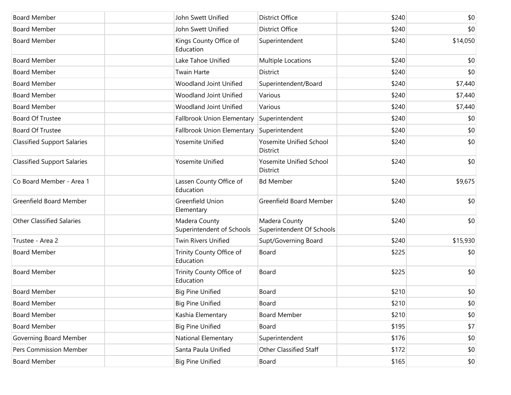| <b>Board Member</b>                | John Swett Unified                         | <b>District Office</b>                     | \$240 | \$0      |
|------------------------------------|--------------------------------------------|--------------------------------------------|-------|----------|
| <b>Board Member</b>                | John Swett Unified                         | District Office                            | \$240 | \$0      |
| <b>Board Member</b>                | Kings County Office of<br>Education        | Superintendent                             | \$240 | \$14,050 |
| <b>Board Member</b>                | Lake Tahoe Unified                         | Multiple Locations                         | \$240 | \$0      |
| <b>Board Member</b>                | Twain Harte                                | District                                   | \$240 | \$0      |
| <b>Board Member</b>                | Woodland Joint Unified                     | Superintendent/Board                       | \$240 | \$7,440  |
| <b>Board Member</b>                | Woodland Joint Unified                     | Various                                    | \$240 | \$7,440  |
| <b>Board Member</b>                | Woodland Joint Unified                     | Various                                    | \$240 | \$7,440  |
| Board Of Trustee                   | Fallbrook Union Elementary                 | Superintendent                             | \$240 | \$0      |
| Board Of Trustee                   | <b>Fallbrook Union Elementary</b>          | Superintendent                             | \$240 | \$0      |
| <b>Classified Support Salaries</b> | Yosemite Unified                           | <b>Yosemite Unified School</b><br>District | \$240 | \$0      |
| <b>Classified Support Salaries</b> | Yosemite Unified                           | Yosemite Unified School<br><b>District</b> | \$240 | \$0      |
| Co Board Member - Area 1           | Lassen County Office of<br>Education       | <b>Bd Member</b>                           | \$240 | \$9,675  |
| <b>Greenfield Board Member</b>     | Greenfield Union<br>Elementary             | Greenfield Board Member                    | \$240 | \$0      |
| <b>Other Classified Salaries</b>   | Madera County<br>Superintendent of Schools | Madera County<br>Superintendent Of Schools | \$240 | \$0      |
| Trustee - Area 2                   | <b>Twin Rivers Unified</b>                 | Supt/Governing Board                       | \$240 | \$15,930 |
| <b>Board Member</b>                | Trinity County Office of<br>Education      | Board                                      | \$225 | \$0      |
| <b>Board Member</b>                | Trinity County Office of<br>Education      | Board                                      | \$225 | \$0      |
| <b>Board Member</b>                | <b>Big Pine Unified</b>                    | Board                                      | \$210 | \$0      |
| Board Member                       | <b>Big Pine Unified</b>                    | Board                                      | \$210 | \$0      |
| <b>Board Member</b>                | Kashia Elementary                          | <b>Board Member</b>                        | \$210 | \$0      |
| Board Member                       | <b>Big Pine Unified</b>                    | Board                                      | \$195 | \$7      |
| Governing Board Member             | National Elementary                        | Superintendent                             | \$176 | \$0      |
| Pers Commission Member             | Santa Paula Unified                        | Other Classified Staff                     | \$172 | \$0      |
| <b>Board Member</b>                | <b>Big Pine Unified</b>                    | Board                                      | \$165 | \$0      |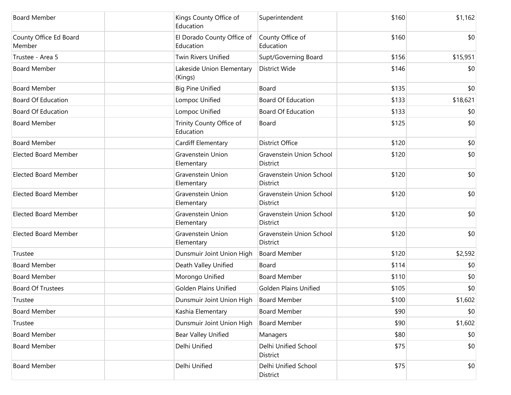| <b>Board Member</b>              | Kings County Office of<br>Education      | Superintendent                              | \$160 | \$1,162  |
|----------------------------------|------------------------------------------|---------------------------------------------|-------|----------|
| County Office Ed Board<br>Member | El Dorado County Office of<br>Education  | County Office of<br>Education               | \$160 | \$0      |
| Trustee - Area 5                 | <b>Twin Rivers Unified</b>               | Supt/Governing Board                        | \$156 | \$15,951 |
| <b>Board Member</b>              | Lakeside Union Elementary<br>(Kings)     | District Wide                               | \$146 | \$0      |
| <b>Board Member</b>              | <b>Big Pine Unified</b>                  | Board                                       | \$135 | \$0      |
| <b>Board Of Education</b>        | Lompoc Unified                           | <b>Board Of Education</b>                   | \$133 | \$18,621 |
| <b>Board Of Education</b>        | Lompoc Unified                           | <b>Board Of Education</b>                   | \$133 | \$0      |
| <b>Board Member</b>              | Trinity County Office of<br>Education    | Board                                       | \$125 | \$0      |
| <b>Board Member</b>              | Cardiff Elementary                       | <b>District Office</b>                      | \$120 | \$0      |
| <b>Elected Board Member</b>      | Gravenstein Union<br>Elementary          | Gravenstein Union School<br>District        | \$120 | \$0      |
| <b>Elected Board Member</b>      | Gravenstein Union<br>Elementary          | Gravenstein Union School<br><b>District</b> | \$120 | \$0      |
| <b>Elected Board Member</b>      | Gravenstein Union<br>Elementary          | Gravenstein Union School<br>District        | \$120 | \$0      |
| <b>Elected Board Member</b>      | Gravenstein Union<br>Elementary          | Gravenstein Union School<br>District        | \$120 | \$0      |
| <b>Elected Board Member</b>      | Gravenstein Union<br>Elementary          | Gravenstein Union School<br>District        | \$120 | \$0      |
| Trustee                          | Dunsmuir Joint Union High                | <b>Board Member</b>                         | \$120 | \$2,592  |
| <b>Board Member</b>              | Death Valley Unified                     | Board                                       | \$114 | \$0      |
| <b>Board Member</b>              | Morongo Unified                          | <b>Board Member</b>                         | \$110 | \$0      |
| <b>Board Of Trustees</b>         | Golden Plains Unified                    | <b>Golden Plains Unified</b>                | \$105 | \$0      |
| Trustee                          | Dunsmuir Joint Union High   Board Member |                                             | \$100 | \$1,602  |
| <b>Board Member</b>              | Kashia Elementary                        | <b>Board Member</b>                         | \$90  | \$0      |
| Trustee                          | Dunsmuir Joint Union High                | <b>Board Member</b>                         | \$90  | \$1,602  |
| <b>Board Member</b>              | Bear Valley Unified                      | Managers                                    | \$80  | \$0      |
| <b>Board Member</b>              | Delhi Unified                            | Delhi Unified School<br>District            | \$75  | \$0      |
| <b>Board Member</b>              | Delhi Unified                            | Delhi Unified School<br>District            | \$75  | \$0      |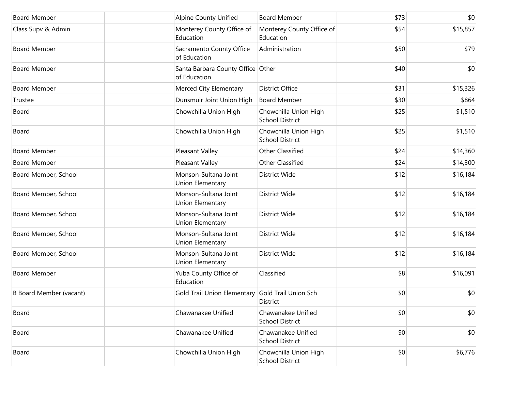| <b>Board Member</b>            | <b>Alpine County Unified</b>                      | <b>Board Member</b>                             | \$73 | \$0      |
|--------------------------------|---------------------------------------------------|-------------------------------------------------|------|----------|
| Class Supv & Admin             | Monterey County Office of<br>Education            | Monterey County Office of<br>Education          | \$54 | \$15,857 |
| <b>Board Member</b>            | Sacramento County Office<br>of Education          | Administration                                  | \$50 | \$79     |
| <b>Board Member</b>            | Santa Barbara County Office Other<br>of Education |                                                 | \$40 | \$0      |
| <b>Board Member</b>            | Merced City Elementary                            | <b>District Office</b>                          | \$31 | \$15,326 |
| Trustee                        | Dunsmuir Joint Union High                         | <b>Board Member</b>                             | \$30 | \$864    |
| Board                          | Chowchilla Union High                             | Chowchilla Union High<br><b>School District</b> | \$25 | \$1,510  |
| Board                          | Chowchilla Union High                             | Chowchilla Union High<br><b>School District</b> | \$25 | \$1,510  |
| <b>Board Member</b>            | Pleasant Valley                                   | Other Classified                                | \$24 | \$14,360 |
| <b>Board Member</b>            | Pleasant Valley                                   | Other Classified                                | \$24 | \$14,300 |
| Board Member, School           | Monson-Sultana Joint<br>Union Elementary          | District Wide                                   | \$12 | \$16,184 |
| Board Member, School           | Monson-Sultana Joint<br>Union Elementary          | District Wide                                   | \$12 | \$16,184 |
| Board Member, School           | Monson-Sultana Joint<br>Union Elementary          | District Wide                                   | \$12 | \$16,184 |
| Board Member, School           | Monson-Sultana Joint<br>Union Elementary          | District Wide                                   | \$12 | \$16,184 |
| Board Member, School           | Monson-Sultana Joint<br>Union Elementary          | District Wide                                   | \$12 | \$16,184 |
| <b>Board Member</b>            | Yuba County Office of<br>Education                | Classified                                      | \$8  | \$16,091 |
| <b>B Board Member (vacant)</b> | Gold Trail Union Elementary Gold Trail Union Sch  | District                                        | \$0  | \$0      |
| Board                          | Chawanakee Unified                                | Chawanakee Unified<br><b>School District</b>    | \$0  | \$0      |
| Board                          | Chawanakee Unified                                | Chawanakee Unified<br><b>School District</b>    | \$0  | \$0      |
| Board                          | Chowchilla Union High                             | Chowchilla Union High<br><b>School District</b> | \$0  | \$6,776  |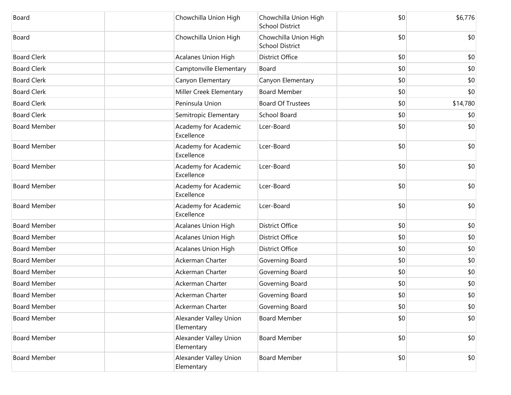| Board               | Chowchilla Union High                | Chowchilla Union High<br><b>School District</b> | \$0 | \$6,776  |
|---------------------|--------------------------------------|-------------------------------------------------|-----|----------|
| Board               | Chowchilla Union High                | Chowchilla Union High<br><b>School District</b> | \$0 | \$0      |
| <b>Board Clerk</b>  | <b>Acalanes Union High</b>           | <b>District Office</b>                          | \$0 | \$0      |
| <b>Board Clerk</b>  | Camptonville Elementary              | Board                                           | \$0 | \$0      |
| <b>Board Clerk</b>  | Canyon Elementary                    | Canyon Elementary                               | \$0 | \$0      |
| <b>Board Clerk</b>  | Miller Creek Elementary              | <b>Board Member</b>                             | \$0 | \$0      |
| <b>Board Clerk</b>  | Peninsula Union                      | <b>Board Of Trustees</b>                        | \$0 | \$14,780 |
| <b>Board Clerk</b>  | Semitropic Elementary                | School Board                                    | \$0 | \$0      |
| <b>Board Member</b> | Academy for Academic<br>Excellence   | Lcer-Board                                      | \$0 | \$0      |
| <b>Board Member</b> | Academy for Academic<br>Excellence   | Lcer-Board                                      | \$0 | \$0      |
| <b>Board Member</b> | Academy for Academic<br>Excellence   | Lcer-Board                                      | \$0 | \$0      |
| <b>Board Member</b> | Academy for Academic<br>Excellence   | Lcer-Board                                      | \$0 | \$0      |
| <b>Board Member</b> | Academy for Academic<br>Excellence   | Lcer-Board                                      | \$0 | \$0      |
| <b>Board Member</b> | Acalanes Union High                  | <b>District Office</b>                          | \$0 | \$0      |
| <b>Board Member</b> | <b>Acalanes Union High</b>           | <b>District Office</b>                          | \$0 | \$0      |
| <b>Board Member</b> | <b>Acalanes Union High</b>           | <b>District Office</b>                          | \$0 | \$0      |
| <b>Board Member</b> | Ackerman Charter                     | Governing Board                                 | \$0 | \$0      |
| <b>Board Member</b> | Ackerman Charter                     | Governing Board                                 | \$0 | \$0      |
| <b>Board Member</b> | Ackerman Charter                     | Governing Board                                 | \$0 | \$0      |
| <b>Board Member</b> | Ackerman Charter                     | Governing Board                                 | \$0 | \$0      |
| <b>Board Member</b> | Ackerman Charter                     | Governing Board                                 | \$0 | \$0      |
| <b>Board Member</b> | Alexander Valley Union<br>Elementary | <b>Board Member</b>                             | \$0 | \$0      |
| <b>Board Member</b> | Alexander Valley Union<br>Elementary | <b>Board Member</b>                             | \$0 | \$0      |
| <b>Board Member</b> | Alexander Valley Union<br>Elementary | <b>Board Member</b>                             | \$0 | \$0      |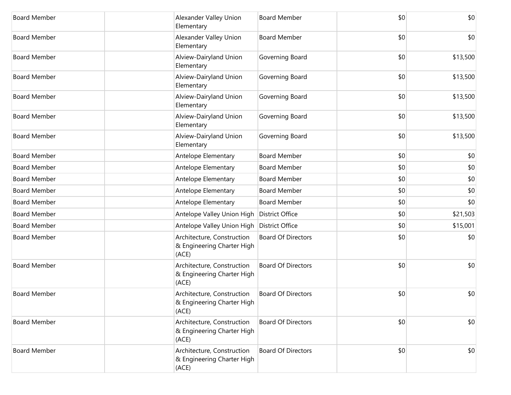| <b>Board Member</b> | Alexander Valley Union<br>Elementary                              | <b>Board Member</b>       | \$0 | \$0      |
|---------------------|-------------------------------------------------------------------|---------------------------|-----|----------|
| <b>Board Member</b> | Alexander Valley Union<br>Elementary                              | <b>Board Member</b>       | \$0 | \$0      |
| <b>Board Member</b> | Alview-Dairyland Union<br>Elementary                              | Governing Board           | \$0 | \$13,500 |
| <b>Board Member</b> | Alview-Dairyland Union<br>Elementary                              | Governing Board           | \$0 | \$13,500 |
| <b>Board Member</b> | Alview-Dairyland Union<br>Elementary                              | Governing Board           | \$0 | \$13,500 |
| <b>Board Member</b> | Alview-Dairyland Union<br>Elementary                              | Governing Board           | \$0 | \$13,500 |
| <b>Board Member</b> | Alview-Dairyland Union<br>Elementary                              | Governing Board           | \$0 | \$13,500 |
| <b>Board Member</b> | Antelope Elementary                                               | <b>Board Member</b>       | \$0 | \$0      |
| <b>Board Member</b> | Antelope Elementary                                               | <b>Board Member</b>       | \$0 | \$0      |
| <b>Board Member</b> | Antelope Elementary                                               | <b>Board Member</b>       | \$0 | \$0      |
| <b>Board Member</b> | Antelope Elementary                                               | <b>Board Member</b>       | \$0 | \$0      |
| <b>Board Member</b> | Antelope Elementary                                               | <b>Board Member</b>       | \$0 | \$0      |
| <b>Board Member</b> | Antelope Valley Union High                                        | <b>District Office</b>    | \$0 | \$21,503 |
| <b>Board Member</b> | Antelope Valley Union High                                        | <b>District Office</b>    | \$0 | \$15,001 |
| <b>Board Member</b> | Architecture, Construction<br>& Engineering Charter High<br>(ACE) | <b>Board Of Directors</b> | \$0 | \$0      |
| <b>Board Member</b> | Architecture, Construction<br>& Engineering Charter High<br>(ACE) | <b>Board Of Directors</b> | \$0 | \$0      |
| <b>Board Member</b> | Architecture, Construction<br>& Engineering Charter High<br>(ACE) | <b>Board Of Directors</b> | \$0 | \$0      |
| <b>Board Member</b> | Architecture, Construction<br>& Engineering Charter High<br>(ACE) | <b>Board Of Directors</b> | \$0 | \$0      |
| <b>Board Member</b> | Architecture, Construction<br>& Engineering Charter High<br>(ACE) | <b>Board Of Directors</b> | \$0 | \$0      |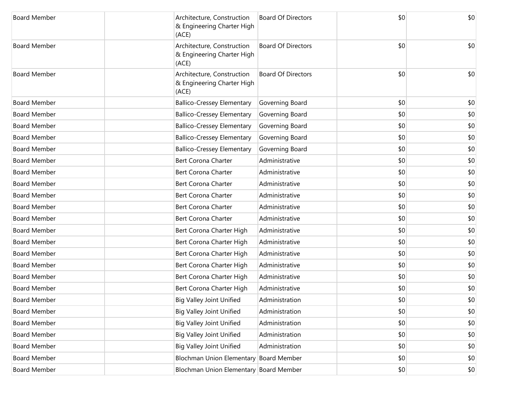| <b>Board Member</b> | Architecture, Construction<br>& Engineering Charter High<br>(ACE) | <b>Board Of Directors</b>              | \$0 | \$0 |
|---------------------|-------------------------------------------------------------------|----------------------------------------|-----|-----|
| <b>Board Member</b> | Architecture, Construction<br>& Engineering Charter High<br>(ACE) | <b>Board Of Directors</b>              | \$0 | \$0 |
| <b>Board Member</b> | Architecture, Construction<br>& Engineering Charter High<br>(ACE) | <b>Board Of Directors</b>              | \$0 | \$0 |
| <b>Board Member</b> | <b>Ballico-Cressey Elementary</b>                                 | Governing Board                        | \$0 | \$0 |
| <b>Board Member</b> | <b>Ballico-Cressey Elementary</b>                                 | Governing Board                        | \$0 | \$0 |
| <b>Board Member</b> | <b>Ballico-Cressey Elementary</b>                                 | Governing Board                        | \$0 | \$0 |
| <b>Board Member</b> | <b>Ballico-Cressey Elementary</b>                                 | Governing Board                        | \$0 | \$0 |
| <b>Board Member</b> | <b>Ballico-Cressey Elementary</b>                                 | Governing Board                        | \$0 | \$0 |
| <b>Board Member</b> | <b>Bert Corona Charter</b>                                        | Administrative                         | \$0 | \$0 |
| <b>Board Member</b> | Bert Corona Charter                                               | Administrative                         | \$0 | \$0 |
| <b>Board Member</b> | Bert Corona Charter                                               | Administrative                         | \$0 | \$0 |
| <b>Board Member</b> | Bert Corona Charter                                               | Administrative                         | \$0 | \$0 |
| <b>Board Member</b> | Bert Corona Charter                                               | Administrative                         | \$0 | \$0 |
| <b>Board Member</b> | <b>Bert Corona Charter</b>                                        | Administrative                         | \$0 | \$0 |
| <b>Board Member</b> | Bert Corona Charter High                                          | Administrative                         | \$0 | \$0 |
| <b>Board Member</b> | Bert Corona Charter High                                          | Administrative                         | \$0 | \$0 |
| <b>Board Member</b> | Bert Corona Charter High                                          | Administrative                         | \$0 | \$0 |
| <b>Board Member</b> | Bert Corona Charter High                                          | Administrative                         | \$0 | \$0 |
| <b>Board Member</b> | Bert Corona Charter High                                          | Administrative                         | \$0 | \$0 |
| <b>Board Member</b> | Bert Corona Charter High                                          | Administrative                         | \$0 | \$0 |
| Board Member        | <b>Big Valley Joint Unified</b>                                   | Administration                         | \$0 | \$0 |
| <b>Board Member</b> | <b>Big Valley Joint Unified</b>                                   | Administration                         | \$0 | \$0 |
| <b>Board Member</b> | <b>Big Valley Joint Unified</b>                                   | Administration                         | \$0 | \$0 |
| <b>Board Member</b> | <b>Big Valley Joint Unified</b>                                   | Administration                         | \$0 | \$0 |
| <b>Board Member</b> | <b>Big Valley Joint Unified</b>                                   | Administration                         | \$0 | \$0 |
| <b>Board Member</b> |                                                                   | Blochman Union Elementary Board Member | \$0 | \$0 |
| <b>Board Member</b> |                                                                   | Blochman Union Elementary Board Member | \$0 | \$0 |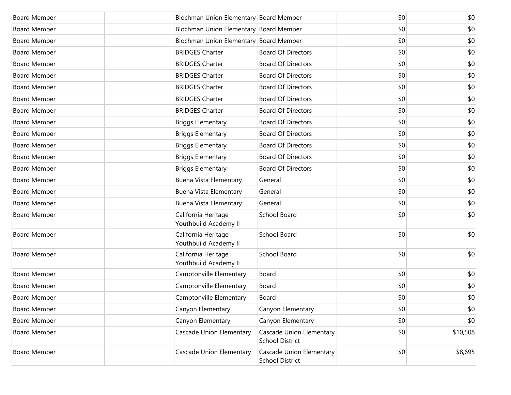| <b>Board Member</b> | Blochman Union Elementary Board Member       |                                                    | \$0 | \$0      |
|---------------------|----------------------------------------------|----------------------------------------------------|-----|----------|
| <b>Board Member</b> | Blochman Union Elementary Board Member       |                                                    | \$0 | \$0      |
| <b>Board Member</b> | Blochman Union Elementary Board Member       |                                                    | \$0 | \$0      |
| <b>Board Member</b> | <b>BRIDGES Charter</b>                       | <b>Board Of Directors</b>                          | \$0 | \$0      |
| <b>Board Member</b> | <b>BRIDGES Charter</b>                       | <b>Board Of Directors</b>                          | \$0 | \$0      |
| <b>Board Member</b> | <b>BRIDGES Charter</b>                       | <b>Board Of Directors</b>                          | \$0 | \$0      |
| <b>Board Member</b> | <b>BRIDGES Charter</b>                       | <b>Board Of Directors</b>                          | \$0 | \$0      |
| <b>Board Member</b> | <b>BRIDGES Charter</b>                       | <b>Board Of Directors</b>                          | \$0 | \$0      |
| <b>Board Member</b> | <b>BRIDGES Charter</b>                       | <b>Board Of Directors</b>                          | \$0 | \$0      |
| <b>Board Member</b> | <b>Briggs Elementary</b>                     | <b>Board Of Directors</b>                          | \$0 | \$0      |
| <b>Board Member</b> | <b>Briggs Elementary</b>                     | <b>Board Of Directors</b>                          | \$0 | \$0      |
| <b>Board Member</b> | <b>Briggs Elementary</b>                     | <b>Board Of Directors</b>                          | \$0 | \$0      |
| <b>Board Member</b> | <b>Briggs Elementary</b>                     | <b>Board Of Directors</b>                          | \$0 | \$0      |
| <b>Board Member</b> | <b>Briggs Elementary</b>                     | <b>Board Of Directors</b>                          | \$0 | \$0      |
| <b>Board Member</b> | Buena Vista Elementary                       | General                                            | \$0 | \$0      |
| <b>Board Member</b> | Buena Vista Elementary                       | General                                            | \$0 | \$0      |
| <b>Board Member</b> | Buena Vista Elementary                       | General                                            | \$0 | \$0      |
| <b>Board Member</b> | California Heritage<br>Youthbuild Academy II | School Board                                       | \$0 | \$0      |
| <b>Board Member</b> | California Heritage<br>Youthbuild Academy II | School Board                                       | \$0 | \$0      |
| <b>Board Member</b> | California Heritage<br>Youthbuild Academy II | School Board                                       | \$0 | \$0      |
| <b>Board Member</b> | Camptonville Elementary                      | Board                                              | \$0 | \$0      |
| <b>Board Member</b> | Camptonville Elementary                      | Board                                              | \$0 | \$0      |
| <b>Board Member</b> | Camptonville Elementary                      | Board                                              | \$0 | \$0      |
| <b>Board Member</b> | Canyon Elementary                            | Canyon Elementary                                  | \$0 | \$0      |
| <b>Board Member</b> | Canyon Elementary                            | Canyon Elementary                                  | \$0 | \$0      |
| <b>Board Member</b> | Cascade Union Elementary                     | Cascade Union Elementary<br><b>School District</b> | \$0 | \$10,508 |
| <b>Board Member</b> | Cascade Union Elementary                     | Cascade Union Elementary<br><b>School District</b> | \$0 | \$8,695  |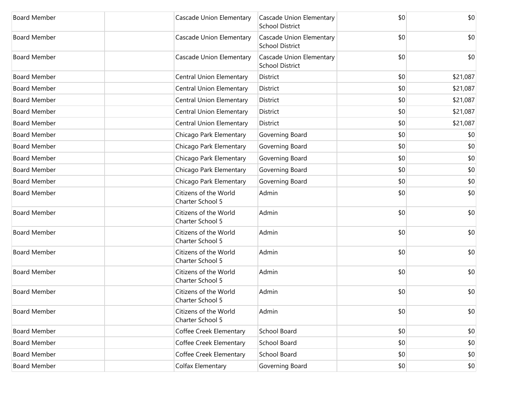| <b>Board Member</b> | Cascade Union Elementary                  | <b>Cascade Union Elementary</b><br><b>School District</b> | \$0 | \$0      |
|---------------------|-------------------------------------------|-----------------------------------------------------------|-----|----------|
| <b>Board Member</b> | Cascade Union Elementary                  | Cascade Union Elementary<br><b>School District</b>        | \$0 | \$0      |
| <b>Board Member</b> | Cascade Union Elementary                  | <b>Cascade Union Elementary</b><br><b>School District</b> | \$0 | \$0      |
| <b>Board Member</b> | Central Union Elementary                  | District                                                  | \$0 | \$21,087 |
| <b>Board Member</b> | Central Union Elementary                  | District                                                  | \$0 | \$21,087 |
| <b>Board Member</b> | Central Union Elementary                  | District                                                  | \$0 | \$21,087 |
| <b>Board Member</b> | Central Union Elementary                  | District                                                  | \$0 | \$21,087 |
| <b>Board Member</b> | Central Union Elementary                  | District                                                  | \$0 | \$21,087 |
| <b>Board Member</b> | Chicago Park Elementary                   | Governing Board                                           | \$0 | \$0      |
| <b>Board Member</b> | Chicago Park Elementary                   | Governing Board                                           | \$0 | \$0      |
| <b>Board Member</b> | Chicago Park Elementary                   | Governing Board                                           | \$0 | \$0      |
| <b>Board Member</b> | Chicago Park Elementary                   | Governing Board                                           | \$0 | \$0      |
| <b>Board Member</b> | Chicago Park Elementary                   | Governing Board                                           | \$0 | \$0      |
| <b>Board Member</b> | Citizens of the World<br>Charter School 5 | Admin                                                     | \$0 | \$0      |
| <b>Board Member</b> | Citizens of the World<br>Charter School 5 | Admin                                                     | \$0 | \$0      |
| <b>Board Member</b> | Citizens of the World<br>Charter School 5 | Admin                                                     | \$0 | \$0      |
| <b>Board Member</b> | Citizens of the World<br>Charter School 5 | Admin                                                     | \$0 | \$0      |
| <b>Board Member</b> | Citizens of the World<br>Charter School 5 | Admin                                                     | \$0 | \$0      |
| <b>Board Member</b> | Citizens of the World<br>Charter School 5 | Admin                                                     | \$0 | \$0      |
| <b>Board Member</b> | Citizens of the World<br>Charter School 5 | Admin                                                     | \$0 | \$0      |
| <b>Board Member</b> | Coffee Creek Elementary                   | School Board                                              | \$0 | \$0      |
| <b>Board Member</b> | Coffee Creek Elementary                   | School Board                                              | \$0 | \$0      |
| <b>Board Member</b> | Coffee Creek Elementary                   | School Board                                              | \$0 | \$0      |
| <b>Board Member</b> | Colfax Elementary                         | Governing Board                                           | \$0 | \$0      |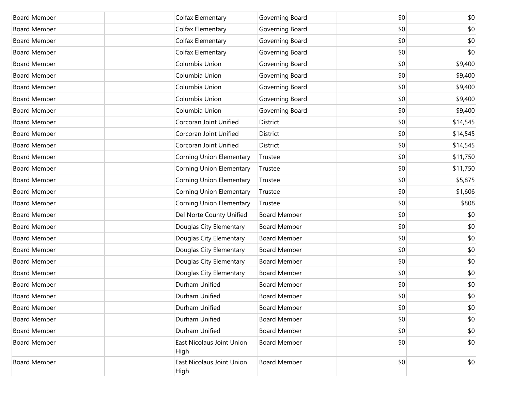| <b>Board Member</b> | Colfax Elementary                 | Governing Board     | \$0 | \$0      |
|---------------------|-----------------------------------|---------------------|-----|----------|
| <b>Board Member</b> | Colfax Elementary                 | Governing Board     | \$0 | \$0      |
| <b>Board Member</b> | Colfax Elementary                 | Governing Board     | \$0 | \$0      |
| <b>Board Member</b> | Colfax Elementary                 | Governing Board     | \$0 | \$0      |
| <b>Board Member</b> | Columbia Union                    | Governing Board     | \$0 | \$9,400  |
| <b>Board Member</b> | Columbia Union                    | Governing Board     | \$0 | \$9,400  |
| <b>Board Member</b> | Columbia Union                    | Governing Board     | \$0 | \$9,400  |
| <b>Board Member</b> | Columbia Union                    | Governing Board     | \$0 | \$9,400  |
| <b>Board Member</b> | Columbia Union                    | Governing Board     | \$0 | \$9,400  |
| <b>Board Member</b> | Corcoran Joint Unified            | District            | \$0 | \$14,545 |
| <b>Board Member</b> | Corcoran Joint Unified            | District            | \$0 | \$14,545 |
| <b>Board Member</b> | Corcoran Joint Unified            | District            | \$0 | \$14,545 |
| <b>Board Member</b> | <b>Corning Union Elementary</b>   | Trustee             | \$0 | \$11,750 |
| <b>Board Member</b> | <b>Corning Union Elementary</b>   | Trustee             | \$0 | \$11,750 |
| <b>Board Member</b> | Corning Union Elementary          | Trustee             | \$0 | \$5,875  |
| <b>Board Member</b> | <b>Corning Union Elementary</b>   | Trustee             | \$0 | \$1,606  |
| <b>Board Member</b> | Corning Union Elementary          | Trustee             | \$0 | \$808    |
| <b>Board Member</b> | Del Norte County Unified          | <b>Board Member</b> | \$0 | \$0      |
| <b>Board Member</b> | Douglas City Elementary           | <b>Board Member</b> | \$0 | \$0      |
| <b>Board Member</b> | Douglas City Elementary           | <b>Board Member</b> | \$0 | \$0      |
| <b>Board Member</b> | Douglas City Elementary           | <b>Board Member</b> | \$0 | \$0      |
| <b>Board Member</b> | Douglas City Elementary           | <b>Board Member</b> | \$0 | \$0      |
| <b>Board Member</b> | Douglas City Elementary           | <b>Board Member</b> | \$0 | \$0      |
| <b>Board Member</b> | Durham Unified                    | <b>Board Member</b> | \$0 | \$0      |
| <b>Board Member</b> | Durham Unified                    | <b>Board Member</b> | \$0 | \$0      |
| <b>Board Member</b> | Durham Unified                    | <b>Board Member</b> | \$0 | \$0      |
| <b>Board Member</b> | Durham Unified                    | <b>Board Member</b> | \$0 | \$0      |
| <b>Board Member</b> | Durham Unified                    | <b>Board Member</b> | \$0 | \$0      |
| <b>Board Member</b> | East Nicolaus Joint Union<br>High | <b>Board Member</b> | \$0 | \$0      |
| <b>Board Member</b> | East Nicolaus Joint Union<br>High | <b>Board Member</b> | \$0 | \$0      |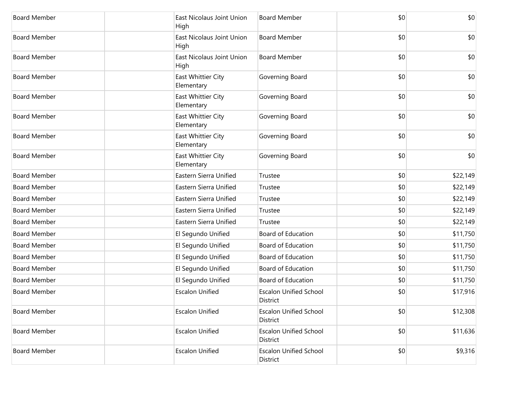| <b>Board Member</b> | East Nicolaus Joint Union<br>High | <b>Board Member</b>                       | \$0 | \$0      |
|---------------------|-----------------------------------|-------------------------------------------|-----|----------|
| <b>Board Member</b> | East Nicolaus Joint Union<br>High | <b>Board Member</b>                       | \$0 | \$0      |
| <b>Board Member</b> | East Nicolaus Joint Union<br>High | <b>Board Member</b>                       | \$0 | \$0      |
| <b>Board Member</b> | East Whittier City<br>Elementary  | Governing Board                           | \$0 | \$0      |
| <b>Board Member</b> | East Whittier City<br>Elementary  | Governing Board                           | \$0 | \$0      |
| <b>Board Member</b> | East Whittier City<br>Elementary  | Governing Board                           | \$0 | \$0      |
| <b>Board Member</b> | East Whittier City<br>Elementary  | Governing Board                           | \$0 | \$0      |
| <b>Board Member</b> | East Whittier City<br>Elementary  | Governing Board                           | \$0 | \$0      |
| <b>Board Member</b> | Eastern Sierra Unified            | Trustee                                   | \$0 | \$22,149 |
| <b>Board Member</b> | Eastern Sierra Unified            | Trustee                                   | \$0 | \$22,149 |
| <b>Board Member</b> | Eastern Sierra Unified            | Trustee                                   | \$0 | \$22,149 |
| <b>Board Member</b> | Eastern Sierra Unified            | Trustee                                   | \$0 | \$22,149 |
| <b>Board Member</b> | Eastern Sierra Unified            | Trustee                                   | \$0 | \$22,149 |
| <b>Board Member</b> | El Segundo Unified                | Board of Education                        | \$0 | \$11,750 |
| <b>Board Member</b> | El Segundo Unified                | Board of Education                        | \$0 | \$11,750 |
| <b>Board Member</b> | El Segundo Unified                | Board of Education                        | \$0 | \$11,750 |
| <b>Board Member</b> | El Segundo Unified                | Board of Education                        | \$0 | \$11,750 |
| <b>Board Member</b> | El Segundo Unified                | Board of Education                        | \$0 | \$11,750 |
| <b>Board Member</b> | <b>Escalon Unified</b>            | <b>Escalon Unified School</b><br>District | \$0 | \$17,916 |
| <b>Board Member</b> | <b>Escalon Unified</b>            | <b>Escalon Unified School</b><br>District | \$0 | \$12,308 |
| <b>Board Member</b> | <b>Escalon Unified</b>            | <b>Escalon Unified School</b><br>District | \$0 | \$11,636 |
| <b>Board Member</b> | <b>Escalon Unified</b>            | <b>Escalon Unified School</b><br>District | \$0 | \$9,316  |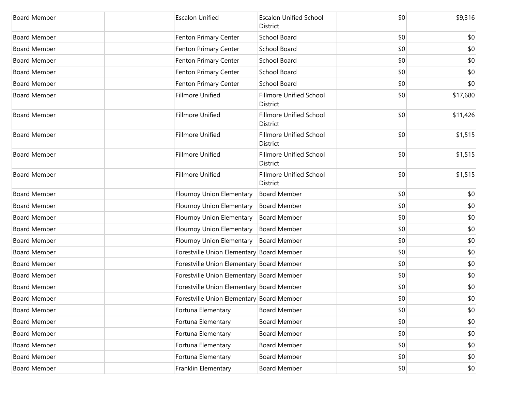| <b>Board Member</b> | <b>Escalon Unified</b>                    | <b>Escalon Unified School</b><br>District  | \$0 | \$9,316  |
|---------------------|-------------------------------------------|--------------------------------------------|-----|----------|
| <b>Board Member</b> | Fenton Primary Center                     | School Board                               | \$0 | \$0      |
| <b>Board Member</b> | Fenton Primary Center                     | School Board                               | \$0 | \$0      |
| <b>Board Member</b> | Fenton Primary Center                     | School Board                               | \$0 | \$0      |
| <b>Board Member</b> | Fenton Primary Center                     | School Board                               | \$0 | \$0      |
| <b>Board Member</b> | Fenton Primary Center                     | School Board                               | \$0 | \$0      |
| <b>Board Member</b> | <b>Fillmore Unified</b>                   | <b>Fillmore Unified School</b><br>District | \$0 | \$17,680 |
| <b>Board Member</b> | <b>Fillmore Unified</b>                   | <b>Fillmore Unified School</b><br>District | \$0 | \$11,426 |
| <b>Board Member</b> | <b>Fillmore Unified</b>                   | <b>Fillmore Unified School</b><br>District | \$0 | \$1,515  |
| <b>Board Member</b> | Fillmore Unified                          | <b>Fillmore Unified School</b><br>District | \$0 | \$1,515  |
| <b>Board Member</b> | <b>Fillmore Unified</b>                   | <b>Fillmore Unified School</b><br>District | \$0 | \$1,515  |
| <b>Board Member</b> | Flournoy Union Elementary                 | <b>Board Member</b>                        | \$0 | \$0      |
| <b>Board Member</b> | Flournoy Union Elementary                 | <b>Board Member</b>                        | \$0 | \$0      |
| <b>Board Member</b> | Flournoy Union Elementary                 | <b>Board Member</b>                        | \$0 | \$0      |
| <b>Board Member</b> | Flournoy Union Elementary                 | <b>Board Member</b>                        | \$0 | \$0      |
| <b>Board Member</b> | Flournoy Union Elementary                 | <b>Board Member</b>                        | \$0 | \$0      |
| <b>Board Member</b> | Forestville Union Elementary Board Member |                                            | \$0 | \$0      |
| <b>Board Member</b> | Forestville Union Elementary Board Member |                                            | \$0 | \$0      |
| <b>Board Member</b> | Forestville Union Elementary Board Member |                                            | \$0 | \$0      |
| <b>Board Member</b> | Forestville Union Elementary Board Member |                                            | \$0 | \$0      |
| Board Member        | Forestville Union Elementary Board Member |                                            | \$0 | \$0      |
| <b>Board Member</b> | Fortuna Elementary                        | <b>Board Member</b>                        | \$0 | \$0      |
| <b>Board Member</b> | Fortuna Elementary                        | <b>Board Member</b>                        | \$0 | \$0      |
| <b>Board Member</b> | Fortuna Elementary                        | <b>Board Member</b>                        | \$0 | \$0      |
| <b>Board Member</b> | Fortuna Elementary                        | <b>Board Member</b>                        | \$0 | \$0      |
| <b>Board Member</b> | Fortuna Elementary                        | <b>Board Member</b>                        | \$0 | \$0      |
| <b>Board Member</b> | Franklin Elementary                       | <b>Board Member</b>                        | \$0 | \$0      |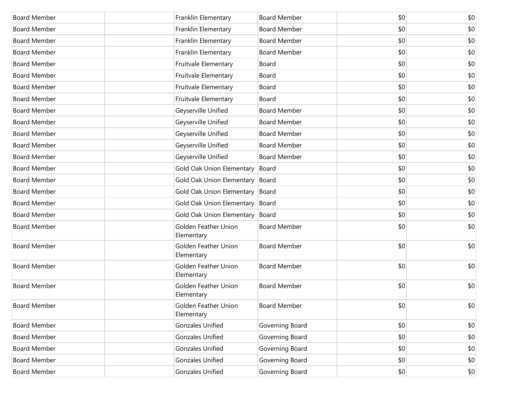| <b>Board Member</b> | Franklin Elementary                       | <b>Board Member</b> | \$0 | \$0 |
|---------------------|-------------------------------------------|---------------------|-----|-----|
| <b>Board Member</b> | Franklin Elementary                       | <b>Board Member</b> | \$0 | \$0 |
| <b>Board Member</b> | Franklin Elementary                       | <b>Board Member</b> | \$0 | \$0 |
| <b>Board Member</b> | Franklin Elementary                       | <b>Board Member</b> | \$0 | \$0 |
| <b>Board Member</b> | Fruitvale Elementary                      | Board               | \$0 | \$0 |
| <b>Board Member</b> | Fruitvale Elementary                      | Board               | \$0 | \$0 |
| <b>Board Member</b> | Fruitvale Elementary                      | Board               | \$0 | \$0 |
| <b>Board Member</b> | Fruitvale Elementary                      | Board               | \$0 | \$0 |
| <b>Board Member</b> | Geyserville Unified                       | <b>Board Member</b> | \$0 | \$0 |
| <b>Board Member</b> | Geyserville Unified                       | <b>Board Member</b> | \$0 | \$0 |
| <b>Board Member</b> | Geyserville Unified                       | <b>Board Member</b> | \$0 | \$0 |
| <b>Board Member</b> | Geyserville Unified                       | <b>Board Member</b> | \$0 | \$0 |
| <b>Board Member</b> | Geyserville Unified                       | <b>Board Member</b> | \$0 | \$0 |
| <b>Board Member</b> | Gold Oak Union Elementary                 | Board               | \$0 | \$0 |
| <b>Board Member</b> | <b>Gold Oak Union Elementary</b>          | Board               | \$0 | \$0 |
| <b>Board Member</b> | Gold Oak Union Elementary                 | Board               | \$0 | \$0 |
| <b>Board Member</b> | Gold Oak Union Elementary                 | Board               | \$0 | \$0 |
| <b>Board Member</b> | Gold Oak Union Elementary                 | Board               | \$0 | \$0 |
| <b>Board Member</b> | <b>Golden Feather Union</b><br>Elementary | <b>Board Member</b> | \$0 | \$0 |
| <b>Board Member</b> | <b>Golden Feather Union</b><br>Elementary | <b>Board Member</b> | \$0 | \$0 |
| <b>Board Member</b> | <b>Golden Feather Union</b><br>Elementary | <b>Board Member</b> | \$0 | \$0 |
| <b>Board Member</b> | <b>Golden Feather Union</b><br>Elementary | <b>Board Member</b> | \$0 | \$0 |
| <b>Board Member</b> | Golden Feather Union<br>Elementary        | <b>Board Member</b> | \$0 | \$0 |
| <b>Board Member</b> | <b>Gonzales Unified</b>                   | Governing Board     | \$0 | \$0 |
| <b>Board Member</b> | <b>Gonzales Unified</b>                   | Governing Board     | \$0 | \$0 |
| <b>Board Member</b> | <b>Gonzales Unified</b>                   | Governing Board     | \$0 | \$0 |
| <b>Board Member</b> | <b>Gonzales Unified</b>                   | Governing Board     | \$0 | \$0 |
| <b>Board Member</b> | <b>Gonzales Unified</b>                   | Governing Board     | \$0 | \$0 |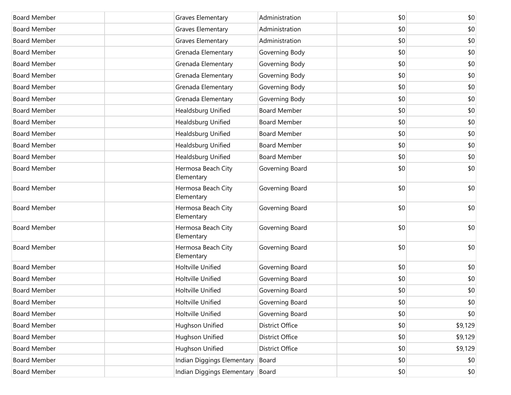| <b>Board Member</b> | Graves Elementary                | Administration         | \$0 | \$0     |
|---------------------|----------------------------------|------------------------|-----|---------|
| <b>Board Member</b> | Graves Elementary                | Administration         | \$0 | \$0     |
| <b>Board Member</b> | Graves Elementary                | Administration         | \$0 | \$0     |
| <b>Board Member</b> | Grenada Elementary               | Governing Body         | \$0 | \$0     |
| <b>Board Member</b> | Grenada Elementary               | Governing Body         | \$0 | \$0     |
| <b>Board Member</b> | Grenada Elementary               | Governing Body         | \$0 | \$0     |
| <b>Board Member</b> | Grenada Elementary               | Governing Body         | \$0 | \$0     |
| <b>Board Member</b> | Grenada Elementary               | Governing Body         | \$0 | \$0     |
| <b>Board Member</b> | Healdsburg Unified               | <b>Board Member</b>    | \$0 | \$0     |
| <b>Board Member</b> | Healdsburg Unified               | <b>Board Member</b>    | \$0 | \$0     |
| <b>Board Member</b> | Healdsburg Unified               | <b>Board Member</b>    | \$0 | \$0     |
| <b>Board Member</b> | Healdsburg Unified               | <b>Board Member</b>    | \$0 | \$0     |
| <b>Board Member</b> | Healdsburg Unified               | <b>Board Member</b>    | \$0 | \$0     |
| <b>Board Member</b> | Hermosa Beach City<br>Elementary | Governing Board        | \$0 | \$0     |
| <b>Board Member</b> | Hermosa Beach City<br>Elementary | Governing Board        | \$0 | \$0     |
| <b>Board Member</b> | Hermosa Beach City<br>Elementary | Governing Board        | \$0 | \$0     |
| <b>Board Member</b> | Hermosa Beach City<br>Elementary | Governing Board        | \$0 | \$0     |
| <b>Board Member</b> | Hermosa Beach City<br>Elementary | Governing Board        | \$0 | \$0     |
| <b>Board Member</b> | Holtville Unified                | Governing Board        | \$0 | \$0     |
| <b>Board Member</b> | Holtville Unified                | Governing Board        | \$0 | \$0     |
| <b>Board Member</b> | Holtville Unified                | Governing Board        | \$0 | \$0     |
| <b>Board Member</b> | Holtville Unified                | Governing Board        | \$0 | $$0$$   |
| <b>Board Member</b> | Holtville Unified                | Governing Board        | \$0 | \$0     |
| <b>Board Member</b> | Hughson Unified                  | <b>District Office</b> | \$0 | \$9,129 |
| <b>Board Member</b> | Hughson Unified                  | <b>District Office</b> | \$0 | \$9,129 |
| <b>Board Member</b> | Hughson Unified                  | <b>District Office</b> | \$0 | \$9,129 |
| <b>Board Member</b> | Indian Diggings Elementary       | Board                  | \$0 | \$0     |
| <b>Board Member</b> | Indian Diggings Elementary       | Board                  | \$0 | \$0     |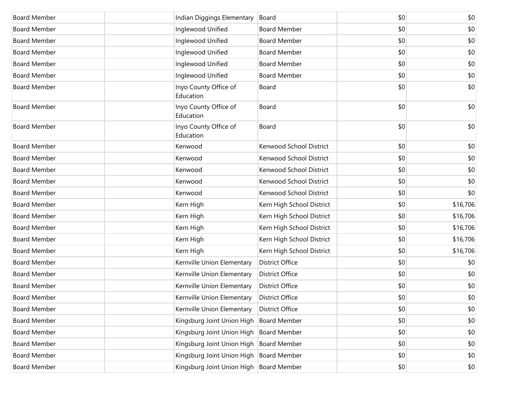| <b>Board Member</b> | Indian Diggings Elementary                | Board                     | \$0 | \$0      |
|---------------------|-------------------------------------------|---------------------------|-----|----------|
| <b>Board Member</b> | Inglewood Unified                         | <b>Board Member</b>       | \$0 | \$0      |
| <b>Board Member</b> | Inglewood Unified                         | <b>Board Member</b>       | \$0 | \$0      |
| <b>Board Member</b> | Inglewood Unified                         | <b>Board Member</b>       | \$0 | \$0      |
| <b>Board Member</b> | Inglewood Unified                         | <b>Board Member</b>       | \$0 | \$0      |
| <b>Board Member</b> | Inglewood Unified                         | <b>Board Member</b>       | \$0 | \$0      |
| <b>Board Member</b> | Inyo County Office of<br>Education        | Board                     | \$0 | \$0      |
| <b>Board Member</b> | Inyo County Office of<br>Education        | Board                     | \$0 | \$0      |
| <b>Board Member</b> | Inyo County Office of<br>Education        | Board                     | \$0 | \$0      |
| <b>Board Member</b> | Kenwood                                   | Kenwood School District   | \$0 | \$0      |
| <b>Board Member</b> | Kenwood                                   | Kenwood School District   | \$0 | \$0      |
| <b>Board Member</b> | Kenwood                                   | Kenwood School District   | \$0 | \$0      |
| <b>Board Member</b> | Kenwood                                   | Kenwood School District   | \$0 | \$0      |
| <b>Board Member</b> | Kenwood                                   | Kenwood School District   | \$0 | \$0      |
| <b>Board Member</b> | Kern High                                 | Kern High School District | \$0 | \$16,706 |
| <b>Board Member</b> | Kern High                                 | Kern High School District | \$0 | \$16,706 |
| <b>Board Member</b> | Kern High                                 | Kern High School District | \$0 | \$16,706 |
| <b>Board Member</b> | Kern High                                 | Kern High School District | \$0 | \$16,706 |
| <b>Board Member</b> | Kern High                                 | Kern High School District | \$0 | \$16,706 |
| <b>Board Member</b> | Kernville Union Elementary                | <b>District Office</b>    | \$0 | \$0      |
| <b>Board Member</b> | Kernville Union Elementary                | <b>District Office</b>    | \$0 | \$0      |
| <b>Board Member</b> | Kernville Union Elementary                | <b>District Office</b>    | \$0 | \$0      |
| <b>Board Member</b> | Kernville Union Elementary                | <b>District Office</b>    | \$0 | \$0      |
| <b>Board Member</b> | Kernville Union Elementary                | <b>District Office</b>    | \$0 | \$0      |
| <b>Board Member</b> | Kingsburg Joint Union High                | <b>Board Member</b>       | \$0 | \$0      |
| <b>Board Member</b> | Kingsburg Joint Union High                | <b>Board Member</b>       | \$0 | \$0      |
| <b>Board Member</b> | Kingsburg Joint Union High Board Member   |                           | \$0 | \$0      |
| <b>Board Member</b> | Kingsburg Joint Union High Board Member   |                           | \$0 | \$0      |
| <b>Board Member</b> | Kingsburg Joint Union High   Board Member |                           | \$0 | \$0      |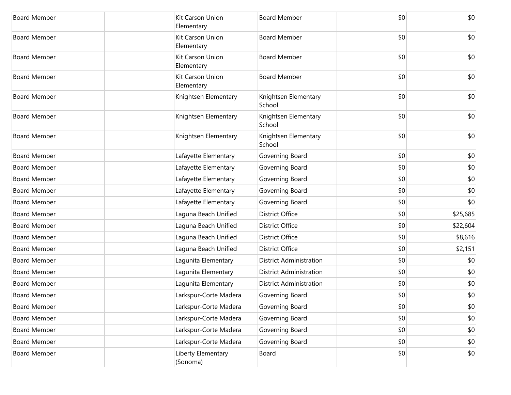| <b>Board Member</b> | Kit Carson Union<br>Elementary | <b>Board Member</b>            | \$0 | \$0      |
|---------------------|--------------------------------|--------------------------------|-----|----------|
| <b>Board Member</b> | Kit Carson Union<br>Elementary | <b>Board Member</b>            | \$0 | \$0      |
| <b>Board Member</b> | Kit Carson Union<br>Elementary | <b>Board Member</b>            | \$0 | \$0      |
| <b>Board Member</b> | Kit Carson Union<br>Elementary | <b>Board Member</b>            | \$0 | \$0      |
| <b>Board Member</b> | Knightsen Elementary           | Knightsen Elementary<br>School | \$0 | \$0      |
| <b>Board Member</b> | Knightsen Elementary           | Knightsen Elementary<br>School | \$0 | \$0      |
| <b>Board Member</b> | Knightsen Elementary           | Knightsen Elementary<br>School | \$0 | \$0      |
| <b>Board Member</b> | Lafayette Elementary           | Governing Board                | \$0 | \$0      |
| <b>Board Member</b> | Lafayette Elementary           | Governing Board                | \$0 | \$0      |
| <b>Board Member</b> | Lafayette Elementary           | Governing Board                | \$0 | \$0      |
| <b>Board Member</b> | Lafayette Elementary           | Governing Board                | \$0 | \$0      |
| <b>Board Member</b> | Lafayette Elementary           | Governing Board                | \$0 | \$0      |
| <b>Board Member</b> | Laguna Beach Unified           | <b>District Office</b>         | \$0 | \$25,685 |
| <b>Board Member</b> | Laguna Beach Unified           | <b>District Office</b>         | \$0 | \$22,604 |
| <b>Board Member</b> | Laguna Beach Unified           | <b>District Office</b>         | \$0 | \$8,616  |
| <b>Board Member</b> | Laguna Beach Unified           | <b>District Office</b>         | \$0 | \$2,151  |
| <b>Board Member</b> | Lagunita Elementary            | <b>District Administration</b> | \$0 | \$0      |
| <b>Board Member</b> | Lagunita Elementary            | <b>District Administration</b> | \$0 | \$0      |
| <b>Board Member</b> | Lagunita Elementary            | <b>District Administration</b> | \$0 | \$0      |
| <b>Board Member</b> | Larkspur-Corte Madera          | Governing Board                | \$0 | \$0      |
| <b>Board Member</b> | Larkspur-Corte Madera          | Governing Board                | \$0 | \$0      |
| <b>Board Member</b> | Larkspur-Corte Madera          | Governing Board                | \$0 | \$0      |
| <b>Board Member</b> | Larkspur-Corte Madera          | Governing Board                | \$0 | \$0      |
| <b>Board Member</b> | Larkspur-Corte Madera          | Governing Board                | \$0 | \$0      |
| <b>Board Member</b> | Liberty Elementary<br>(Sonoma) | Board                          | \$0 | \$0      |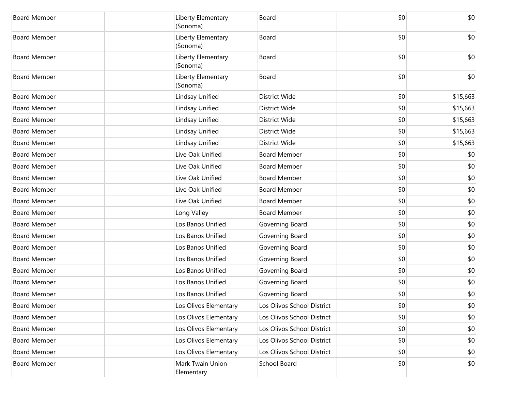| <b>Board Member</b> | Liberty Elementary<br>(Sonoma) | Board                      | \$0 | \$0      |
|---------------------|--------------------------------|----------------------------|-----|----------|
| <b>Board Member</b> | Liberty Elementary<br>(Sonoma) | Board                      | \$0 | \$0      |
| <b>Board Member</b> | Liberty Elementary<br>(Sonoma) | Board                      | \$0 | \$0      |
| <b>Board Member</b> | Liberty Elementary<br>(Sonoma) | Board                      | \$0 | \$0      |
| <b>Board Member</b> | Lindsay Unified                | <b>District Wide</b>       | \$0 | \$15,663 |
| <b>Board Member</b> | Lindsay Unified                | <b>District Wide</b>       | \$0 | \$15,663 |
| <b>Board Member</b> | Lindsay Unified                | <b>District Wide</b>       | \$0 | \$15,663 |
| <b>Board Member</b> | Lindsay Unified                | District Wide              | \$0 | \$15,663 |
| <b>Board Member</b> | Lindsay Unified                | <b>District Wide</b>       | \$0 | \$15,663 |
| <b>Board Member</b> | Live Oak Unified               | <b>Board Member</b>        | \$0 | \$0      |
| <b>Board Member</b> | Live Oak Unified               | <b>Board Member</b>        | \$0 | \$0      |
| <b>Board Member</b> | Live Oak Unified               | <b>Board Member</b>        | \$0 | \$0      |
| <b>Board Member</b> | Live Oak Unified               | <b>Board Member</b>        | \$0 | \$0      |
| <b>Board Member</b> | Live Oak Unified               | <b>Board Member</b>        | \$0 | \$0      |
| <b>Board Member</b> | Long Valley                    | <b>Board Member</b>        | \$0 | \$0      |
| <b>Board Member</b> | Los Banos Unified              | Governing Board            | \$0 | \$0      |
| <b>Board Member</b> | Los Banos Unified              | Governing Board            | \$0 | \$0      |
| <b>Board Member</b> | Los Banos Unified              | Governing Board            | \$0 | \$0      |
| <b>Board Member</b> | Los Banos Unified              | Governing Board            | \$0 | \$0      |
| <b>Board Member</b> | Los Banos Unified              | Governing Board            | \$0 | \$0      |
| <b>Board Member</b> | Los Banos Unified              | Governing Board            | \$0 | \$0      |
| <b>Board Member</b> | Los Banos Unified              | Governing Board            | \$0 | \$0      |
| <b>Board Member</b> | Los Olivos Elementary          | Los Olivos School District | \$0 | \$0      |
| <b>Board Member</b> | Los Olivos Elementary          | Los Olivos School District | \$0 | \$0      |
| <b>Board Member</b> | Los Olivos Elementary          | Los Olivos School District | \$0 | \$0      |
| <b>Board Member</b> | Los Olivos Elementary          | Los Olivos School District | \$0 | \$0      |
| <b>Board Member</b> | Los Olivos Elementary          | Los Olivos School District | \$0 | \$0      |
| <b>Board Member</b> | Mark Twain Union<br>Elementary | School Board               | \$0 | \$0      |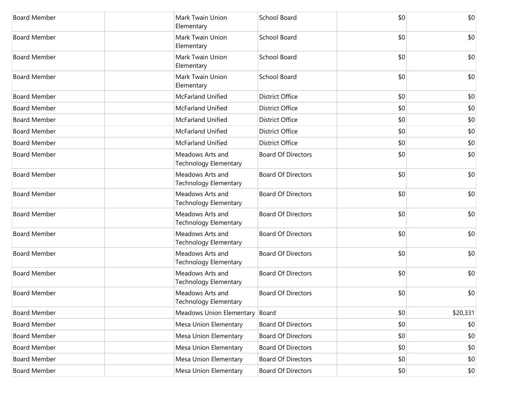| <b>Board Member</b> | Mark Twain Union<br>Elementary                   | School Board              | \$0 | \$0      |
|---------------------|--------------------------------------------------|---------------------------|-----|----------|
| <b>Board Member</b> | Mark Twain Union<br>Elementary                   | <b>School Board</b>       | \$0 | \$0      |
| <b>Board Member</b> | Mark Twain Union<br>Elementary                   | School Board              | \$0 | \$0      |
| <b>Board Member</b> | Mark Twain Union<br>Elementary                   | <b>School Board</b>       | \$0 | \$0      |
| <b>Board Member</b> | McFarland Unified                                | <b>District Office</b>    | \$0 | \$0      |
| <b>Board Member</b> | McFarland Unified                                | <b>District Office</b>    | \$0 | \$0      |
| <b>Board Member</b> | McFarland Unified                                | <b>District Office</b>    | \$0 | \$0      |
| <b>Board Member</b> | McFarland Unified                                | <b>District Office</b>    | \$0 | \$0      |
| <b>Board Member</b> | McFarland Unified                                | <b>District Office</b>    | \$0 | \$0      |
| <b>Board Member</b> | Meadows Arts and<br>Technology Elementary        | <b>Board Of Directors</b> | \$0 | \$0      |
| <b>Board Member</b> | Meadows Arts and<br>Technology Elementary        | <b>Board Of Directors</b> | \$0 | \$0      |
| <b>Board Member</b> | Meadows Arts and<br>Technology Elementary        | <b>Board Of Directors</b> | \$0 | \$0      |
| <b>Board Member</b> | Meadows Arts and<br><b>Technology Elementary</b> | <b>Board Of Directors</b> | \$0 | \$0      |
| <b>Board Member</b> | Meadows Arts and<br><b>Technology Elementary</b> | <b>Board Of Directors</b> | \$0 | \$0      |
| <b>Board Member</b> | Meadows Arts and<br><b>Technology Elementary</b> | <b>Board Of Directors</b> | \$0 | \$0      |
| <b>Board Member</b> | Meadows Arts and<br><b>Technology Elementary</b> | <b>Board Of Directors</b> | \$0 | \$0      |
| <b>Board Member</b> | Meadows Arts and<br>Technology Elementary        | <b>Board Of Directors</b> | \$0 | \$0      |
| <b>Board Member</b> | <b>Meadows Union Elementary</b>                  | Board                     | \$0 | \$20,331 |
| <b>Board Member</b> | Mesa Union Elementary                            | <b>Board Of Directors</b> | \$0 | \$0      |
| <b>Board Member</b> | Mesa Union Elementary                            | <b>Board Of Directors</b> | \$0 | \$0      |
| <b>Board Member</b> | Mesa Union Elementary                            | <b>Board Of Directors</b> | \$0 | \$0      |
| <b>Board Member</b> | Mesa Union Elementary                            | <b>Board Of Directors</b> | \$0 | \$0      |
| <b>Board Member</b> | Mesa Union Elementary                            | <b>Board Of Directors</b> | \$0 | \$0      |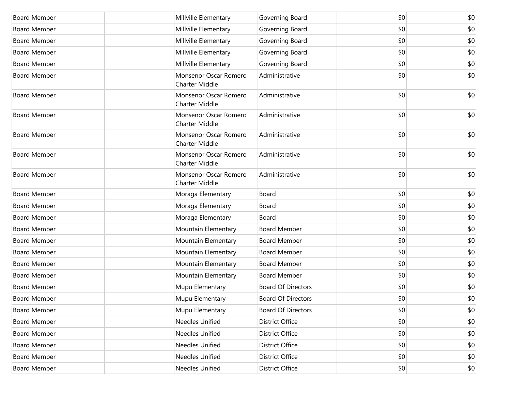| <b>Board Member</b> | Millville Elementary                           | Governing Board           | \$0          | \$0 |
|---------------------|------------------------------------------------|---------------------------|--------------|-----|
| <b>Board Member</b> | Millville Elementary                           | Governing Board           | \$0          | \$0 |
| <b>Board Member</b> | Millville Elementary                           | Governing Board           | \$0          | \$0 |
| <b>Board Member</b> | Millville Elementary                           | Governing Board           | \$0          | \$0 |
| <b>Board Member</b> | Millville Elementary                           | Governing Board           | \$0          | \$0 |
| <b>Board Member</b> | Monsenor Oscar Romero<br><b>Charter Middle</b> | Administrative            | \$0          | \$0 |
| <b>Board Member</b> | Monsenor Oscar Romero<br><b>Charter Middle</b> | Administrative            | \$0          | \$0 |
| <b>Board Member</b> | Monsenor Oscar Romero<br><b>Charter Middle</b> | Administrative            | \$0          | \$0 |
| <b>Board Member</b> | Monsenor Oscar Romero<br><b>Charter Middle</b> | Administrative            | \$0          | \$0 |
| <b>Board Member</b> | Monsenor Oscar Romero<br><b>Charter Middle</b> | Administrative            | \$0          | \$0 |
| <b>Board Member</b> | Monsenor Oscar Romero<br><b>Charter Middle</b> | Administrative            | \$0          | \$0 |
| <b>Board Member</b> | Moraga Elementary                              | Board                     | \$0          | \$0 |
| <b>Board Member</b> | Moraga Elementary                              | Board                     | \$0          | \$0 |
| <b>Board Member</b> | Moraga Elementary                              | Board                     | \$0          | \$0 |
| <b>Board Member</b> | Mountain Elementary                            | <b>Board Member</b>       | \$0          | \$0 |
| <b>Board Member</b> | Mountain Elementary                            | <b>Board Member</b>       | \$0          | \$0 |
| <b>Board Member</b> | Mountain Elementary                            | <b>Board Member</b>       | \$0          | \$0 |
| <b>Board Member</b> | Mountain Elementary                            | <b>Board Member</b>       | \$0          | \$0 |
| <b>Board Member</b> | Mountain Elementary                            | <b>Board Member</b>       | \$0          | \$0 |
| <b>Board Member</b> | Mupu Elementary                                | <b>Board Of Directors</b> | \$0          | \$0 |
| <b>Board Member</b> | Mupu Elementary                                | Board Of Directors        | \$0          | \$0 |
| <b>Board Member</b> | Mupu Elementary                                | <b>Board Of Directors</b> | \$0          | \$0 |
| <b>Board Member</b> | Needles Unified                                | <b>District Office</b>    | \$0          | \$0 |
| <b>Board Member</b> | Needles Unified                                | <b>District Office</b>    | \$0          | \$0 |
| <b>Board Member</b> | Needles Unified                                | <b>District Office</b>    | \$0          | \$0 |
| <b>Board Member</b> | Needles Unified                                | <b>District Office</b>    | \$0          | \$0 |
| <b>Board Member</b> | Needles Unified                                | <b>District Office</b>    | $ 10\rangle$ | \$0 |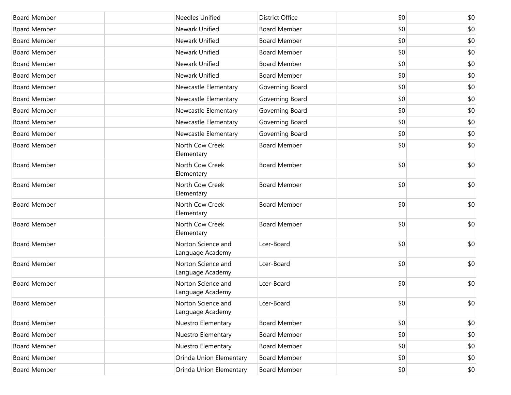| <b>Board Member</b> | <b>Needles Unified</b>                 | <b>District Office</b> | \$0 | \$0 |
|---------------------|----------------------------------------|------------------------|-----|-----|
| <b>Board Member</b> | Newark Unified                         | <b>Board Member</b>    | \$0 | \$0 |
| <b>Board Member</b> | Newark Unified                         | <b>Board Member</b>    | \$0 | \$0 |
| <b>Board Member</b> | Newark Unified                         | <b>Board Member</b>    | \$0 | \$0 |
| <b>Board Member</b> | Newark Unified                         | <b>Board Member</b>    | \$0 | \$0 |
| <b>Board Member</b> | Newark Unified                         | <b>Board Member</b>    | \$0 | \$0 |
| <b>Board Member</b> | Newcastle Elementary                   | Governing Board        | \$0 | \$0 |
| <b>Board Member</b> | Newcastle Elementary                   | Governing Board        | \$0 | \$0 |
| <b>Board Member</b> | Newcastle Elementary                   | Governing Board        | \$0 | \$0 |
| <b>Board Member</b> | Newcastle Elementary                   | Governing Board        | \$0 | \$0 |
| <b>Board Member</b> | Newcastle Elementary                   | Governing Board        | \$0 | \$0 |
| <b>Board Member</b> | North Cow Creek<br>Elementary          | <b>Board Member</b>    | \$0 | \$0 |
| <b>Board Member</b> | North Cow Creek<br>Elementary          | <b>Board Member</b>    | \$0 | \$0 |
| <b>Board Member</b> | North Cow Creek<br>Elementary          | <b>Board Member</b>    | \$0 | \$0 |
| <b>Board Member</b> | North Cow Creek<br>Elementary          | <b>Board Member</b>    | \$0 | \$0 |
| <b>Board Member</b> | North Cow Creek<br>Elementary          | <b>Board Member</b>    | \$0 | \$0 |
| <b>Board Member</b> | Norton Science and<br>Language Academy | Lcer-Board             | \$0 | \$0 |
| <b>Board Member</b> | Norton Science and<br>Language Academy | Lcer-Board             | \$0 | \$0 |
| <b>Board Member</b> | Norton Science and<br>Language Academy | Lcer-Board             | \$0 | \$0 |
| <b>Board Member</b> | Norton Science and<br>Language Academy | Lcer-Board             | \$0 | \$0 |
| <b>Board Member</b> | Nuestro Elementary                     | <b>Board Member</b>    | \$0 | \$0 |
| <b>Board Member</b> | Nuestro Elementary                     | <b>Board Member</b>    | \$0 | \$0 |
| <b>Board Member</b> | Nuestro Elementary                     | <b>Board Member</b>    | \$0 | \$0 |
| <b>Board Member</b> | Orinda Union Elementary                | <b>Board Member</b>    | \$0 | \$0 |
| <b>Board Member</b> | Orinda Union Elementary                | Board Member           | \$0 | \$0 |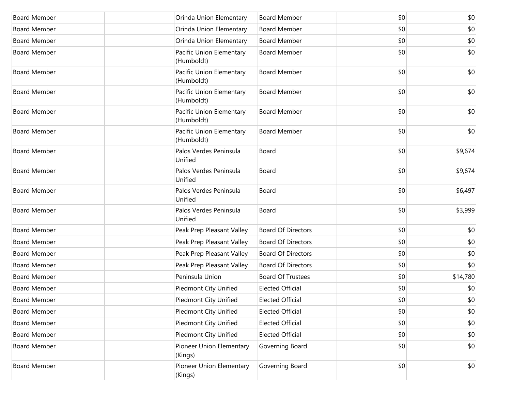| <b>Board Member</b> | Orinda Union Elementary                | <b>Board Member</b>       | \$0 | \$0      |
|---------------------|----------------------------------------|---------------------------|-----|----------|
| <b>Board Member</b> | Orinda Union Elementary                | <b>Board Member</b>       | \$0 | \$0      |
| <b>Board Member</b> | Orinda Union Elementary                | <b>Board Member</b>       | \$0 | \$0      |
| <b>Board Member</b> | Pacific Union Elementary<br>(Humboldt) | <b>Board Member</b>       | \$0 | \$0      |
| <b>Board Member</b> | Pacific Union Elementary<br>(Humboldt) | <b>Board Member</b>       | \$0 | \$0      |
| <b>Board Member</b> | Pacific Union Elementary<br>(Humboldt) | <b>Board Member</b>       | \$0 | \$0      |
| <b>Board Member</b> | Pacific Union Elementary<br>(Humboldt) | <b>Board Member</b>       | \$0 | \$0      |
| <b>Board Member</b> | Pacific Union Elementary<br>(Humboldt) | <b>Board Member</b>       | \$0 | \$0      |
| <b>Board Member</b> | Palos Verdes Peninsula<br>Unified      | Board                     | \$0 | \$9,674  |
| <b>Board Member</b> | Palos Verdes Peninsula<br>Unified      | Board                     | \$0 | \$9,674  |
| <b>Board Member</b> | Palos Verdes Peninsula<br>Unified      | Board                     | \$0 | \$6,497  |
| <b>Board Member</b> | Palos Verdes Peninsula<br>Unified      | Board                     | \$0 | \$3,999  |
| <b>Board Member</b> | Peak Prep Pleasant Valley              | <b>Board Of Directors</b> | \$0 | \$0      |
| <b>Board Member</b> | Peak Prep Pleasant Valley              | <b>Board Of Directors</b> | \$0 | \$0      |
| <b>Board Member</b> | Peak Prep Pleasant Valley              | <b>Board Of Directors</b> | \$0 | \$0      |
| <b>Board Member</b> | Peak Prep Pleasant Valley              | <b>Board Of Directors</b> | \$0 | \$0      |
| <b>Board Member</b> | Peninsula Union                        | <b>Board Of Trustees</b>  | \$0 | \$14,780 |
| <b>Board Member</b> | <b>Piedmont City Unified</b>           | <b>Elected Official</b>   | \$0 | \$0      |
| Board Member        | Piedmont City Unified                  | <b>Elected Official</b>   | \$0 | $$0$$    |
| <b>Board Member</b> | Piedmont City Unified                  | <b>Elected Official</b>   | \$0 | \$0      |
| <b>Board Member</b> | <b>Piedmont City Unified</b>           | <b>Elected Official</b>   | \$0 | \$0      |
| <b>Board Member</b> | <b>Piedmont City Unified</b>           | <b>Elected Official</b>   | \$0 | \$0      |
| <b>Board Member</b> | Pioneer Union Elementary<br>(Kings)    | Governing Board           | \$0 | \$0      |
| <b>Board Member</b> | Pioneer Union Elementary<br>(Kings)    | Governing Board           | \$0 | \$0      |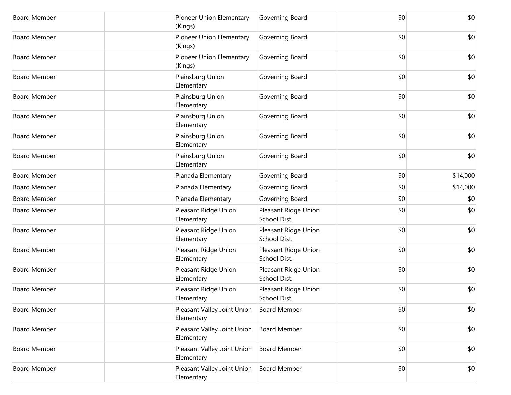| <b>Board Member</b> | Pioneer Union Elementary<br>(Kings)       | Governing Board                      | \$0 | \$0      |
|---------------------|-------------------------------------------|--------------------------------------|-----|----------|
| <b>Board Member</b> | Pioneer Union Elementary<br>(Kings)       | Governing Board                      | \$0 | \$0      |
| <b>Board Member</b> | Pioneer Union Elementary<br>(Kings)       | Governing Board                      | \$0 | \$0      |
| <b>Board Member</b> | Plainsburg Union<br>Elementary            | Governing Board                      | \$0 | \$0      |
| <b>Board Member</b> | Plainsburg Union<br>Elementary            | Governing Board                      | \$0 | \$0      |
| <b>Board Member</b> | Plainsburg Union<br>Elementary            | Governing Board                      | \$0 | \$0      |
| <b>Board Member</b> | Plainsburg Union<br>Elementary            | Governing Board                      | \$0 | \$0      |
| <b>Board Member</b> | Plainsburg Union<br>Elementary            | Governing Board                      | \$0 | \$0      |
| <b>Board Member</b> | Planada Elementary                        | Governing Board                      | \$0 | \$14,000 |
| <b>Board Member</b> | Planada Elementary                        | Governing Board                      | \$0 | \$14,000 |
| <b>Board Member</b> | Planada Elementary                        | Governing Board                      | \$0 | \$0      |
| <b>Board Member</b> | Pleasant Ridge Union<br>Elementary        | Pleasant Ridge Union<br>School Dist. | \$0 | \$0      |
| <b>Board Member</b> | Pleasant Ridge Union<br>Elementary        | Pleasant Ridge Union<br>School Dist. | \$0 | \$0      |
| <b>Board Member</b> | Pleasant Ridge Union<br>Elementary        | Pleasant Ridge Union<br>School Dist. | \$0 | \$0      |
| <b>Board Member</b> | Pleasant Ridge Union<br>Elementary        | Pleasant Ridge Union<br>School Dist. | \$0 | \$0      |
| <b>Board Member</b> | Pleasant Ridge Union<br>Elementary        | Pleasant Ridge Union<br>School Dist. | \$0 | \$0      |
| <b>Board Member</b> | Pleasant Valley Joint Union<br>Elementary | <b>Board Member</b>                  | \$0 | \$0      |
| <b>Board Member</b> | Pleasant Valley Joint Union<br>Elementary | <b>Board Member</b>                  | \$0 | \$0      |
| <b>Board Member</b> | Pleasant Valley Joint Union<br>Elementary | <b>Board Member</b>                  | \$0 | \$0      |
| <b>Board Member</b> | Pleasant Valley Joint Union<br>Elementary | <b>Board Member</b>                  | \$0 | \$0      |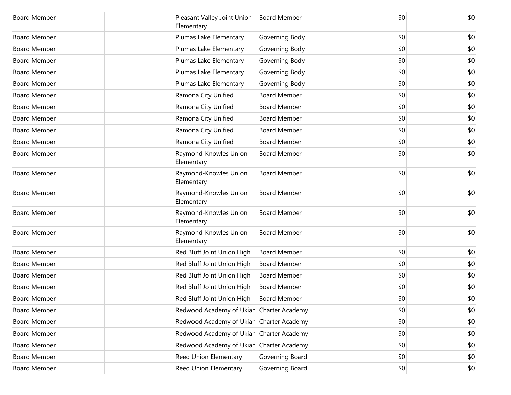| <b>Board Member</b> | Pleasant Valley Joint Union<br>Elementary | <b>Board Member</b> | \$0 | \$0 |
|---------------------|-------------------------------------------|---------------------|-----|-----|
| <b>Board Member</b> | Plumas Lake Elementary                    | Governing Body      | \$0 | \$0 |
| <b>Board Member</b> | Plumas Lake Elementary                    | Governing Body      | \$0 | \$0 |
| <b>Board Member</b> | Plumas Lake Elementary                    | Governing Body      | \$0 | \$0 |
| <b>Board Member</b> | Plumas Lake Elementary                    | Governing Body      | \$0 | \$0 |
| <b>Board Member</b> | Plumas Lake Elementary                    | Governing Body      | \$0 | \$0 |
| <b>Board Member</b> | Ramona City Unified                       | <b>Board Member</b> | \$0 | \$0 |
| <b>Board Member</b> | Ramona City Unified                       | <b>Board Member</b> | \$0 | \$0 |
| <b>Board Member</b> | Ramona City Unified                       | <b>Board Member</b> | \$0 | \$0 |
| <b>Board Member</b> | Ramona City Unified                       | <b>Board Member</b> | \$0 | \$0 |
| <b>Board Member</b> | Ramona City Unified                       | <b>Board Member</b> | \$0 | \$0 |
| <b>Board Member</b> | Raymond-Knowles Union<br>Elementary       | <b>Board Member</b> | \$0 | \$0 |
| <b>Board Member</b> | Raymond-Knowles Union<br>Elementary       | <b>Board Member</b> | \$0 | \$0 |
| <b>Board Member</b> | Raymond-Knowles Union<br>Elementary       | <b>Board Member</b> | \$0 | \$0 |
| <b>Board Member</b> | Raymond-Knowles Union<br>Elementary       | <b>Board Member</b> | \$0 | \$0 |
| <b>Board Member</b> | Raymond-Knowles Union<br>Elementary       | <b>Board Member</b> | \$0 | \$0 |
| <b>Board Member</b> | Red Bluff Joint Union High                | <b>Board Member</b> | \$0 | \$0 |
| <b>Board Member</b> | Red Bluff Joint Union High                | <b>Board Member</b> | \$0 | \$0 |
| <b>Board Member</b> | Red Bluff Joint Union High                | <b>Board Member</b> | \$0 | \$0 |
| <b>Board Member</b> | Red Bluff Joint Union High                | <b>Board Member</b> | \$0 | \$0 |
| Board Member        | Red Bluff Joint Union High                | <b>Board Member</b> | \$0 | \$0 |
| <b>Board Member</b> | Redwood Academy of Ukiah Charter Academy  |                     | \$0 | \$0 |
| <b>Board Member</b> | Redwood Academy of Ukiah Charter Academy  |                     | \$0 | \$0 |
| <b>Board Member</b> | Redwood Academy of Ukiah Charter Academy  |                     | \$0 | \$0 |
| <b>Board Member</b> | Redwood Academy of Ukiah Charter Academy  |                     | \$0 | \$0 |
| <b>Board Member</b> | Reed Union Elementary                     | Governing Board     | \$0 | \$0 |
| <b>Board Member</b> | Reed Union Elementary                     | Governing Board     | \$0 | \$0 |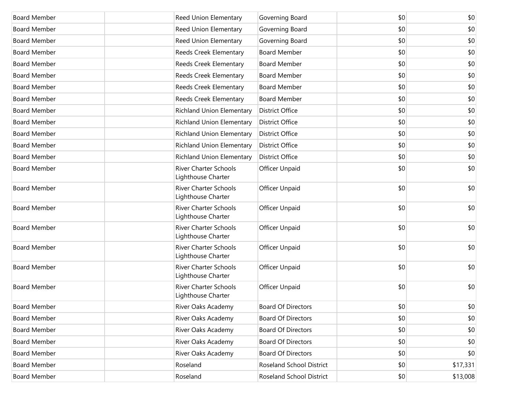| <b>Board Member</b> | <b>Reed Union Elementary</b>                       | Governing Board                 | \$0 | \$0      |
|---------------------|----------------------------------------------------|---------------------------------|-----|----------|
| <b>Board Member</b> | Reed Union Elementary                              | Governing Board                 | \$0 | \$0      |
| <b>Board Member</b> | Reed Union Elementary                              | Governing Board                 | \$0 | \$0      |
| <b>Board Member</b> | Reeds Creek Elementary                             | <b>Board Member</b>             | \$0 | \$0      |
| <b>Board Member</b> | Reeds Creek Elementary                             | <b>Board Member</b>             | \$0 | \$0      |
| <b>Board Member</b> | Reeds Creek Elementary                             | <b>Board Member</b>             | \$0 | \$0      |
| <b>Board Member</b> | Reeds Creek Elementary                             | <b>Board Member</b>             | \$0 | \$0      |
| <b>Board Member</b> | Reeds Creek Elementary                             | <b>Board Member</b>             | \$0 | \$0      |
| <b>Board Member</b> | <b>Richland Union Elementary</b>                   | <b>District Office</b>          | \$0 | \$0      |
| <b>Board Member</b> | <b>Richland Union Elementary</b>                   | <b>District Office</b>          | \$0 | \$0      |
| <b>Board Member</b> | <b>Richland Union Elementary</b>                   | <b>District Office</b>          | \$0 | \$0      |
| <b>Board Member</b> | <b>Richland Union Elementary</b>                   | <b>District Office</b>          | \$0 | \$0      |
| <b>Board Member</b> | <b>Richland Union Elementary</b>                   | <b>District Office</b>          | \$0 | \$0      |
| <b>Board Member</b> | <b>River Charter Schools</b><br>Lighthouse Charter | <b>Officer Unpaid</b>           | \$0 | \$0      |
| <b>Board Member</b> | <b>River Charter Schools</b><br>Lighthouse Charter | <b>Officer Unpaid</b>           | \$0 | \$0      |
| <b>Board Member</b> | <b>River Charter Schools</b><br>Lighthouse Charter | <b>Officer Unpaid</b>           | \$0 | \$0      |
| <b>Board Member</b> | <b>River Charter Schools</b><br>Lighthouse Charter | Officer Unpaid                  | \$0 | \$0      |
| <b>Board Member</b> | <b>River Charter Schools</b><br>Lighthouse Charter | Officer Unpaid                  | \$0 | \$0      |
| <b>Board Member</b> | <b>River Charter Schools</b><br>Lighthouse Charter | Officer Unpaid                  | \$0 | \$0      |
| <b>Board Member</b> | <b>River Charter Schools</b><br>Lighthouse Charter | Officer Unpaid                  | \$0 | \$0      |
| <b>Board Member</b> | River Oaks Academy                                 | <b>Board Of Directors</b>       | \$0 | \$0      |
| <b>Board Member</b> | River Oaks Academy                                 | <b>Board Of Directors</b>       | \$0 | \$0      |
| <b>Board Member</b> | River Oaks Academy                                 | <b>Board Of Directors</b>       | \$0 | \$0      |
| <b>Board Member</b> | River Oaks Academy                                 | <b>Board Of Directors</b>       | \$0 | \$0      |
| <b>Board Member</b> | River Oaks Academy                                 | <b>Board Of Directors</b>       | \$0 | \$0      |
| <b>Board Member</b> | Roseland                                           | <b>Roseland School District</b> | \$0 | \$17,331 |
| <b>Board Member</b> | Roseland                                           | Roseland School District        | \$0 | \$13,008 |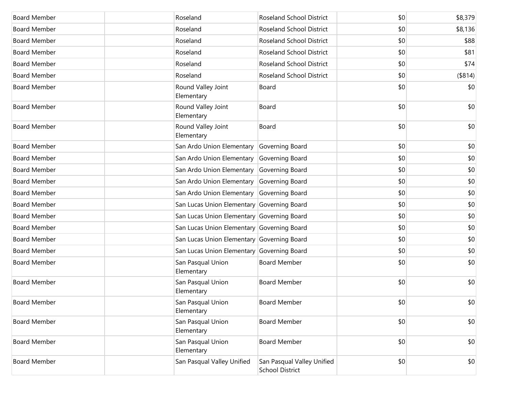| <b>Board Member</b> | Roseland                                   | <b>Roseland School District</b>                      | \$0 | \$8,379 |
|---------------------|--------------------------------------------|------------------------------------------------------|-----|---------|
| <b>Board Member</b> | Roseland                                   | <b>Roseland School District</b>                      | \$0 | \$8,136 |
| <b>Board Member</b> | Roseland                                   | <b>Roseland School District</b>                      | \$0 | \$88    |
| <b>Board Member</b> | Roseland                                   | <b>Roseland School District</b>                      | \$0 | \$81    |
| <b>Board Member</b> | Roseland                                   | <b>Roseland School District</b>                      | \$0 | \$74    |
| <b>Board Member</b> | Roseland                                   | <b>Roseland School District</b>                      | \$0 | (\$814) |
| <b>Board Member</b> | Round Valley Joint<br>Elementary           | Board                                                | \$0 | \$0     |
| <b>Board Member</b> | Round Valley Joint<br>Elementary           | Board                                                | \$0 | \$0     |
| <b>Board Member</b> | Round Valley Joint<br>Elementary           | Board                                                | \$0 | \$0     |
| <b>Board Member</b> | San Ardo Union Elementary                  | Governing Board                                      | \$0 | \$0     |
| <b>Board Member</b> | San Ardo Union Elementary Governing Board  |                                                      | \$0 | \$0     |
| <b>Board Member</b> | San Ardo Union Elementary Governing Board  |                                                      | \$0 | \$0     |
| <b>Board Member</b> | San Ardo Union Elementary Governing Board  |                                                      | \$0 | \$0     |
| <b>Board Member</b> | San Ardo Union Elementary Governing Board  |                                                      | \$0 | \$0     |
| <b>Board Member</b> | San Lucas Union Elementary Governing Board |                                                      | \$0 | \$0     |
| <b>Board Member</b> | San Lucas Union Elementary Governing Board |                                                      | \$0 | \$0     |
| <b>Board Member</b> | San Lucas Union Elementary Governing Board |                                                      | \$0 | \$0     |
| <b>Board Member</b> | San Lucas Union Elementary Governing Board |                                                      | \$0 | \$0     |
| <b>Board Member</b> | San Lucas Union Elementary Governing Board |                                                      | \$0 | \$0     |
| <b>Board Member</b> | San Pasqual Union<br>Elementary            | <b>Board Member</b>                                  | \$0 | \$0     |
| <b>Board Member</b> | San Pasqual Union<br>Elementary            | <b>Board Member</b>                                  | \$0 | \$0     |
| <b>Board Member</b> | San Pasqual Union<br>Elementary            | Board Member                                         | \$0 | \$0     |
| <b>Board Member</b> | San Pasqual Union<br>Elementary            | <b>Board Member</b>                                  | \$0 | \$0     |
| <b>Board Member</b> | San Pasqual Union<br>Elementary            | <b>Board Member</b>                                  | \$0 | \$0     |
| <b>Board Member</b> | San Pasqual Valley Unified                 | San Pasqual Valley Unified<br><b>School District</b> | \$0 | \$0     |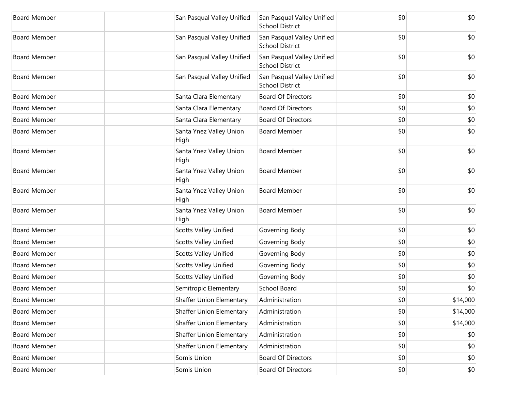| <b>Board Member</b> | San Pasqual Valley Unified      | San Pasqual Valley Unified<br><b>School District</b> | \$0 | \$0      |
|---------------------|---------------------------------|------------------------------------------------------|-----|----------|
| <b>Board Member</b> | San Pasqual Valley Unified      | San Pasqual Valley Unified<br><b>School District</b> | \$0 | \$0      |
| <b>Board Member</b> | San Pasqual Valley Unified      | San Pasqual Valley Unified<br><b>School District</b> | \$0 | \$0      |
| <b>Board Member</b> | San Pasqual Valley Unified      | San Pasqual Valley Unified<br><b>School District</b> | \$0 | \$0      |
| <b>Board Member</b> | Santa Clara Elementary          | <b>Board Of Directors</b>                            | \$0 | \$0      |
| <b>Board Member</b> | Santa Clara Elementary          | <b>Board Of Directors</b>                            | \$0 | \$0      |
| <b>Board Member</b> | Santa Clara Elementary          | <b>Board Of Directors</b>                            | \$0 | \$0      |
| <b>Board Member</b> | Santa Ynez Valley Union<br>High | <b>Board Member</b>                                  | \$0 | \$0      |
| <b>Board Member</b> | Santa Ynez Valley Union<br>High | <b>Board Member</b>                                  | \$0 | \$0      |
| <b>Board Member</b> | Santa Ynez Valley Union<br>High | <b>Board Member</b>                                  | \$0 | \$0      |
| <b>Board Member</b> | Santa Ynez Valley Union<br>High | <b>Board Member</b>                                  | \$0 | \$0      |
| <b>Board Member</b> | Santa Ynez Valley Union<br>High | <b>Board Member</b>                                  | \$0 | \$0      |
| <b>Board Member</b> | <b>Scotts Valley Unified</b>    | Governing Body                                       | \$0 | \$0      |
| <b>Board Member</b> | <b>Scotts Valley Unified</b>    | Governing Body                                       | \$0 | \$0      |
| <b>Board Member</b> | <b>Scotts Valley Unified</b>    | Governing Body                                       | \$0 | \$0      |
| <b>Board Member</b> | <b>Scotts Valley Unified</b>    | Governing Body                                       | \$0 | \$0      |
| <b>Board Member</b> | <b>Scotts Valley Unified</b>    | Governing Body                                       | \$0 | \$0      |
| <b>Board Member</b> | Semitropic Elementary           | School Board                                         | \$0 | \$0      |
| Board Member        | <b>Shaffer Union Elementary</b> | Administration                                       | \$0 | \$14,000 |
| <b>Board Member</b> | Shaffer Union Elementary        | Administration                                       | \$0 | \$14,000 |
| <b>Board Member</b> | <b>Shaffer Union Elementary</b> | Administration                                       | \$0 | \$14,000 |
| <b>Board Member</b> | <b>Shaffer Union Elementary</b> | Administration                                       | \$0 | \$0      |
| <b>Board Member</b> | <b>Shaffer Union Elementary</b> | Administration                                       | \$0 | \$0      |
| <b>Board Member</b> | Somis Union                     | <b>Board Of Directors</b>                            | \$0 | \$0      |
| <b>Board Member</b> | Somis Union                     | <b>Board Of Directors</b>                            | \$0 | \$0      |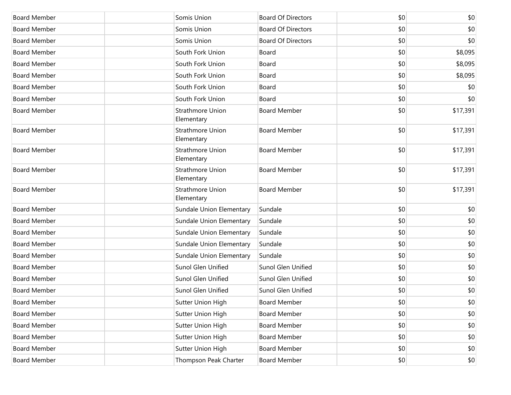| <b>Board Member</b> | Somis Union                           | <b>Board Of Directors</b> | \$0 | \$0          |
|---------------------|---------------------------------------|---------------------------|-----|--------------|
| <b>Board Member</b> | Somis Union                           | <b>Board Of Directors</b> | \$0 | \$0          |
| <b>Board Member</b> | Somis Union                           | <b>Board Of Directors</b> | \$0 | \$0          |
| <b>Board Member</b> | South Fork Union                      | Board                     | \$0 | \$8,095      |
| <b>Board Member</b> | South Fork Union                      | Board                     | \$0 | \$8,095      |
| <b>Board Member</b> | South Fork Union                      | Board                     | \$0 | \$8,095      |
| <b>Board Member</b> | South Fork Union                      | Board                     | \$0 | \$0          |
| <b>Board Member</b> | South Fork Union                      | Board                     | \$0 | \$0          |
| <b>Board Member</b> | <b>Strathmore Union</b><br>Elementary | <b>Board Member</b>       | \$0 | \$17,391     |
| <b>Board Member</b> | <b>Strathmore Union</b><br>Elementary | <b>Board Member</b>       | \$0 | \$17,391     |
| <b>Board Member</b> | <b>Strathmore Union</b><br>Elementary | <b>Board Member</b>       | \$0 | \$17,391     |
| <b>Board Member</b> | <b>Strathmore Union</b><br>Elementary | <b>Board Member</b>       | \$0 | \$17,391     |
| <b>Board Member</b> | <b>Strathmore Union</b><br>Elementary | <b>Board Member</b>       | \$0 | \$17,391     |
| <b>Board Member</b> | Sundale Union Elementary              | Sundale                   | \$0 | \$0          |
| <b>Board Member</b> | Sundale Union Elementary              | Sundale                   | \$0 | \$0          |
| <b>Board Member</b> | Sundale Union Elementary              | Sundale                   | \$0 | \$0          |
| <b>Board Member</b> | Sundale Union Elementary              | Sundale                   | \$0 | \$0          |
| <b>Board Member</b> | Sundale Union Elementary              | Sundale                   | \$0 | \$0          |
| <b>Board Member</b> | Sunol Glen Unified                    | Sunol Glen Unified        | \$0 | \$0          |
| <b>Board Member</b> | Sunol Glen Unified                    | Sunol Glen Unified        | \$0 | \$0          |
| <b>Board Member</b> | Sunol Glen Unified                    | Sunol Glen Unified        | \$0 | \$0          |
| <b>Board Member</b> | Sutter Union High                     | <b>Board Member</b>       | \$0 | \$0          |
| <b>Board Member</b> | Sutter Union High                     | <b>Board Member</b>       | \$0 | $ 10\rangle$ |
| <b>Board Member</b> | Sutter Union High                     | <b>Board Member</b>       | \$0 | \$0          |
| <b>Board Member</b> | Sutter Union High                     | <b>Board Member</b>       | \$0 | \$0          |
| <b>Board Member</b> | Sutter Union High                     | <b>Board Member</b>       | \$0 | \$0          |
| <b>Board Member</b> | Thompson Peak Charter                 | <b>Board Member</b>       | \$0 | \$0          |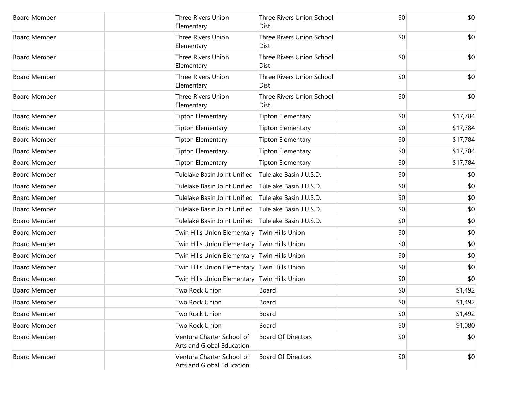| <b>Board Member</b> | <b>Three Rivers Union</b><br>Elementary                | Three Rivers Union School<br>Dist               | \$0 | \$0      |
|---------------------|--------------------------------------------------------|-------------------------------------------------|-----|----------|
| <b>Board Member</b> | Three Rivers Union<br>Elementary                       | Three Rivers Union School<br>Dist               | \$0 | \$0      |
| <b>Board Member</b> | <b>Three Rivers Union</b><br>Elementary                | Three Rivers Union School<br>Dist               | \$0 | \$0      |
| <b>Board Member</b> | Three Rivers Union<br>Elementary                       | <b>Three Rivers Union School</b><br><b>Dist</b> | \$0 | \$0      |
| <b>Board Member</b> | Three Rivers Union<br>Elementary                       | Three Rivers Union School<br>Dist               | \$0 | \$0      |
| <b>Board Member</b> | Tipton Elementary                                      | <b>Tipton Elementary</b>                        | \$0 | \$17,784 |
| <b>Board Member</b> | Tipton Elementary                                      | <b>Tipton Elementary</b>                        | \$0 | \$17,784 |
| <b>Board Member</b> | <b>Tipton Elementary</b>                               | <b>Tipton Elementary</b>                        | \$0 | \$17,784 |
| <b>Board Member</b> | Tipton Elementary                                      | <b>Tipton Elementary</b>                        | \$0 | \$17,784 |
| <b>Board Member</b> | Tipton Elementary                                      | <b>Tipton Elementary</b>                        | \$0 | \$17,784 |
| <b>Board Member</b> | Tulelake Basin Joint Unified                           | Tulelake Basin J.U.S.D.                         | \$0 | \$0      |
| <b>Board Member</b> | Tulelake Basin Joint Unified                           | Tulelake Basin J.U.S.D.                         | \$0 | \$0      |
| <b>Board Member</b> | Tulelake Basin Joint Unified                           | Tulelake Basin J.U.S.D.                         | \$0 | \$0      |
| <b>Board Member</b> | Tulelake Basin Joint Unified                           | Tulelake Basin J.U.S.D.                         | \$0 | \$0      |
| <b>Board Member</b> | Tulelake Basin Joint Unified                           | Tulelake Basin J.U.S.D.                         | \$0 | \$0      |
| <b>Board Member</b> | Twin Hills Union Elementary Twin Hills Union           |                                                 | \$0 | \$0      |
| <b>Board Member</b> | Twin Hills Union Elementary Twin Hills Union           |                                                 | \$0 | \$0      |
| <b>Board Member</b> | Twin Hills Union Elementary Twin Hills Union           |                                                 | \$0 | \$0      |
| <b>Board Member</b> | Twin Hills Union Elementary Twin Hills Union           |                                                 | \$0 | \$0      |
| <b>Board Member</b> | Twin Hills Union Elementary Twin Hills Union           |                                                 | \$0 | \$0      |
| <b>Board Member</b> | Two Rock Union                                         | Board                                           | \$0 | \$1,492  |
| Board Member        | Two Rock Union                                         | Board                                           | \$0 | \$1,492  |
| <b>Board Member</b> | Two Rock Union                                         | Board                                           | \$0 | \$1,492  |
| <b>Board Member</b> | Two Rock Union                                         | Board                                           | \$0 | \$1,080  |
| <b>Board Member</b> | Ventura Charter School of<br>Arts and Global Education | <b>Board Of Directors</b>                       | \$0 | \$0      |
| <b>Board Member</b> | Ventura Charter School of<br>Arts and Global Education | <b>Board Of Directors</b>                       | \$0 | \$0      |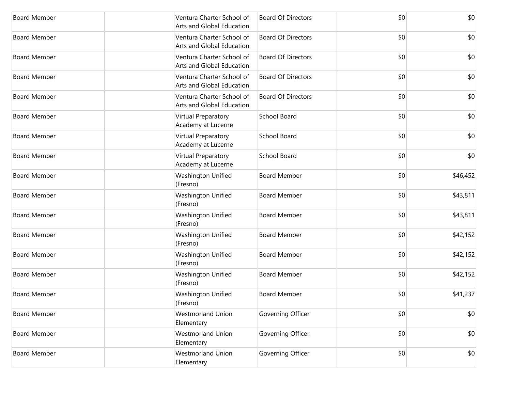| <b>Board Member</b> | Ventura Charter School of<br>Arts and Global Education | <b>Board Of Directors</b> | \$0 | \$0      |
|---------------------|--------------------------------------------------------|---------------------------|-----|----------|
| <b>Board Member</b> | Ventura Charter School of<br>Arts and Global Education | <b>Board Of Directors</b> | \$0 | \$0      |
| <b>Board Member</b> | Ventura Charter School of<br>Arts and Global Education | <b>Board Of Directors</b> | \$0 | \$0      |
| <b>Board Member</b> | Ventura Charter School of<br>Arts and Global Education | <b>Board Of Directors</b> | \$0 | \$0      |
| <b>Board Member</b> | Ventura Charter School of<br>Arts and Global Education | <b>Board Of Directors</b> | \$0 | \$0      |
| <b>Board Member</b> | Virtual Preparatory<br>Academy at Lucerne              | <b>School Board</b>       | \$0 | \$0      |
| <b>Board Member</b> | Virtual Preparatory<br>Academy at Lucerne              | <b>School Board</b>       | \$0 | \$0      |
| <b>Board Member</b> | Virtual Preparatory<br>Academy at Lucerne              | School Board              | \$0 | \$0      |
| <b>Board Member</b> | Washington Unified<br>(Fresno)                         | <b>Board Member</b>       | \$0 | \$46,452 |
| <b>Board Member</b> | Washington Unified<br>(Fresno)                         | <b>Board Member</b>       | \$0 | \$43,811 |
| <b>Board Member</b> | Washington Unified<br>(Fresno)                         | <b>Board Member</b>       | \$0 | \$43,811 |
| <b>Board Member</b> | Washington Unified<br>(Fresno)                         | <b>Board Member</b>       | \$0 | \$42,152 |
| <b>Board Member</b> | Washington Unified<br>(Fresno)                         | <b>Board Member</b>       | \$0 | \$42,152 |
| <b>Board Member</b> | Washington Unified<br>(Fresno)                         | <b>Board Member</b>       | \$0 | \$42,152 |
| <b>Board Member</b> | Washington Unified<br>(Fresno)                         | <b>Board Member</b>       | \$0 | \$41,237 |
| <b>Board Member</b> | <b>Westmorland Union</b><br>Elementary                 | Governing Officer         | \$0 | \$0      |
| <b>Board Member</b> | <b>Westmorland Union</b><br>Elementary                 | Governing Officer         | \$0 | \$0      |
| <b>Board Member</b> | <b>Westmorland Union</b><br>Elementary                 | Governing Officer         | \$0 | \$0      |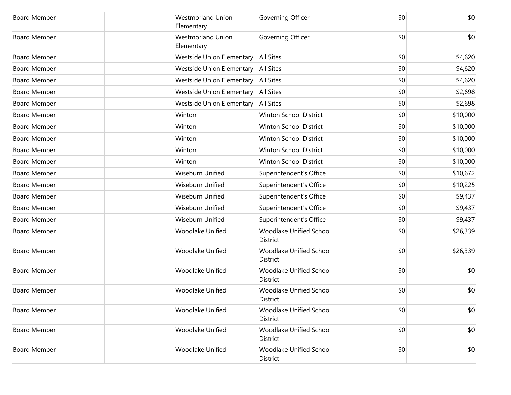| <b>Board Member</b> | <b>Westmorland Union</b><br>Elementary | Governing Officer                   | \$0 | \$0      |
|---------------------|----------------------------------------|-------------------------------------|-----|----------|
| <b>Board Member</b> | <b>Westmorland Union</b><br>Elementary | Governing Officer                   | \$0 | \$0      |
| <b>Board Member</b> | Westside Union Elementary              | <b>All Sites</b>                    | \$0 | \$4,620  |
| <b>Board Member</b> | Westside Union Elementary              | All Sites                           | \$0 | \$4,620  |
| <b>Board Member</b> | <b>Westside Union Elementary</b>       | <b>All Sites</b>                    | \$0 | \$4,620  |
| <b>Board Member</b> | Westside Union Elementary   All Sites  |                                     | \$0 | \$2,698  |
| <b>Board Member</b> | <b>Westside Union Elementary</b>       | <b>All Sites</b>                    | \$0 | \$2,698  |
| <b>Board Member</b> | Winton                                 | <b>Winton School District</b>       | \$0 | \$10,000 |
| <b>Board Member</b> | Winton                                 | Winton School District              | \$0 | \$10,000 |
| <b>Board Member</b> | Winton                                 | Winton School District              | \$0 | \$10,000 |
| <b>Board Member</b> | Winton                                 | Winton School District              | \$0 | \$10,000 |
| <b>Board Member</b> | Winton                                 | Winton School District              | \$0 | \$10,000 |
| <b>Board Member</b> | Wiseburn Unified                       | Superintendent's Office             | \$0 | \$10,672 |
| <b>Board Member</b> | Wiseburn Unified                       | Superintendent's Office             | \$0 | \$10,225 |
| <b>Board Member</b> | <b>Wiseburn Unified</b>                | Superintendent's Office             | \$0 | \$9,437  |
| <b>Board Member</b> | Wiseburn Unified                       | Superintendent's Office             | \$0 | \$9,437  |
| <b>Board Member</b> | Wiseburn Unified                       | Superintendent's Office             | \$0 | \$9,437  |
| <b>Board Member</b> | <b>Woodlake Unified</b>                | Woodlake Unified School<br>District | \$0 | \$26,339 |
| <b>Board Member</b> | <b>Woodlake Unified</b>                | Woodlake Unified School<br>District | \$0 | \$26,339 |
| <b>Board Member</b> | <b>Woodlake Unified</b>                | Woodlake Unified School<br>District | \$0 | \$0      |
| <b>Board Member</b> | <b>Woodlake Unified</b>                | Woodlake Unified School<br>District | \$0 | \$0      |
| <b>Board Member</b> | Woodlake Unified                       | Woodlake Unified School<br>District | \$0 | \$0      |
| <b>Board Member</b> | Woodlake Unified                       | Woodlake Unified School<br>District | \$0 | \$0      |
| <b>Board Member</b> | <b>Woodlake Unified</b>                | Woodlake Unified School<br>District | \$0 | \$0      |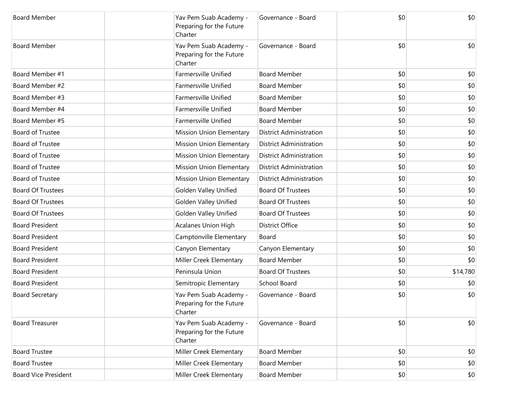| <b>Board Member</b>         | Yav Pem Suab Academy -<br>Preparing for the Future<br>Charter | Governance - Board             | \$0 | \$0      |
|-----------------------------|---------------------------------------------------------------|--------------------------------|-----|----------|
| <b>Board Member</b>         | Yav Pem Suab Academy -<br>Preparing for the Future<br>Charter | Governance - Board             | \$0 | \$0      |
| Board Member #1             | <b>Farmersville Unified</b>                                   | <b>Board Member</b>            | \$0 | \$0      |
| Board Member #2             | Farmersville Unified                                          | <b>Board Member</b>            | \$0 | \$0      |
| Board Member #3             | Farmersville Unified                                          | <b>Board Member</b>            | \$0 | \$0      |
| Board Member #4             | Farmersville Unified                                          | <b>Board Member</b>            | \$0 | \$0      |
| Board Member #5             | Farmersville Unified                                          | <b>Board Member</b>            | \$0 | \$0      |
| <b>Board of Trustee</b>     | Mission Union Elementary                                      | <b>District Administration</b> | \$0 | \$0      |
| <b>Board of Trustee</b>     | Mission Union Elementary                                      | <b>District Administration</b> | \$0 | \$0      |
| <b>Board of Trustee</b>     | Mission Union Elementary                                      | <b>District Administration</b> | \$0 | \$0      |
| <b>Board of Trustee</b>     | Mission Union Elementary                                      | <b>District Administration</b> | \$0 | \$0      |
| <b>Board of Trustee</b>     | Mission Union Elementary                                      | <b>District Administration</b> | \$0 | \$0      |
| <b>Board Of Trustees</b>    | Golden Valley Unified                                         | <b>Board Of Trustees</b>       | \$0 | \$0      |
| <b>Board Of Trustees</b>    | Golden Valley Unified                                         | <b>Board Of Trustees</b>       | \$0 | \$0      |
| <b>Board Of Trustees</b>    | Golden Valley Unified                                         | <b>Board Of Trustees</b>       | \$0 | \$0      |
| <b>Board President</b>      | <b>Acalanes Union High</b>                                    | <b>District Office</b>         | \$0 | \$0      |
| <b>Board President</b>      | Camptonville Elementary                                       | Board                          | \$0 | \$0      |
| <b>Board President</b>      | Canyon Elementary                                             | Canyon Elementary              | \$0 | \$0      |
| <b>Board President</b>      | Miller Creek Elementary                                       | <b>Board Member</b>            | \$0 | \$0      |
| <b>Board President</b>      | Peninsula Union                                               | <b>Board Of Trustees</b>       | \$0 | \$14,780 |
| <b>Board President</b>      | Semitropic Elementary                                         | <b>School Board</b>            | \$0 | \$0      |
| <b>Board Secretary</b>      | Yav Pem Suab Academy -<br>Preparing for the Future<br>Charter | Governance - Board             | \$0 | \$0      |
| <b>Board Treasurer</b>      | Yav Pem Suab Academy -<br>Preparing for the Future<br>Charter | Governance - Board             | \$0 | \$0      |
| <b>Board Trustee</b>        | Miller Creek Elementary                                       | <b>Board Member</b>            | \$0 | \$0      |
| <b>Board Trustee</b>        | Miller Creek Elementary                                       | <b>Board Member</b>            | \$0 | \$0      |
| <b>Board Vice President</b> | Miller Creek Elementary                                       | <b>Board Member</b>            | \$0 | \$0      |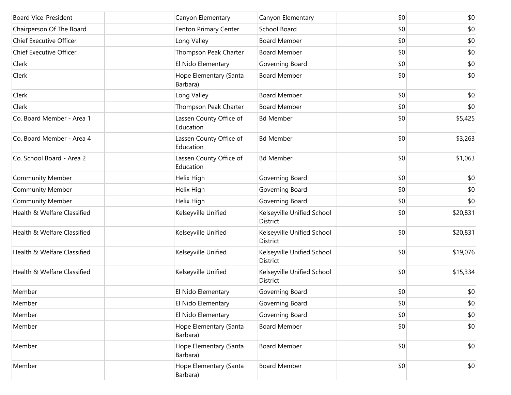| <b>Board Vice-President</b> | Canyon Elementary                    | Canyon Elementary                             | \$0 | \$0          |
|-----------------------------|--------------------------------------|-----------------------------------------------|-----|--------------|
| Chairperson Of The Board    | Fenton Primary Center                | School Board                                  | \$0 | \$0          |
| Chief Executive Officer     | Long Valley                          | <b>Board Member</b>                           | \$0 | \$0          |
| Chief Executive Officer     | Thompson Peak Charter                | <b>Board Member</b>                           | \$0 | \$0          |
| Clerk                       | El Nido Elementary                   | Governing Board                               | \$0 | \$0          |
| Clerk                       | Hope Elementary (Santa<br>Barbara)   | <b>Board Member</b>                           | \$0 | \$0          |
| Clerk                       | Long Valley                          | <b>Board Member</b>                           | \$0 | \$0          |
| Clerk                       | Thompson Peak Charter                | <b>Board Member</b>                           | \$0 | \$0          |
| Co. Board Member - Area 1   | Lassen County Office of<br>Education | <b>Bd Member</b>                              | \$0 | \$5,425      |
| Co. Board Member - Area 4   | Lassen County Office of<br>Education | <b>Bd Member</b>                              | \$0 | \$3,263      |
| Co. School Board - Area 2   | Lassen County Office of<br>Education | <b>Bd Member</b>                              | \$0 | \$1,063      |
| <b>Community Member</b>     | Helix High                           | Governing Board                               | \$0 | \$0          |
| <b>Community Member</b>     | Helix High                           | Governing Board                               | \$0 | \$0          |
| <b>Community Member</b>     | Helix High                           | Governing Board                               | \$0 | \$0          |
| Health & Welfare Classified | Kelseyville Unified                  | Kelseyville Unified School<br>District        | \$0 | \$20,831     |
| Health & Welfare Classified | Kelseyville Unified                  | Kelseyville Unified School<br>District        | \$0 | \$20,831     |
| Health & Welfare Classified | Kelseyville Unified                  | Kelseyville Unified School<br><b>District</b> | \$0 | \$19,076     |
| Health & Welfare Classified | Kelseyville Unified                  | Kelseyville Unified School<br><b>District</b> | \$0 | \$15,334     |
| Member                      | El Nido Elementary                   | Governing Board                               | \$0 | \$0          |
| Member                      | El Nido Elementary                   | Governing Board                               | \$0 | \$0          |
| Member                      | El Nido Elementary                   | Governing Board                               | \$0 | \$0          |
| Member                      | Hope Elementary (Santa<br>Barbara)   | <b>Board Member</b>                           | \$0 | \$0          |
| Member                      | Hope Elementary (Santa<br>Barbara)   | <b>Board Member</b>                           | \$0 | \$0          |
| Member                      | Hope Elementary (Santa<br>Barbara)   | <b>Board Member</b>                           | \$0 | $ 10\rangle$ |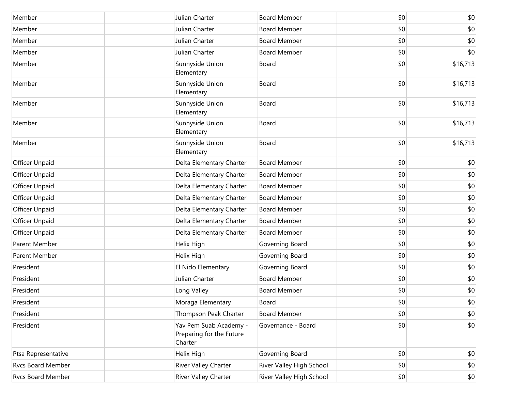| Member              | Julian Charter                                                | <b>Board Member</b>      | \$0 | \$0          |
|---------------------|---------------------------------------------------------------|--------------------------|-----|--------------|
| Member              | Julian Charter                                                | <b>Board Member</b>      | \$0 | \$0          |
| Member              | Julian Charter                                                | <b>Board Member</b>      | \$0 | \$0          |
| Member              | Julian Charter                                                | <b>Board Member</b>      | \$0 | \$0          |
| Member              | Sunnyside Union<br>Elementary                                 | Board                    | \$0 | \$16,713     |
| Member              | Sunnyside Union<br>Elementary                                 | Board                    | \$0 | \$16,713     |
| Member              | Sunnyside Union<br>Elementary                                 | Board                    | \$0 | \$16,713     |
| Member              | Sunnyside Union<br>Elementary                                 | Board                    | \$0 | \$16,713     |
| Member              | Sunnyside Union<br>Elementary                                 | Board                    | \$0 | \$16,713     |
| Officer Unpaid      | Delta Elementary Charter                                      | <b>Board Member</b>      | \$0 | \$0          |
| Officer Unpaid      | Delta Elementary Charter                                      | <b>Board Member</b>      | \$0 | \$0          |
| Officer Unpaid      | Delta Elementary Charter                                      | <b>Board Member</b>      | \$0 | \$0          |
| Officer Unpaid      | Delta Elementary Charter                                      | <b>Board Member</b>      | \$0 | \$0          |
| Officer Unpaid      | Delta Elementary Charter                                      | <b>Board Member</b>      | \$0 | \$0          |
| Officer Unpaid      | Delta Elementary Charter                                      | <b>Board Member</b>      | \$0 | \$0          |
| Officer Unpaid      | Delta Elementary Charter                                      | <b>Board Member</b>      | \$0 | \$0          |
| Parent Member       | Helix High                                                    | Governing Board          | \$0 | \$0          |
| Parent Member       | Helix High                                                    | Governing Board          | \$0 | \$0          |
| President           | El Nido Elementary                                            | Governing Board          | \$0 | \$0          |
| President           | Julian Charter                                                | <b>Board Member</b>      | \$0 | \$0          |
| President           | Long Valley                                                   | <b>Board Member</b>      | \$0 | \$0          |
| President           | Moraga Elementary                                             | Board                    | \$0 | \$0          |
| President           | Thompson Peak Charter                                         | <b>Board Member</b>      | \$0 | \$0          |
| President           | Yav Pem Suab Academy -<br>Preparing for the Future<br>Charter | Governance - Board       | \$0 | \$0          |
| Ptsa Representative | Helix High                                                    | Governing Board          | \$0 | \$0          |
| Rvcs Board Member   | River Valley Charter                                          | River Valley High School | \$0 | \$0          |
| Rvcs Board Member   | River Valley Charter                                          | River Valley High School | \$0 | $ 10\rangle$ |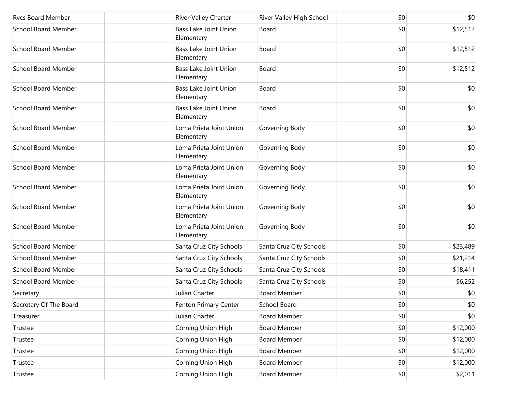| <b>Rycs Board Member</b>   | <b>River Valley Charter</b>                | River Valley High School | \$0   | \$0      |
|----------------------------|--------------------------------------------|--------------------------|-------|----------|
| <b>School Board Member</b> | <b>Bass Lake Joint Union</b><br>Elementary | Board                    | \$0   | \$12,512 |
| <b>School Board Member</b> | <b>Bass Lake Joint Union</b><br>Elementary | Board                    | \$0   | \$12,512 |
| <b>School Board Member</b> | Bass Lake Joint Union<br>Elementary        | Board                    | \$0   | \$12,512 |
| <b>School Board Member</b> | <b>Bass Lake Joint Union</b><br>Elementary | Board                    | \$0   | \$0      |
| <b>School Board Member</b> | Bass Lake Joint Union<br>Elementary        | Board                    | \$0   | \$0      |
| <b>School Board Member</b> | Loma Prieta Joint Union<br>Elementary      | Governing Body           | \$0   | \$0      |
| <b>School Board Member</b> | Loma Prieta Joint Union<br>Elementary      | Governing Body           | \$0   | \$0      |
| <b>School Board Member</b> | Loma Prieta Joint Union<br>Elementary      | Governing Body           | \$0   | \$0      |
| <b>School Board Member</b> | Loma Prieta Joint Union<br>Elementary      | Governing Body           | \$0   | \$0      |
| <b>School Board Member</b> | Loma Prieta Joint Union<br>Elementary      | Governing Body           | \$0   | \$0      |
| <b>School Board Member</b> | Loma Prieta Joint Union<br>Elementary      | Governing Body           | \$0   | \$0      |
| <b>School Board Member</b> | Santa Cruz City Schools                    | Santa Cruz City Schools  | \$0   | \$23,489 |
| <b>School Board Member</b> | Santa Cruz City Schools                    | Santa Cruz City Schools  | \$0   | \$21,214 |
| <b>School Board Member</b> | Santa Cruz City Schools                    | Santa Cruz City Schools  | \$0   | \$18,411 |
| <b>School Board Member</b> | Santa Cruz City Schools                    | Santa Cruz City Schools  | \$0   | \$6,252  |
| Secretary                  | Julian Charter                             | <b>Board Member</b>      | \$0   | \$0      |
| Secretary Of The Board     | Fenton Primary Center                      | School Board             | \$0   | \$0      |
| Treasurer                  | Julian Charter                             | <b>Board Member</b>      | \$0   | \$0      |
| Trustee                    | Corning Union High                         | Board Member             | \$0   | \$12,000 |
| Trustee                    | Corning Union High                         | <b>Board Member</b>      | \$0   | \$12,000 |
| Trustee                    | Corning Union High                         | Board Member             | \$0   | \$12,000 |
| Trustee                    | Corning Union High                         | <b>Board Member</b>      | \$0   | \$12,000 |
| Trustee                    | Corning Union High                         | <b>Board Member</b>      | \$0\$ | \$2,011  |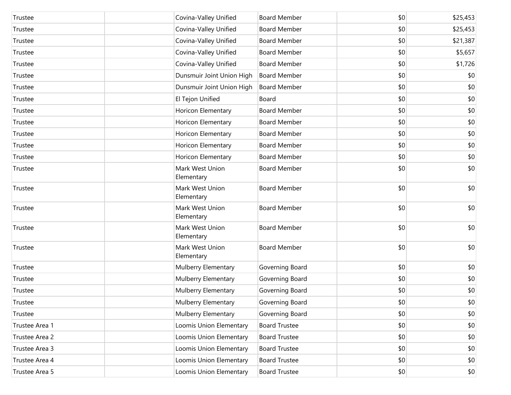| Trustee        |            | Covina-Valley Unified     | <b>Board Member</b>  | \$0 | \$25,453 |
|----------------|------------|---------------------------|----------------------|-----|----------|
| Trustee        |            | Covina-Valley Unified     | <b>Board Member</b>  | \$0 | \$25,453 |
| Trustee        |            | Covina-Valley Unified     | <b>Board Member</b>  | \$0 | \$21,387 |
| Trustee        |            | Covina-Valley Unified     | <b>Board Member</b>  | \$0 | \$5,657  |
| Trustee        |            | Covina-Valley Unified     | <b>Board Member</b>  | \$0 | \$1,726  |
| Trustee        |            | Dunsmuir Joint Union High | <b>Board Member</b>  | \$0 | \$0      |
| Trustee        |            | Dunsmuir Joint Union High | <b>Board Member</b>  | \$0 | \$0      |
| Trustee        |            | El Tejon Unified          | Board                | \$0 | \$0      |
| Trustee        |            | Horicon Elementary        | <b>Board Member</b>  | \$0 | \$0      |
| Trustee        |            | Horicon Elementary        | <b>Board Member</b>  | \$0 | \$0      |
| Trustee        |            | Horicon Elementary        | <b>Board Member</b>  | \$0 | \$0      |
| Trustee        |            | Horicon Elementary        | <b>Board Member</b>  | \$0 | \$0      |
| Trustee        |            | Horicon Elementary        | <b>Board Member</b>  | \$0 | \$0      |
| Trustee        | Elementary | Mark West Union           | <b>Board Member</b>  | \$0 | \$0      |
| Trustee        | Elementary | Mark West Union           | <b>Board Member</b>  | \$0 | \$0      |
| Trustee        | Elementary | Mark West Union           | <b>Board Member</b>  | \$0 | \$0      |
| Trustee        | Elementary | Mark West Union           | <b>Board Member</b>  | \$0 | \$0      |
| Trustee        | Elementary | Mark West Union           | <b>Board Member</b>  | \$0 | \$0      |
| Trustee        |            | Mulberry Elementary       | Governing Board      | \$0 | \$0      |
| Trustee        |            | Mulberry Elementary       | Governing Board      | \$0 | \$0      |
| Trustee        |            | Mulberry Elementary       | Governing Board      | \$0 | \$0      |
| Trustee        |            | Mulberry Elementary       | Governing Board      | \$0 | \$0      |
| Trustee        |            | Mulberry Elementary       | Governing Board      | \$0 | \$0      |
| Trustee Area 1 |            | Loomis Union Elementary   | <b>Board Trustee</b> | \$0 | \$0      |
| Trustee Area 2 |            | Loomis Union Elementary   | <b>Board Trustee</b> | \$0 | \$0      |
| Trustee Area 3 |            | Loomis Union Elementary   | <b>Board Trustee</b> | \$0 | \$0      |
| Trustee Area 4 |            | Loomis Union Elementary   | <b>Board Trustee</b> | \$0 | \$0      |
| Trustee Area 5 |            | Loomis Union Elementary   | <b>Board Trustee</b> | \$0 | \$0      |